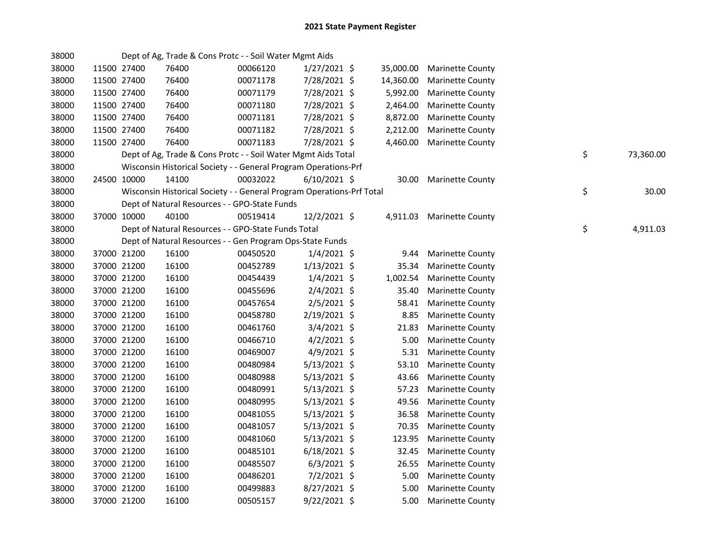| 38000 |             | Dept of Ag, Trade & Cons Protc - - Soil Water Mgmt Aids               |          |                |           |                           |                 |
|-------|-------------|-----------------------------------------------------------------------|----------|----------------|-----------|---------------------------|-----------------|
| 38000 | 11500 27400 | 76400                                                                 | 00066120 | $1/27/2021$ \$ | 35,000.00 | <b>Marinette County</b>   |                 |
| 38000 | 11500 27400 | 76400                                                                 | 00071178 | 7/28/2021 \$   | 14,360.00 | <b>Marinette County</b>   |                 |
| 38000 | 11500 27400 | 76400                                                                 | 00071179 | 7/28/2021 \$   | 5,992.00  | <b>Marinette County</b>   |                 |
| 38000 | 11500 27400 | 76400                                                                 | 00071180 | 7/28/2021 \$   | 2,464.00  | <b>Marinette County</b>   |                 |
| 38000 | 11500 27400 | 76400                                                                 | 00071181 | 7/28/2021 \$   | 8,872.00  | <b>Marinette County</b>   |                 |
| 38000 | 11500 27400 | 76400                                                                 | 00071182 | 7/28/2021 \$   | 2,212.00  | <b>Marinette County</b>   |                 |
| 38000 | 11500 27400 | 76400                                                                 | 00071183 | 7/28/2021 \$   | 4,460.00  | <b>Marinette County</b>   |                 |
| 38000 |             | Dept of Ag, Trade & Cons Protc - - Soil Water Mgmt Aids Total         |          |                |           |                           | \$<br>73,360.00 |
| 38000 |             | Wisconsin Historical Society - - General Program Operations-Prf       |          |                |           |                           |                 |
| 38000 | 24500 10000 | 14100                                                                 | 00032022 | $6/10/2021$ \$ |           | 30.00 Marinette County    |                 |
| 38000 |             | Wisconsin Historical Society - - General Program Operations-Prf Total |          |                |           |                           | \$<br>30.00     |
| 38000 |             | Dept of Natural Resources - - GPO-State Funds                         |          |                |           |                           |                 |
| 38000 | 37000 10000 | 40100                                                                 | 00519414 | 12/2/2021 \$   |           | 4,911.03 Marinette County |                 |
| 38000 |             | Dept of Natural Resources - - GPO-State Funds Total                   |          |                |           |                           | \$<br>4,911.03  |
| 38000 |             | Dept of Natural Resources - - Gen Program Ops-State Funds             |          |                |           |                           |                 |
| 38000 | 37000 21200 | 16100                                                                 | 00450520 | $1/4/2021$ \$  | 9.44      | <b>Marinette County</b>   |                 |
| 38000 | 37000 21200 | 16100                                                                 | 00452789 | $1/13/2021$ \$ | 35.34     | <b>Marinette County</b>   |                 |
| 38000 | 37000 21200 | 16100                                                                 | 00454439 | $1/4/2021$ \$  | 1,002.54  | <b>Marinette County</b>   |                 |
| 38000 | 37000 21200 | 16100                                                                 | 00455696 | $2/4/2021$ \$  | 35.40     | <b>Marinette County</b>   |                 |
| 38000 | 37000 21200 | 16100                                                                 | 00457654 | $2/5/2021$ \$  | 58.41     | <b>Marinette County</b>   |                 |
| 38000 | 37000 21200 | 16100                                                                 | 00458780 | 2/19/2021 \$   | 8.85      | <b>Marinette County</b>   |                 |
| 38000 | 37000 21200 | 16100                                                                 | 00461760 | 3/4/2021 \$    | 21.83     | <b>Marinette County</b>   |                 |
| 38000 | 37000 21200 | 16100                                                                 | 00466710 | $4/2/2021$ \$  | 5.00      | <b>Marinette County</b>   |                 |
| 38000 | 37000 21200 | 16100                                                                 | 00469007 | 4/9/2021 \$    | 5.31      | <b>Marinette County</b>   |                 |
| 38000 | 37000 21200 | 16100                                                                 | 00480984 | $5/13/2021$ \$ | 53.10     | <b>Marinette County</b>   |                 |
| 38000 | 37000 21200 | 16100                                                                 | 00480988 | $5/13/2021$ \$ | 43.66     | <b>Marinette County</b>   |                 |
| 38000 | 37000 21200 | 16100                                                                 | 00480991 | $5/13/2021$ \$ | 57.23     | <b>Marinette County</b>   |                 |
| 38000 | 37000 21200 | 16100                                                                 | 00480995 | $5/13/2021$ \$ | 49.56     | <b>Marinette County</b>   |                 |
| 38000 | 37000 21200 | 16100                                                                 | 00481055 | $5/13/2021$ \$ | 36.58     | <b>Marinette County</b>   |                 |
| 38000 | 37000 21200 | 16100                                                                 | 00481057 | $5/13/2021$ \$ | 70.35     | <b>Marinette County</b>   |                 |
| 38000 | 37000 21200 | 16100                                                                 | 00481060 | $5/13/2021$ \$ | 123.95    | <b>Marinette County</b>   |                 |
| 38000 | 37000 21200 | 16100                                                                 | 00485101 | $6/18/2021$ \$ | 32.45     | <b>Marinette County</b>   |                 |
| 38000 | 37000 21200 | 16100                                                                 | 00485507 | $6/3/2021$ \$  | 26.55     | <b>Marinette County</b>   |                 |
| 38000 | 37000 21200 | 16100                                                                 | 00486201 | 7/2/2021 \$    | 5.00      | <b>Marinette County</b>   |                 |
| 38000 | 37000 21200 | 16100                                                                 | 00499883 | 8/27/2021 \$   | 5.00      | <b>Marinette County</b>   |                 |
| 38000 | 37000 21200 | 16100                                                                 | 00505157 | 9/22/2021 \$   | 5.00      | <b>Marinette County</b>   |                 |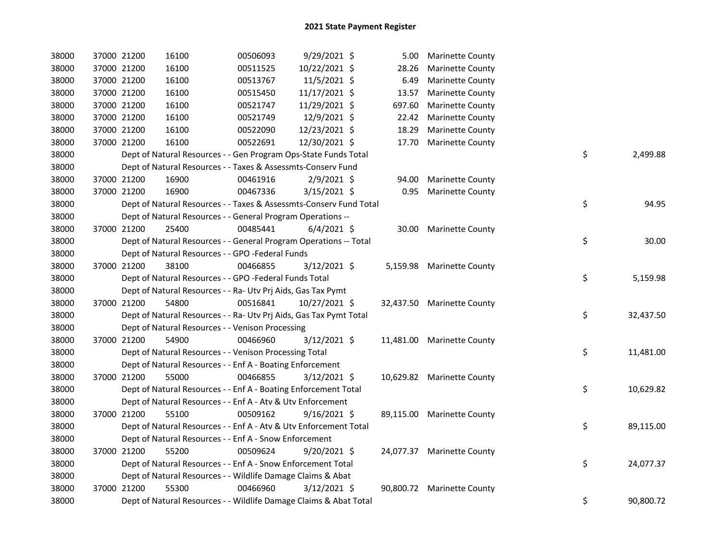| 38000 | 37000 21200 |             | 16100                                                              | 00506093 | 9/29/2021 \$   | 5.00   | <b>Marinette County</b>    |    |           |
|-------|-------------|-------------|--------------------------------------------------------------------|----------|----------------|--------|----------------------------|----|-----------|
| 38000 | 37000 21200 |             | 16100                                                              | 00511525 | 10/22/2021 \$  | 28.26  | <b>Marinette County</b>    |    |           |
| 38000 | 37000 21200 |             | 16100                                                              | 00513767 | 11/5/2021 \$   | 6.49   | <b>Marinette County</b>    |    |           |
| 38000 | 37000 21200 |             | 16100                                                              | 00515450 | 11/17/2021 \$  | 13.57  | Marinette County           |    |           |
| 38000 | 37000 21200 |             | 16100                                                              | 00521747 | 11/29/2021 \$  | 697.60 | Marinette County           |    |           |
| 38000 | 37000 21200 |             | 16100                                                              | 00521749 | 12/9/2021 \$   | 22.42  | Marinette County           |    |           |
| 38000 | 37000 21200 |             | 16100                                                              | 00522090 | 12/23/2021 \$  | 18.29  | <b>Marinette County</b>    |    |           |
| 38000 | 37000 21200 |             | 16100                                                              | 00522691 | 12/30/2021 \$  | 17.70  | <b>Marinette County</b>    |    |           |
| 38000 |             |             | Dept of Natural Resources - - Gen Program Ops-State Funds Total    |          |                |        |                            | \$ | 2,499.88  |
| 38000 |             |             | Dept of Natural Resources - - Taxes & Assessmts-Conserv Fund       |          |                |        |                            |    |           |
| 38000 | 37000 21200 |             | 16900                                                              | 00461916 | $2/9/2021$ \$  | 94.00  | <b>Marinette County</b>    |    |           |
| 38000 | 37000 21200 |             | 16900                                                              | 00467336 | 3/15/2021 \$   |        | 0.95 Marinette County      |    |           |
| 38000 |             |             | Dept of Natural Resources - - Taxes & Assessmts-Conserv Fund Total |          |                |        |                            | \$ | 94.95     |
| 38000 |             |             | Dept of Natural Resources - - General Program Operations --        |          |                |        |                            |    |           |
| 38000 | 37000 21200 |             | 25400                                                              | 00485441 | $6/4/2021$ \$  |        | 30.00 Marinette County     |    |           |
| 38000 |             |             | Dept of Natural Resources - - General Program Operations -- Total  |          |                |        |                            | \$ | 30.00     |
| 38000 |             |             | Dept of Natural Resources - - GPO -Federal Funds                   |          |                |        |                            |    |           |
| 38000 |             | 37000 21200 | 38100                                                              | 00466855 | 3/12/2021 \$   |        | 5,159.98 Marinette County  |    |           |
| 38000 |             |             | Dept of Natural Resources - - GPO -Federal Funds Total             |          |                |        |                            | \$ | 5,159.98  |
| 38000 |             |             | Dept of Natural Resources - - Ra- Utv Prj Aids, Gas Tax Pymt       |          |                |        |                            |    |           |
| 38000 |             | 37000 21200 | 54800                                                              | 00516841 | 10/27/2021 \$  |        | 32,437.50 Marinette County |    |           |
| 38000 |             |             | Dept of Natural Resources - - Ra- Utv Prj Aids, Gas Tax Pymt Total |          |                |        |                            | \$ | 32,437.50 |
| 38000 |             |             | Dept of Natural Resources - - Venison Processing                   |          |                |        |                            |    |           |
| 38000 | 37000 21200 |             | 54900                                                              | 00466960 | 3/12/2021 \$   |        | 11,481.00 Marinette County |    |           |
| 38000 |             |             | Dept of Natural Resources - - Venison Processing Total             |          |                |        |                            | \$ | 11,481.00 |
| 38000 |             |             | Dept of Natural Resources - - Enf A - Boating Enforcement          |          |                |        |                            |    |           |
| 38000 |             | 37000 21200 | 55000                                                              | 00466855 | $3/12/2021$ \$ |        | 10,629.82 Marinette County |    |           |
| 38000 |             |             | Dept of Natural Resources - - Enf A - Boating Enforcement Total    |          |                |        |                            | \$ | 10,629.82 |
| 38000 |             |             | Dept of Natural Resources - - Enf A - Atv & Utv Enforcement        |          |                |        |                            |    |           |
| 38000 |             | 37000 21200 | 55100                                                              | 00509162 | $9/16/2021$ \$ |        | 89,115.00 Marinette County |    |           |
| 38000 |             |             | Dept of Natural Resources - - Enf A - Atv & Utv Enforcement Total  |          |                |        |                            | \$ | 89,115.00 |
| 38000 |             |             | Dept of Natural Resources - - Enf A - Snow Enforcement             |          |                |        |                            |    |           |
| 38000 | 37000 21200 |             | 55200                                                              | 00509624 | $9/20/2021$ \$ |        | 24,077.37 Marinette County |    |           |
| 38000 |             |             | Dept of Natural Resources - - Enf A - Snow Enforcement Total       |          |                |        |                            | \$ | 24,077.37 |
| 38000 |             |             | Dept of Natural Resources - - Wildlife Damage Claims & Abat        |          |                |        |                            |    |           |
| 38000 | 37000 21200 |             | 55300                                                              | 00466960 | $3/12/2021$ \$ |        | 90,800.72 Marinette County |    |           |
| 38000 |             |             | Dept of Natural Resources - - Wildlife Damage Claims & Abat Total  |          |                |        |                            | \$ | 90,800.72 |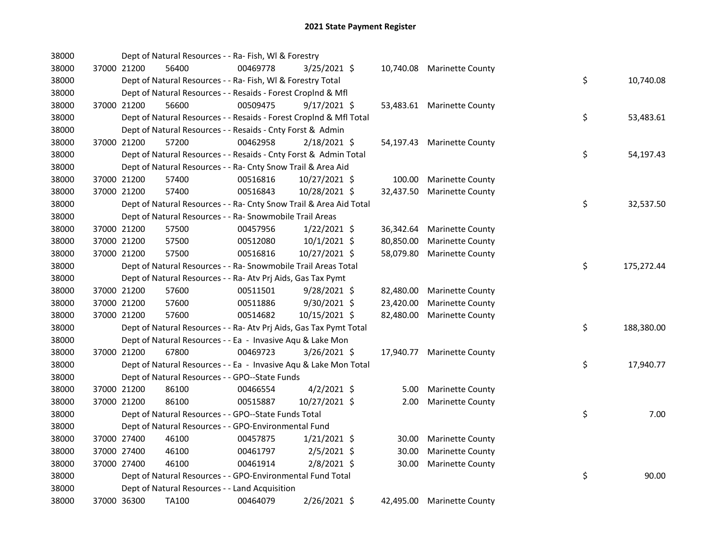| 38000 |             | Dept of Natural Resources - - Ra- Fish, WI & Forestry              |          |                |           |                            |    |            |
|-------|-------------|--------------------------------------------------------------------|----------|----------------|-----------|----------------------------|----|------------|
| 38000 | 37000 21200 | 56400                                                              | 00469778 | $3/25/2021$ \$ |           | 10,740.08 Marinette County |    |            |
| 38000 |             | Dept of Natural Resources - - Ra- Fish, WI & Forestry Total        |          |                |           |                            | \$ | 10,740.08  |
| 38000 |             | Dept of Natural Resources - - Resaids - Forest CropInd & Mfl       |          |                |           |                            |    |            |
| 38000 | 37000 21200 | 56600                                                              | 00509475 | $9/17/2021$ \$ |           | 53,483.61 Marinette County |    |            |
| 38000 |             | Dept of Natural Resources - - Resaids - Forest CropInd & Mfl Total |          |                |           |                            | \$ | 53,483.61  |
| 38000 |             | Dept of Natural Resources - - Resaids - Cnty Forst & Admin         |          |                |           |                            |    |            |
| 38000 | 37000 21200 | 57200                                                              | 00462958 | $2/18/2021$ \$ |           | 54,197.43 Marinette County |    |            |
| 38000 |             | Dept of Natural Resources - - Resaids - Cnty Forst & Admin Total   |          |                |           |                            | \$ | 54,197.43  |
| 38000 |             | Dept of Natural Resources - - Ra- Cnty Snow Trail & Area Aid       |          |                |           |                            |    |            |
| 38000 | 37000 21200 | 57400                                                              | 00516816 | 10/27/2021 \$  | 100.00    | <b>Marinette County</b>    |    |            |
| 38000 | 37000 21200 | 57400                                                              | 00516843 | 10/28/2021 \$  | 32,437.50 | <b>Marinette County</b>    |    |            |
| 38000 |             | Dept of Natural Resources - - Ra- Cnty Snow Trail & Area Aid Total |          |                |           |                            | \$ | 32,537.50  |
| 38000 |             | Dept of Natural Resources - - Ra- Snowmobile Trail Areas           |          |                |           |                            |    |            |
| 38000 | 37000 21200 | 57500                                                              | 00457956 | $1/22/2021$ \$ |           | 36,342.64 Marinette County |    |            |
| 38000 | 37000 21200 | 57500                                                              | 00512080 | $10/1/2021$ \$ | 80,850.00 | <b>Marinette County</b>    |    |            |
| 38000 | 37000 21200 | 57500                                                              | 00516816 | 10/27/2021 \$  | 58,079.80 | <b>Marinette County</b>    |    |            |
| 38000 |             | Dept of Natural Resources - - Ra- Snowmobile Trail Areas Total     |          |                |           |                            | \$ | 175,272.44 |
| 38000 |             | Dept of Natural Resources - - Ra- Atv Prj Aids, Gas Tax Pymt       |          |                |           |                            |    |            |
| 38000 | 37000 21200 | 57600                                                              | 00511501 | 9/28/2021 \$   | 82,480.00 | Marinette County           |    |            |
| 38000 | 37000 21200 | 57600                                                              | 00511886 | 9/30/2021 \$   | 23,420.00 | <b>Marinette County</b>    |    |            |
| 38000 | 37000 21200 | 57600                                                              | 00514682 | 10/15/2021 \$  | 82,480.00 | <b>Marinette County</b>    |    |            |
| 38000 |             | Dept of Natural Resources - - Ra- Atv Prj Aids, Gas Tax Pymt Total |          |                |           |                            | \$ | 188,380.00 |
| 38000 |             | Dept of Natural Resources - - Ea - Invasive Aqu & Lake Mon         |          |                |           |                            |    |            |
| 38000 | 37000 21200 | 67800                                                              | 00469723 | 3/26/2021 \$   |           | 17,940.77 Marinette County |    |            |
| 38000 |             | Dept of Natural Resources - - Ea - Invasive Aqu & Lake Mon Total   |          |                |           |                            | \$ | 17,940.77  |
| 38000 |             | Dept of Natural Resources - - GPO--State Funds                     |          |                |           |                            |    |            |
| 38000 | 37000 21200 | 86100                                                              | 00466554 | $4/2/2021$ \$  | 5.00      | <b>Marinette County</b>    |    |            |
| 38000 | 37000 21200 | 86100                                                              | 00515887 | 10/27/2021 \$  | 2.00      | <b>Marinette County</b>    |    |            |
| 38000 |             | Dept of Natural Resources - - GPO--State Funds Total               |          |                |           |                            | \$ | 7.00       |
| 38000 |             | Dept of Natural Resources - - GPO-Environmental Fund               |          |                |           |                            |    |            |
| 38000 | 37000 27400 | 46100                                                              | 00457875 | $1/21/2021$ \$ | 30.00     | <b>Marinette County</b>    |    |            |
| 38000 | 37000 27400 | 46100                                                              | 00461797 | $2/5/2021$ \$  | 30.00     | Marinette County           |    |            |
| 38000 | 37000 27400 | 46100                                                              | 00461914 | $2/8/2021$ \$  | 30.00     | <b>Marinette County</b>    |    |            |
| 38000 |             | Dept of Natural Resources - - GPO-Environmental Fund Total         |          |                |           |                            | \$ | 90.00      |
| 38000 |             | Dept of Natural Resources - - Land Acquisition                     |          |                |           |                            |    |            |
| 38000 | 37000 36300 | TA100                                                              | 00464079 | 2/26/2021 \$   | 42,495.00 | <b>Marinette County</b>    |    |            |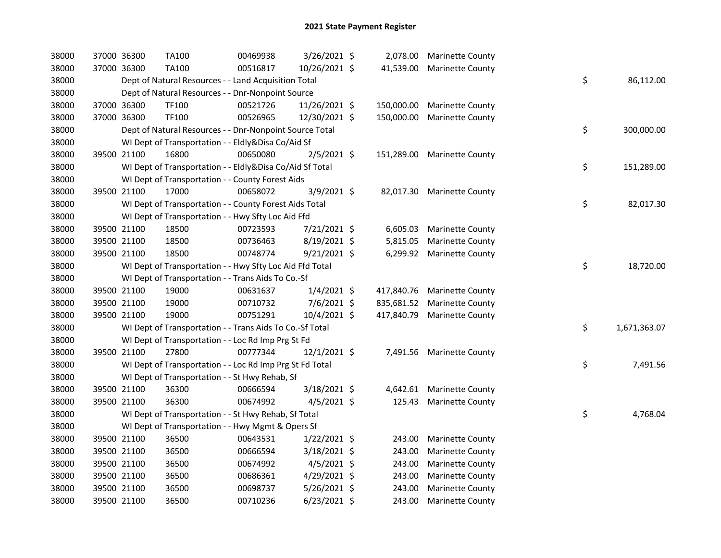| 38000 | 37000 36300 | <b>TA100</b>                                             | 00469938 | 3/26/2021 \$   | 2,078.00   | <b>Marinette County</b>    |                    |
|-------|-------------|----------------------------------------------------------|----------|----------------|------------|----------------------------|--------------------|
| 38000 | 37000 36300 | <b>TA100</b>                                             | 00516817 | 10/26/2021 \$  | 41,539.00  | <b>Marinette County</b>    |                    |
| 38000 |             | Dept of Natural Resources - - Land Acquisition Total     |          |                |            |                            | \$<br>86,112.00    |
| 38000 |             | Dept of Natural Resources - - Dnr-Nonpoint Source        |          |                |            |                            |                    |
| 38000 | 37000 36300 | TF100                                                    | 00521726 | 11/26/2021 \$  | 150,000.00 | Marinette County           |                    |
| 38000 | 37000 36300 | TF100                                                    | 00526965 | 12/30/2021 \$  | 150,000.00 | <b>Marinette County</b>    |                    |
| 38000 |             | Dept of Natural Resources - - Dnr-Nonpoint Source Total  |          |                |            |                            | \$<br>300,000.00   |
| 38000 |             | WI Dept of Transportation - - Eldly&Disa Co/Aid Sf       |          |                |            |                            |                    |
| 38000 | 39500 21100 | 16800                                                    | 00650080 | $2/5/2021$ \$  | 151,289.00 | <b>Marinette County</b>    |                    |
| 38000 |             | WI Dept of Transportation - - Eldly&Disa Co/Aid Sf Total |          |                |            |                            | \$<br>151,289.00   |
| 38000 |             | WI Dept of Transportation - - County Forest Aids         |          |                |            |                            |                    |
| 38000 | 39500 21100 | 17000                                                    | 00658072 | 3/9/2021 \$    |            | 82,017.30 Marinette County |                    |
| 38000 |             | WI Dept of Transportation - - County Forest Aids Total   |          |                |            |                            | \$<br>82,017.30    |
| 38000 |             | WI Dept of Transportation - - Hwy Sfty Loc Aid Ffd       |          |                |            |                            |                    |
| 38000 | 39500 21100 | 18500                                                    | 00723593 | 7/21/2021 \$   | 6,605.03   | <b>Marinette County</b>    |                    |
| 38000 | 39500 21100 | 18500                                                    | 00736463 | 8/19/2021 \$   | 5,815.05   | <b>Marinette County</b>    |                    |
| 38000 | 39500 21100 | 18500                                                    | 00748774 | $9/21/2021$ \$ |            | 6,299.92 Marinette County  |                    |
| 38000 |             | WI Dept of Transportation - - Hwy Sfty Loc Aid Ffd Total |          |                |            |                            | \$<br>18,720.00    |
| 38000 |             | WI Dept of Transportation - - Trans Aids To Co.-Sf       |          |                |            |                            |                    |
| 38000 | 39500 21100 | 19000                                                    | 00631637 | $1/4/2021$ \$  | 417,840.76 | <b>Marinette County</b>    |                    |
| 38000 | 39500 21100 | 19000                                                    | 00710732 | $7/6/2021$ \$  | 835,681.52 | <b>Marinette County</b>    |                    |
| 38000 | 39500 21100 | 19000                                                    | 00751291 | 10/4/2021 \$   | 417,840.79 | <b>Marinette County</b>    |                    |
| 38000 |             | WI Dept of Transportation - - Trans Aids To Co.-Sf Total |          |                |            |                            | \$<br>1,671,363.07 |
| 38000 |             | WI Dept of Transportation - - Loc Rd Imp Prg St Fd       |          |                |            |                            |                    |
| 38000 | 39500 21100 | 27800                                                    | 00777344 | 12/1/2021 \$   |            | 7,491.56 Marinette County  |                    |
| 38000 |             | WI Dept of Transportation - - Loc Rd Imp Prg St Fd Total |          |                |            |                            | \$<br>7,491.56     |
| 38000 |             | WI Dept of Transportation - - St Hwy Rehab, Sf           |          |                |            |                            |                    |
| 38000 | 39500 21100 | 36300                                                    | 00666594 | 3/18/2021 \$   | 4,642.61   | <b>Marinette County</b>    |                    |
| 38000 | 39500 21100 | 36300                                                    | 00674992 | $4/5/2021$ \$  | 125.43     | <b>Marinette County</b>    |                    |
| 38000 |             | WI Dept of Transportation - - St Hwy Rehab, Sf Total     |          |                |            |                            | \$<br>4,768.04     |
| 38000 |             | WI Dept of Transportation - - Hwy Mgmt & Opers Sf        |          |                |            |                            |                    |
| 38000 | 39500 21100 | 36500                                                    | 00643531 | $1/22/2021$ \$ | 243.00     | <b>Marinette County</b>    |                    |
| 38000 | 39500 21100 | 36500                                                    | 00666594 | 3/18/2021 \$   | 243.00     | <b>Marinette County</b>    |                    |
| 38000 | 39500 21100 | 36500                                                    | 00674992 | 4/5/2021 \$    | 243.00     | <b>Marinette County</b>    |                    |
| 38000 | 39500 21100 | 36500                                                    | 00686361 | 4/29/2021 \$   | 243.00     | <b>Marinette County</b>    |                    |
| 38000 | 39500 21100 | 36500                                                    | 00698737 | 5/26/2021 \$   | 243.00     | <b>Marinette County</b>    |                    |
| 38000 | 39500 21100 | 36500                                                    | 00710236 | $6/23/2021$ \$ | 243.00     | <b>Marinette County</b>    |                    |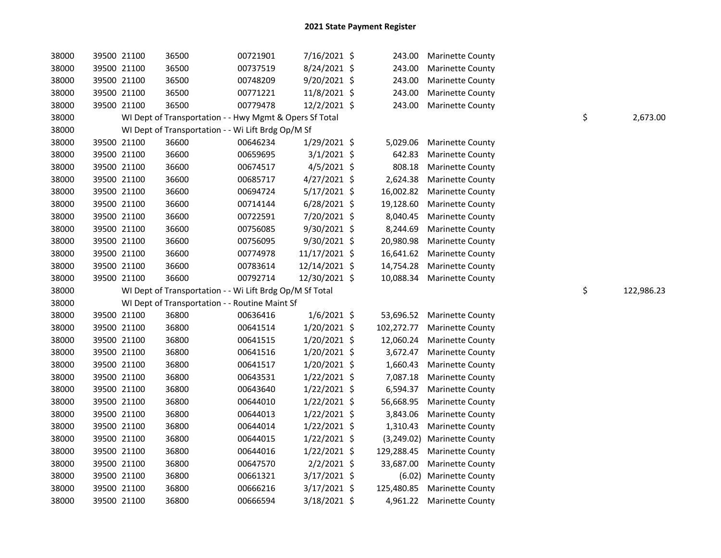| 38000 | 39500 21100 | 36500                                                    | 00721901 | 7/16/2021 \$   | 243.00     | <b>Marinette County</b> |    |            |
|-------|-------------|----------------------------------------------------------|----------|----------------|------------|-------------------------|----|------------|
| 38000 | 39500 21100 | 36500                                                    | 00737519 | 8/24/2021 \$   | 243.00     | <b>Marinette County</b> |    |            |
| 38000 | 39500 21100 | 36500                                                    | 00748209 | 9/20/2021 \$   | 243.00     | <b>Marinette County</b> |    |            |
| 38000 | 39500 21100 | 36500                                                    | 00771221 | 11/8/2021 \$   | 243.00     | <b>Marinette County</b> |    |            |
| 38000 | 39500 21100 | 36500                                                    | 00779478 | 12/2/2021 \$   | 243.00     | <b>Marinette County</b> |    |            |
| 38000 |             | WI Dept of Transportation - - Hwy Mgmt & Opers Sf Total  |          |                |            |                         | \$ | 2,673.00   |
| 38000 |             | WI Dept of Transportation - - Wi Lift Brdg Op/M Sf       |          |                |            |                         |    |            |
| 38000 | 39500 21100 | 36600                                                    | 00646234 | 1/29/2021 \$   | 5,029.06   | <b>Marinette County</b> |    |            |
| 38000 | 39500 21100 | 36600                                                    | 00659695 | $3/1/2021$ \$  | 642.83     | <b>Marinette County</b> |    |            |
| 38000 | 39500 21100 | 36600                                                    | 00674517 | $4/5/2021$ \$  | 808.18     | <b>Marinette County</b> |    |            |
| 38000 | 39500 21100 | 36600                                                    | 00685717 | $4/27/2021$ \$ | 2,624.38   | Marinette County        |    |            |
| 38000 | 39500 21100 | 36600                                                    | 00694724 | 5/17/2021 \$   | 16,002.82  | <b>Marinette County</b> |    |            |
| 38000 | 39500 21100 | 36600                                                    | 00714144 | 6/28/2021 \$   | 19,128.60  | <b>Marinette County</b> |    |            |
| 38000 | 39500 21100 | 36600                                                    | 00722591 | 7/20/2021 \$   | 8,040.45   | <b>Marinette County</b> |    |            |
| 38000 | 39500 21100 | 36600                                                    | 00756085 | 9/30/2021 \$   | 8,244.69   | <b>Marinette County</b> |    |            |
| 38000 | 39500 21100 | 36600                                                    | 00756095 | 9/30/2021 \$   | 20,980.98  | <b>Marinette County</b> |    |            |
| 38000 | 39500 21100 | 36600                                                    | 00774978 | 11/17/2021 \$  | 16,641.62  | <b>Marinette County</b> |    |            |
| 38000 | 39500 21100 | 36600                                                    | 00783614 | 12/14/2021 \$  | 14,754.28  | <b>Marinette County</b> |    |            |
| 38000 | 39500 21100 | 36600                                                    | 00792714 | 12/30/2021 \$  | 10,088.34  | <b>Marinette County</b> |    |            |
| 38000 |             | WI Dept of Transportation - - Wi Lift Brdg Op/M Sf Total |          |                |            |                         | \$ | 122,986.23 |
| 38000 |             | WI Dept of Transportation - - Routine Maint Sf           |          |                |            |                         |    |            |
| 38000 | 39500 21100 | 36800                                                    | 00636416 | $1/6/2021$ \$  | 53,696.52  | <b>Marinette County</b> |    |            |
| 38000 | 39500 21100 | 36800                                                    | 00641514 | 1/20/2021 \$   | 102,272.77 | <b>Marinette County</b> |    |            |
| 38000 | 39500 21100 | 36800                                                    | 00641515 | 1/20/2021 \$   | 12,060.24  | <b>Marinette County</b> |    |            |
| 38000 | 39500 21100 | 36800                                                    | 00641516 | 1/20/2021 \$   | 3,672.47   | <b>Marinette County</b> |    |            |
| 38000 | 39500 21100 | 36800                                                    | 00641517 | 1/20/2021 \$   | 1,660.43   | <b>Marinette County</b> |    |            |
| 38000 | 39500 21100 | 36800                                                    | 00643531 | 1/22/2021 \$   | 7,087.18   | <b>Marinette County</b> |    |            |
| 38000 | 39500 21100 | 36800                                                    | 00643640 | $1/22/2021$ \$ | 6,594.37   | <b>Marinette County</b> |    |            |
| 38000 | 39500 21100 | 36800                                                    | 00644010 | $1/22/2021$ \$ | 56,668.95  | <b>Marinette County</b> |    |            |
| 38000 | 39500 21100 | 36800                                                    | 00644013 | $1/22/2021$ \$ | 3,843.06   | <b>Marinette County</b> |    |            |
| 38000 | 39500 21100 | 36800                                                    | 00644014 | 1/22/2021 \$   | 1,310.43   | <b>Marinette County</b> |    |            |
| 38000 | 39500 21100 | 36800                                                    | 00644015 | $1/22/2021$ \$ | (3,249.02) | <b>Marinette County</b> |    |            |
| 38000 | 39500 21100 | 36800                                                    | 00644016 | $1/22/2021$ \$ | 129,288.45 | <b>Marinette County</b> |    |            |
| 38000 | 39500 21100 | 36800                                                    | 00647570 | $2/2/2021$ \$  | 33,687.00  | <b>Marinette County</b> |    |            |
| 38000 | 39500 21100 | 36800                                                    | 00661321 | 3/17/2021 \$   |            | (6.02) Marinette County |    |            |
| 38000 | 39500 21100 | 36800                                                    | 00666216 | 3/17/2021 \$   | 125,480.85 | <b>Marinette County</b> |    |            |
| 38000 | 39500 21100 | 36800                                                    | 00666594 | 3/18/2021 \$   | 4,961.22   | <b>Marinette County</b> |    |            |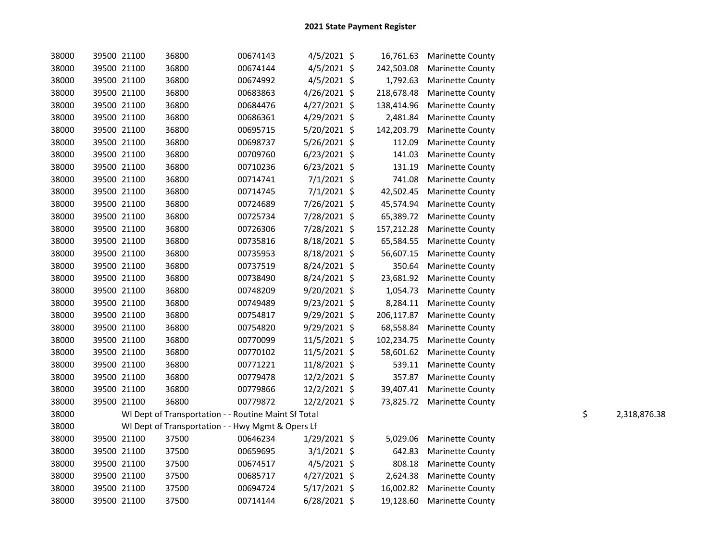| 38000 |             | 39500 21100 | 36800                                                | 00674143 | $4/5/2021$ \$  |            | 16,761.63 Marinette County |                    |
|-------|-------------|-------------|------------------------------------------------------|----------|----------------|------------|----------------------------|--------------------|
| 38000 | 39500 21100 |             | 36800                                                | 00674144 | $4/5/2021$ \$  | 242,503.08 | <b>Marinette County</b>    |                    |
| 38000 | 39500 21100 |             | 36800                                                | 00674992 | $4/5/2021$ \$  | 1,792.63   | <b>Marinette County</b>    |                    |
| 38000 | 39500 21100 |             | 36800                                                | 00683863 | $4/26/2021$ \$ | 218,678.48 | <b>Marinette County</b>    |                    |
| 38000 | 39500 21100 |             | 36800                                                | 00684476 | $4/27/2021$ \$ | 138,414.96 | <b>Marinette County</b>    |                    |
| 38000 | 39500 21100 |             | 36800                                                | 00686361 | $4/29/2021$ \$ | 2,481.84   | <b>Marinette County</b>    |                    |
| 38000 | 39500 21100 |             | 36800                                                | 00695715 | $5/20/2021$ \$ | 142,203.79 | <b>Marinette County</b>    |                    |
| 38000 | 39500 21100 |             | 36800                                                | 00698737 | $5/26/2021$ \$ | 112.09     | <b>Marinette County</b>    |                    |
| 38000 | 39500 21100 |             | 36800                                                | 00709760 | $6/23/2021$ \$ | 141.03     | <b>Marinette County</b>    |                    |
| 38000 | 39500 21100 |             | 36800                                                | 00710236 | $6/23/2021$ \$ | 131.19     | <b>Marinette County</b>    |                    |
| 38000 | 39500 21100 |             | 36800                                                | 00714741 | $7/1/2021$ \$  | 741.08     | <b>Marinette County</b>    |                    |
| 38000 | 39500 21100 |             | 36800                                                | 00714745 | $7/1/2021$ \$  | 42,502.45  | <b>Marinette County</b>    |                    |
| 38000 | 39500 21100 |             | 36800                                                | 00724689 | 7/26/2021 \$   | 45,574.94  | <b>Marinette County</b>    |                    |
| 38000 | 39500 21100 |             | 36800                                                | 00725734 | 7/28/2021 \$   | 65,389.72  | <b>Marinette County</b>    |                    |
| 38000 | 39500 21100 |             | 36800                                                | 00726306 | 7/28/2021 \$   | 157,212.28 | <b>Marinette County</b>    |                    |
| 38000 | 39500 21100 |             | 36800                                                | 00735816 | 8/18/2021 \$   | 65,584.55  | <b>Marinette County</b>    |                    |
| 38000 | 39500 21100 |             | 36800                                                | 00735953 | 8/18/2021 \$   | 56,607.15  | <b>Marinette County</b>    |                    |
| 38000 | 39500 21100 |             | 36800                                                | 00737519 | 8/24/2021 \$   | 350.64     | <b>Marinette County</b>    |                    |
| 38000 | 39500 21100 |             | 36800                                                | 00738490 | $8/24/2021$ \$ | 23,681.92  | <b>Marinette County</b>    |                    |
| 38000 | 39500 21100 |             | 36800                                                | 00748209 | $9/20/2021$ \$ |            | 1,054.73 Marinette County  |                    |
| 38000 | 39500 21100 |             | 36800                                                | 00749489 | $9/23/2021$ \$ |            | 8,284.11 Marinette County  |                    |
| 38000 | 39500 21100 |             | 36800                                                | 00754817 | 9/29/2021 \$   | 206,117.87 | <b>Marinette County</b>    |                    |
| 38000 | 39500 21100 |             | 36800                                                | 00754820 | 9/29/2021 \$   | 68,558.84  | <b>Marinette County</b>    |                    |
| 38000 | 39500 21100 |             | 36800                                                | 00770099 | 11/5/2021 \$   | 102,234.75 | <b>Marinette County</b>    |                    |
| 38000 | 39500 21100 |             | 36800                                                | 00770102 | $11/5/2021$ \$ |            | 58,601.62 Marinette County |                    |
| 38000 | 39500 21100 |             | 36800                                                | 00771221 | 11/8/2021 \$   |            | 539.11 Marinette County    |                    |
| 38000 | 39500 21100 |             | 36800                                                | 00779478 | 12/2/2021 \$   | 357.87     | <b>Marinette County</b>    |                    |
| 38000 | 39500 21100 |             | 36800                                                | 00779866 | 12/2/2021 \$   |            | 39,407.41 Marinette County |                    |
| 38000 | 39500 21100 |             | 36800                                                | 00779872 | 12/2/2021 \$   |            | 73,825.72 Marinette County |                    |
| 38000 |             |             | WI Dept of Transportation - - Routine Maint Sf Total |          |                |            |                            | \$<br>2,318,876.38 |
| 38000 |             |             | WI Dept of Transportation - - Hwy Mgmt & Opers Lf    |          |                |            |                            |                    |
| 38000 | 39500 21100 |             | 37500                                                | 00646234 | $1/29/2021$ \$ | 5,029.06   | <b>Marinette County</b>    |                    |
| 38000 | 39500 21100 |             | 37500                                                | 00659695 | $3/1/2021$ \$  | 642.83     | <b>Marinette County</b>    |                    |
| 38000 | 39500 21100 |             | 37500                                                | 00674517 | $4/5/2021$ \$  | 808.18     | <b>Marinette County</b>    |                    |
| 38000 | 39500 21100 |             | 37500                                                | 00685717 | $4/27/2021$ \$ | 2,624.38   | <b>Marinette County</b>    |                    |
| 38000 | 39500 21100 |             | 37500                                                | 00694724 | $5/17/2021$ \$ | 16,002.82  | <b>Marinette County</b>    |                    |
| 38000 |             | 39500 21100 | 37500                                                | 00714144 | $6/28/2021$ \$ |            | 19,128.60 Marinette County |                    |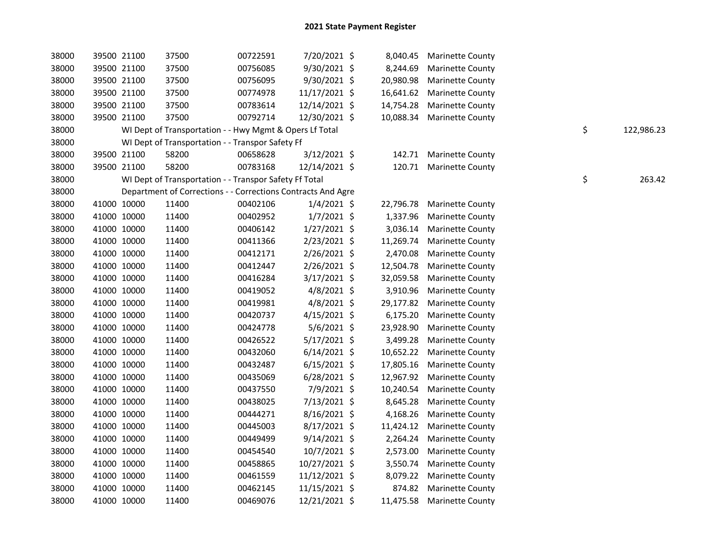| 38000 | 39500 21100 | 37500                                                        | 00722591 | 7/20/2021 \$   | 8,040.45  | <b>Marinette County</b>    |    |            |
|-------|-------------|--------------------------------------------------------------|----------|----------------|-----------|----------------------------|----|------------|
| 38000 | 39500 21100 | 37500                                                        | 00756085 | 9/30/2021 \$   | 8,244.69  | <b>Marinette County</b>    |    |            |
| 38000 | 39500 21100 | 37500                                                        | 00756095 | 9/30/2021 \$   | 20,980.98 | <b>Marinette County</b>    |    |            |
| 38000 | 39500 21100 | 37500                                                        | 00774978 | 11/17/2021 \$  | 16,641.62 | <b>Marinette County</b>    |    |            |
| 38000 | 39500 21100 | 37500                                                        | 00783614 | 12/14/2021 \$  | 14,754.28 | <b>Marinette County</b>    |    |            |
| 38000 | 39500 21100 | 37500                                                        | 00792714 | 12/30/2021 \$  | 10,088.34 | <b>Marinette County</b>    |    |            |
| 38000 |             | WI Dept of Transportation - - Hwy Mgmt & Opers Lf Total      |          |                |           |                            | \$ | 122,986.23 |
| 38000 |             | WI Dept of Transportation - - Transpor Safety Ff             |          |                |           |                            |    |            |
| 38000 | 39500 21100 | 58200                                                        | 00658628 | $3/12/2021$ \$ | 142.71    | <b>Marinette County</b>    |    |            |
| 38000 | 39500 21100 | 58200                                                        | 00783168 | 12/14/2021 \$  |           | 120.71 Marinette County    |    |            |
| 38000 |             | WI Dept of Transportation - - Transpor Safety Ff Total       |          |                |           |                            | \$ | 263.42     |
| 38000 |             | Department of Corrections - - Corrections Contracts And Agre |          |                |           |                            |    |            |
| 38000 | 41000 10000 | 11400                                                        | 00402106 | $1/4/2021$ \$  | 22,796.78 | <b>Marinette County</b>    |    |            |
| 38000 | 41000 10000 | 11400                                                        | 00402952 | $1/7/2021$ \$  | 1,337.96  | <b>Marinette County</b>    |    |            |
| 38000 | 41000 10000 | 11400                                                        | 00406142 | $1/27/2021$ \$ | 3,036.14  | <b>Marinette County</b>    |    |            |
| 38000 | 41000 10000 | 11400                                                        | 00411366 | $2/23/2021$ \$ | 11,269.74 | <b>Marinette County</b>    |    |            |
| 38000 | 41000 10000 | 11400                                                        | 00412171 | $2/26/2021$ \$ | 2,470.08  | <b>Marinette County</b>    |    |            |
| 38000 | 41000 10000 | 11400                                                        | 00412447 | $2/26/2021$ \$ | 12,504.78 | <b>Marinette County</b>    |    |            |
| 38000 | 41000 10000 | 11400                                                        | 00416284 | $3/17/2021$ \$ | 32,059.58 | <b>Marinette County</b>    |    |            |
| 38000 | 41000 10000 | 11400                                                        | 00419052 | 4/8/2021 \$    | 3,910.96  | <b>Marinette County</b>    |    |            |
| 38000 | 41000 10000 | 11400                                                        | 00419981 | $4/8/2021$ \$  | 29,177.82 | <b>Marinette County</b>    |    |            |
| 38000 | 41000 10000 | 11400                                                        | 00420737 | $4/15/2021$ \$ | 6,175.20  | <b>Marinette County</b>    |    |            |
| 38000 | 41000 10000 | 11400                                                        | 00424778 | $5/6/2021$ \$  | 23,928.90 | <b>Marinette County</b>    |    |            |
| 38000 | 41000 10000 | 11400                                                        | 00426522 | $5/17/2021$ \$ | 3,499.28  | <b>Marinette County</b>    |    |            |
| 38000 | 41000 10000 | 11400                                                        | 00432060 | $6/14/2021$ \$ | 10,652.22 | <b>Marinette County</b>    |    |            |
| 38000 | 41000 10000 | 11400                                                        | 00432487 | $6/15/2021$ \$ | 17,805.16 | <b>Marinette County</b>    |    |            |
| 38000 | 41000 10000 | 11400                                                        | 00435069 | $6/28/2021$ \$ | 12,967.92 | <b>Marinette County</b>    |    |            |
| 38000 | 41000 10000 | 11400                                                        | 00437550 | 7/9/2021 \$    | 10,240.54 | <b>Marinette County</b>    |    |            |
| 38000 | 41000 10000 | 11400                                                        | 00438025 | 7/13/2021 \$   | 8,645.28  | <b>Marinette County</b>    |    |            |
| 38000 | 41000 10000 | 11400                                                        | 00444271 | $8/16/2021$ \$ | 4,168.26  | <b>Marinette County</b>    |    |            |
| 38000 | 41000 10000 | 11400                                                        | 00445003 | $8/17/2021$ \$ | 11,424.12 | <b>Marinette County</b>    |    |            |
| 38000 | 41000 10000 | 11400                                                        | 00449499 | $9/14/2021$ \$ | 2,264.24  | <b>Marinette County</b>    |    |            |
| 38000 | 41000 10000 | 11400                                                        | 00454540 | 10/7/2021 \$   | 2,573.00  | <b>Marinette County</b>    |    |            |
| 38000 | 41000 10000 | 11400                                                        | 00458865 | 10/27/2021 \$  | 3,550.74  | <b>Marinette County</b>    |    |            |
| 38000 | 41000 10000 | 11400                                                        | 00461559 | 11/12/2021 \$  | 8,079.22  | <b>Marinette County</b>    |    |            |
| 38000 | 41000 10000 | 11400                                                        | 00462145 | 11/15/2021 \$  | 874.82    | <b>Marinette County</b>    |    |            |
| 38000 | 41000 10000 | 11400                                                        | 00469076 | 12/21/2021 \$  |           | 11,475.58 Marinette County |    |            |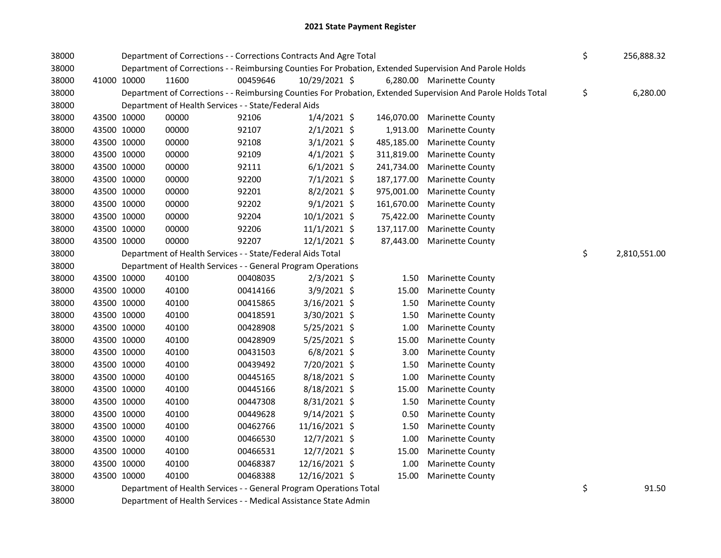| 38000 |             | Department of Corrections - - Corrections Contracts And Agre Total |                                                                                                         | \$<br>256,888.32 |            |                                                                                                               |                    |
|-------|-------------|--------------------------------------------------------------------|---------------------------------------------------------------------------------------------------------|------------------|------------|---------------------------------------------------------------------------------------------------------------|--------------------|
| 38000 |             |                                                                    | Department of Corrections - - Reimbursing Counties For Probation, Extended Supervision And Parole Holds |                  |            |                                                                                                               |                    |
| 38000 | 41000 10000 | 11600                                                              | 00459646                                                                                                | 10/29/2021 \$    |            | 6,280.00 Marinette County                                                                                     |                    |
| 38000 |             |                                                                    |                                                                                                         |                  |            | Department of Corrections - - Reimbursing Counties For Probation, Extended Supervision And Parole Holds Total | \$<br>6,280.00     |
| 38000 |             | Department of Health Services - - State/Federal Aids               |                                                                                                         |                  |            |                                                                                                               |                    |
| 38000 | 43500 10000 | 00000                                                              | 92106                                                                                                   | $1/4/2021$ \$    |            | 146,070.00 Marinette County                                                                                   |                    |
| 38000 | 43500 10000 | 00000                                                              | 92107                                                                                                   | $2/1/2021$ \$    | 1,913.00   | <b>Marinette County</b>                                                                                       |                    |
| 38000 | 43500 10000 | 00000                                                              | 92108                                                                                                   | $3/1/2021$ \$    | 485,185.00 | <b>Marinette County</b>                                                                                       |                    |
| 38000 | 43500 10000 | 00000                                                              | 92109                                                                                                   | $4/1/2021$ \$    | 311,819.00 | <b>Marinette County</b>                                                                                       |                    |
| 38000 | 43500 10000 | 00000                                                              | 92111                                                                                                   | $6/1/2021$ \$    | 241,734.00 | <b>Marinette County</b>                                                                                       |                    |
| 38000 | 43500 10000 | 00000                                                              | 92200                                                                                                   | $7/1/2021$ \$    | 187,177.00 | <b>Marinette County</b>                                                                                       |                    |
| 38000 | 43500 10000 | 00000                                                              | 92201                                                                                                   | 8/2/2021 \$      | 975,001.00 | <b>Marinette County</b>                                                                                       |                    |
| 38000 | 43500 10000 | 00000                                                              | 92202                                                                                                   | $9/1/2021$ \$    | 161,670.00 | <b>Marinette County</b>                                                                                       |                    |
| 38000 | 43500 10000 | 00000                                                              | 92204                                                                                                   | 10/1/2021 \$     | 75,422.00  | <b>Marinette County</b>                                                                                       |                    |
| 38000 | 43500 10000 | 00000                                                              | 92206                                                                                                   | $11/1/2021$ \$   | 137,117.00 | <b>Marinette County</b>                                                                                       |                    |
| 38000 | 43500 10000 | 00000                                                              | 92207                                                                                                   | 12/1/2021 \$     | 87,443.00  | <b>Marinette County</b>                                                                                       |                    |
| 38000 |             | Department of Health Services - - State/Federal Aids Total         |                                                                                                         |                  |            |                                                                                                               | \$<br>2,810,551.00 |
| 38000 |             | Department of Health Services - - General Program Operations       |                                                                                                         |                  |            |                                                                                                               |                    |
| 38000 | 43500 10000 | 40100                                                              | 00408035                                                                                                | $2/3/2021$ \$    | 1.50       | <b>Marinette County</b>                                                                                       |                    |
| 38000 | 43500 10000 | 40100                                                              | 00414166                                                                                                | 3/9/2021 \$      | 15.00      | Marinette County                                                                                              |                    |
| 38000 | 43500 10000 | 40100                                                              | 00415865                                                                                                | 3/16/2021 \$     | 1.50       | <b>Marinette County</b>                                                                                       |                    |
| 38000 | 43500 10000 | 40100                                                              | 00418591                                                                                                | 3/30/2021 \$     | 1.50       | <b>Marinette County</b>                                                                                       |                    |
| 38000 | 43500 10000 | 40100                                                              | 00428908                                                                                                | 5/25/2021 \$     | 1.00       | <b>Marinette County</b>                                                                                       |                    |
| 38000 | 43500 10000 | 40100                                                              | 00428909                                                                                                | 5/25/2021 \$     | 15.00      | <b>Marinette County</b>                                                                                       |                    |
| 38000 | 43500 10000 | 40100                                                              | 00431503                                                                                                | $6/8/2021$ \$    | 3.00       | <b>Marinette County</b>                                                                                       |                    |
| 38000 | 43500 10000 | 40100                                                              | 00439492                                                                                                | 7/20/2021 \$     | 1.50       | <b>Marinette County</b>                                                                                       |                    |
| 38000 | 43500 10000 | 40100                                                              | 00445165                                                                                                | 8/18/2021 \$     | 1.00       | <b>Marinette County</b>                                                                                       |                    |
| 38000 | 43500 10000 | 40100                                                              | 00445166                                                                                                | 8/18/2021 \$     | 15.00      | <b>Marinette County</b>                                                                                       |                    |
| 38000 | 43500 10000 | 40100                                                              | 00447308                                                                                                | 8/31/2021 \$     | 1.50       | <b>Marinette County</b>                                                                                       |                    |
| 38000 | 43500 10000 | 40100                                                              | 00449628                                                                                                | 9/14/2021 \$     | 0.50       | Marinette County                                                                                              |                    |
| 38000 | 43500 10000 | 40100                                                              | 00462766                                                                                                | 11/16/2021 \$    | 1.50       | <b>Marinette County</b>                                                                                       |                    |
| 38000 | 43500 10000 | 40100                                                              | 00466530                                                                                                | 12/7/2021 \$     | 1.00       | <b>Marinette County</b>                                                                                       |                    |
| 38000 | 43500 10000 | 40100                                                              | 00466531                                                                                                | 12/7/2021 \$     | 15.00      | Marinette County                                                                                              |                    |
| 38000 | 43500 10000 | 40100                                                              | 00468387                                                                                                | 12/16/2021 \$    | 1.00       | <b>Marinette County</b>                                                                                       |                    |
| 38000 | 43500 10000 | 40100                                                              | 00468388                                                                                                | 12/16/2021 \$    | 15.00      | <b>Marinette County</b>                                                                                       |                    |
| 38000 |             | Department of Health Services - - General Program Operations Total |                                                                                                         |                  |            |                                                                                                               | \$<br>91.50        |

38000 Department of Health Services - - Medical Assistance State Admin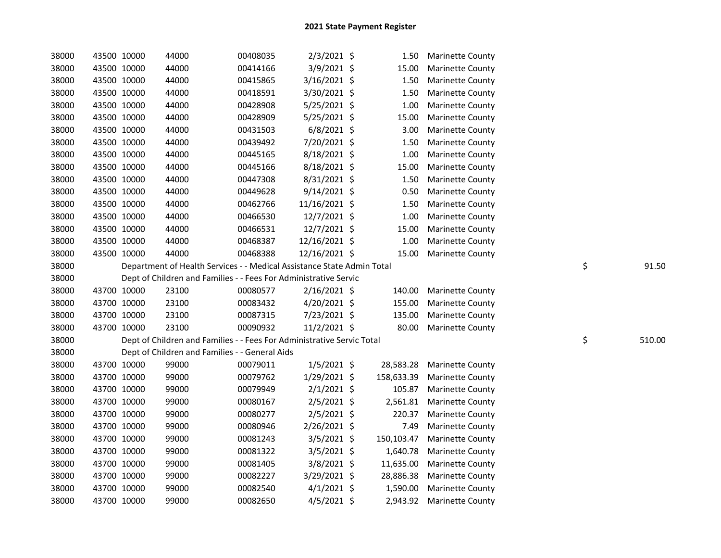| 38000 |             | 43500 10000 | 44000                                                                  | 00408035 | $2/3/2021$ \$  | 1.50       | <b>Marinette County</b> |              |
|-------|-------------|-------------|------------------------------------------------------------------------|----------|----------------|------------|-------------------------|--------------|
| 38000 |             | 43500 10000 | 44000                                                                  | 00414166 | 3/9/2021 \$    | 15.00      | <b>Marinette County</b> |              |
| 38000 | 43500 10000 |             | 44000                                                                  | 00415865 | 3/16/2021 \$   | 1.50       | <b>Marinette County</b> |              |
| 38000 | 43500 10000 |             | 44000                                                                  | 00418591 | 3/30/2021 \$   | 1.50       | <b>Marinette County</b> |              |
| 38000 | 43500 10000 |             | 44000                                                                  | 00428908 | 5/25/2021 \$   | 1.00       | <b>Marinette County</b> |              |
| 38000 | 43500 10000 |             | 44000                                                                  | 00428909 | 5/25/2021 \$   | 15.00      | Marinette County        |              |
| 38000 | 43500 10000 |             | 44000                                                                  | 00431503 | $6/8/2021$ \$  | 3.00       | Marinette County        |              |
| 38000 | 43500 10000 |             | 44000                                                                  | 00439492 | 7/20/2021 \$   | 1.50       | Marinette County        |              |
| 38000 |             | 43500 10000 | 44000                                                                  | 00445165 | 8/18/2021 \$   | 1.00       | Marinette County        |              |
| 38000 |             | 43500 10000 | 44000                                                                  | 00445166 | 8/18/2021 \$   | 15.00      | <b>Marinette County</b> |              |
| 38000 |             | 43500 10000 | 44000                                                                  | 00447308 | $8/31/2021$ \$ | 1.50       | <b>Marinette County</b> |              |
| 38000 |             | 43500 10000 | 44000                                                                  | 00449628 | 9/14/2021 \$   | 0.50       | <b>Marinette County</b> |              |
| 38000 |             | 43500 10000 | 44000                                                                  | 00462766 | 11/16/2021 \$  | 1.50       | <b>Marinette County</b> |              |
| 38000 |             | 43500 10000 | 44000                                                                  | 00466530 | 12/7/2021 \$   | 1.00       | <b>Marinette County</b> |              |
| 38000 |             | 43500 10000 | 44000                                                                  | 00466531 | 12/7/2021 \$   | 15.00      | <b>Marinette County</b> |              |
| 38000 |             | 43500 10000 | 44000                                                                  | 00468387 | 12/16/2021 \$  | 1.00       | Marinette County        |              |
| 38000 | 43500 10000 |             | 44000                                                                  | 00468388 | 12/16/2021 \$  | 15.00      | <b>Marinette County</b> |              |
| 38000 |             |             | Department of Health Services - - Medical Assistance State Admin Total |          |                |            |                         | \$<br>91.50  |
| 38000 |             |             | Dept of Children and Families - - Fees For Administrative Servic       |          |                |            |                         |              |
| 38000 |             | 43700 10000 | 23100                                                                  | 00080577 | 2/16/2021 \$   | 140.00     | <b>Marinette County</b> |              |
| 38000 |             | 43700 10000 | 23100                                                                  | 00083432 | $4/20/2021$ \$ | 155.00     | <b>Marinette County</b> |              |
| 38000 |             | 43700 10000 | 23100                                                                  | 00087315 | 7/23/2021 \$   | 135.00     | <b>Marinette County</b> |              |
| 38000 |             | 43700 10000 | 23100                                                                  | 00090932 | 11/2/2021 \$   | 80.00      | <b>Marinette County</b> |              |
| 38000 |             |             | Dept of Children and Families - - Fees For Administrative Servic Total |          |                |            |                         | \$<br>510.00 |
| 38000 |             |             | Dept of Children and Families - - General Aids                         |          |                |            |                         |              |
| 38000 |             | 43700 10000 | 99000                                                                  | 00079011 | $1/5/2021$ \$  | 28,583.28  | <b>Marinette County</b> |              |
| 38000 |             | 43700 10000 | 99000                                                                  | 00079762 | 1/29/2021 \$   | 158,633.39 | <b>Marinette County</b> |              |
| 38000 |             | 43700 10000 | 99000                                                                  | 00079949 | $2/1/2021$ \$  | 105.87     | <b>Marinette County</b> |              |
| 38000 |             | 43700 10000 | 99000                                                                  | 00080167 | $2/5/2021$ \$  | 2,561.81   | <b>Marinette County</b> |              |
| 38000 |             | 43700 10000 | 99000                                                                  | 00080277 | $2/5/2021$ \$  | 220.37     | <b>Marinette County</b> |              |
| 38000 |             | 43700 10000 | 99000                                                                  | 00080946 | 2/26/2021 \$   | 7.49       | <b>Marinette County</b> |              |
| 38000 |             | 43700 10000 | 99000                                                                  | 00081243 | $3/5/2021$ \$  | 150,103.47 | <b>Marinette County</b> |              |
| 38000 | 43700 10000 |             | 99000                                                                  | 00081322 | $3/5/2021$ \$  | 1,640.78   | <b>Marinette County</b> |              |
| 38000 | 43700 10000 |             | 99000                                                                  | 00081405 | $3/8/2021$ \$  | 11,635.00  | <b>Marinette County</b> |              |
| 38000 | 43700 10000 |             | 99000                                                                  | 00082227 | 3/29/2021 \$   | 28,886.38  | <b>Marinette County</b> |              |
| 38000 | 43700 10000 |             | 99000                                                                  | 00082540 | $4/1/2021$ \$  | 1,590.00   | <b>Marinette County</b> |              |
| 38000 | 43700 10000 |             | 99000                                                                  | 00082650 | $4/5/2021$ \$  | 2,943.92   | <b>Marinette County</b> |              |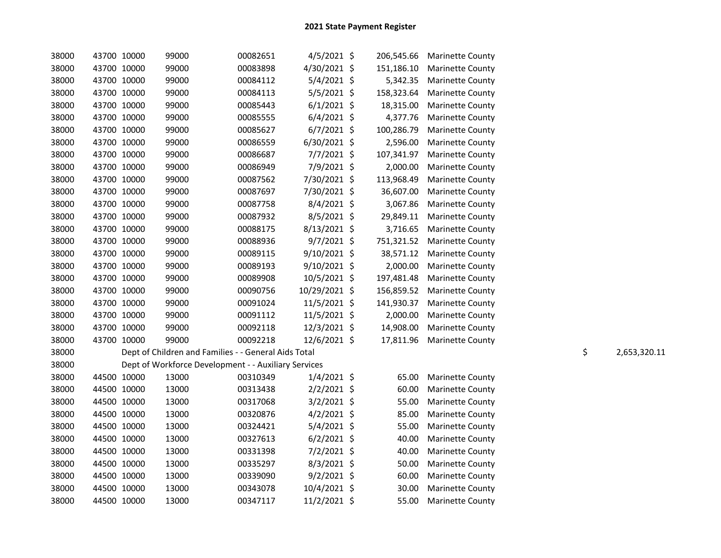| 38000 | 43700 10000 | 99000                                                | 00082651 | $4/5/2021$ \$  |            | 206,545.66 Marinette County |    |              |
|-------|-------------|------------------------------------------------------|----------|----------------|------------|-----------------------------|----|--------------|
| 38000 | 43700 10000 | 99000                                                | 00083898 | 4/30/2021 \$   | 151,186.10 | <b>Marinette County</b>     |    |              |
| 38000 | 43700 10000 | 99000                                                | 00084112 | $5/4/2021$ \$  | 5,342.35   | <b>Marinette County</b>     |    |              |
| 38000 | 43700 10000 | 99000                                                | 00084113 | $5/5/2021$ \$  | 158,323.64 | <b>Marinette County</b>     |    |              |
| 38000 | 43700 10000 | 99000                                                | 00085443 | $6/1/2021$ \$  | 18,315.00  | <b>Marinette County</b>     |    |              |
| 38000 | 43700 10000 | 99000                                                | 00085555 | $6/4/2021$ \$  | 4,377.76   | Marinette County            |    |              |
| 38000 | 43700 10000 | 99000                                                | 00085627 | $6/7/2021$ \$  | 100,286.79 | <b>Marinette County</b>     |    |              |
| 38000 | 43700 10000 | 99000                                                | 00086559 | $6/30/2021$ \$ | 2,596.00   | <b>Marinette County</b>     |    |              |
| 38000 | 43700 10000 | 99000                                                | 00086687 | $7/7/2021$ \$  | 107,341.97 | <b>Marinette County</b>     |    |              |
| 38000 | 43700 10000 | 99000                                                | 00086949 | 7/9/2021 \$    | 2,000.00   | <b>Marinette County</b>     |    |              |
| 38000 | 43700 10000 | 99000                                                | 00087562 | 7/30/2021 \$   | 113,968.49 | <b>Marinette County</b>     |    |              |
| 38000 | 43700 10000 | 99000                                                | 00087697 | 7/30/2021 \$   | 36,607.00  | <b>Marinette County</b>     |    |              |
| 38000 | 43700 10000 | 99000                                                | 00087758 | $8/4/2021$ \$  | 3,067.86   | <b>Marinette County</b>     |    |              |
| 38000 | 43700 10000 | 99000                                                | 00087932 | $8/5/2021$ \$  | 29,849.11  | <b>Marinette County</b>     |    |              |
| 38000 | 43700 10000 | 99000                                                | 00088175 | $8/13/2021$ \$ | 3,716.65   | <b>Marinette County</b>     |    |              |
| 38000 | 43700 10000 | 99000                                                | 00088936 | $9/7/2021$ \$  |            | 751,321.52 Marinette County |    |              |
| 38000 | 43700 10000 | 99000                                                | 00089115 | $9/10/2021$ \$ | 38,571.12  | <b>Marinette County</b>     |    |              |
| 38000 | 43700 10000 | 99000                                                | 00089193 | 9/10/2021 \$   | 2,000.00   | <b>Marinette County</b>     |    |              |
| 38000 | 43700 10000 | 99000                                                | 00089908 | 10/5/2021 \$   | 197,481.48 | <b>Marinette County</b>     |    |              |
| 38000 | 43700 10000 | 99000                                                | 00090756 | 10/29/2021 \$  | 156,859.52 | <b>Marinette County</b>     |    |              |
| 38000 | 43700 10000 | 99000                                                | 00091024 | 11/5/2021 \$   | 141,930.37 | <b>Marinette County</b>     |    |              |
| 38000 | 43700 10000 | 99000                                                | 00091112 | 11/5/2021 \$   | 2,000.00   | <b>Marinette County</b>     |    |              |
| 38000 | 43700 10000 | 99000                                                | 00092118 | 12/3/2021 \$   | 14,908.00  | <b>Marinette County</b>     |    |              |
| 38000 | 43700 10000 | 99000                                                | 00092218 | 12/6/2021 \$   |            | 17,811.96 Marinette County  |    |              |
| 38000 |             | Dept of Children and Families - - General Aids Total |          |                |            |                             | \$ | 2,653,320.11 |
| 38000 |             | Dept of Workforce Development - - Auxiliary Services |          |                |            |                             |    |              |
| 38000 | 44500 10000 | 13000                                                | 00310349 | $1/4/2021$ \$  | 65.00      | <b>Marinette County</b>     |    |              |
| 38000 | 44500 10000 | 13000                                                | 00313438 | $2/2/2021$ \$  | 60.00      | <b>Marinette County</b>     |    |              |
| 38000 | 44500 10000 | 13000                                                | 00317068 | $3/2/2021$ \$  | 55.00      | <b>Marinette County</b>     |    |              |
| 38000 | 44500 10000 | 13000                                                | 00320876 | $4/2/2021$ \$  | 85.00      | <b>Marinette County</b>     |    |              |
| 38000 | 44500 10000 | 13000                                                | 00324421 | $5/4/2021$ \$  | 55.00      | <b>Marinette County</b>     |    |              |
| 38000 | 44500 10000 | 13000                                                | 00327613 | $6/2/2021$ \$  | 40.00      | <b>Marinette County</b>     |    |              |
| 38000 | 44500 10000 | 13000                                                | 00331398 | $7/2/2021$ \$  | 40.00      | <b>Marinette County</b>     |    |              |
| 38000 | 44500 10000 | 13000                                                | 00335297 | $8/3/2021$ \$  | 50.00      | <b>Marinette County</b>     |    |              |
| 38000 | 44500 10000 | 13000                                                | 00339090 | $9/2/2021$ \$  | 60.00      | <b>Marinette County</b>     |    |              |
| 38000 | 44500 10000 | 13000                                                | 00343078 | 10/4/2021 \$   | 30.00      | <b>Marinette County</b>     |    |              |
| 38000 | 44500 10000 | 13000                                                | 00347117 | $11/2/2021$ \$ | 55.00      | <b>Marinette County</b>     |    |              |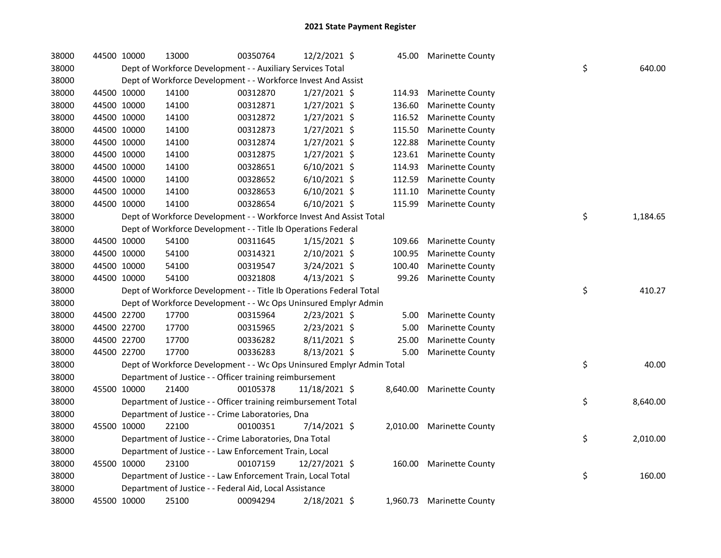| 38000 | 44500 10000 | 13000                                                                 | 00350764 | 12/2/2021 \$   | 45.00  | <b>Marinette County</b>   |                |
|-------|-------------|-----------------------------------------------------------------------|----------|----------------|--------|---------------------------|----------------|
| 38000 |             | Dept of Workforce Development - - Auxiliary Services Total            |          |                |        |                           | \$<br>640.00   |
| 38000 |             | Dept of Workforce Development - - Workforce Invest And Assist         |          |                |        |                           |                |
| 38000 | 44500 10000 | 14100                                                                 | 00312870 | $1/27/2021$ \$ | 114.93 | <b>Marinette County</b>   |                |
| 38000 | 44500 10000 | 14100                                                                 | 00312871 | 1/27/2021 \$   | 136.60 | <b>Marinette County</b>   |                |
| 38000 | 44500 10000 | 14100                                                                 | 00312872 | $1/27/2021$ \$ | 116.52 | <b>Marinette County</b>   |                |
| 38000 | 44500 10000 | 14100                                                                 | 00312873 | $1/27/2021$ \$ | 115.50 | Marinette County          |                |
| 38000 | 44500 10000 | 14100                                                                 | 00312874 | $1/27/2021$ \$ | 122.88 | Marinette County          |                |
| 38000 | 44500 10000 | 14100                                                                 | 00312875 | $1/27/2021$ \$ | 123.61 | <b>Marinette County</b>   |                |
| 38000 | 44500 10000 | 14100                                                                 | 00328651 | $6/10/2021$ \$ | 114.93 | <b>Marinette County</b>   |                |
| 38000 | 44500 10000 | 14100                                                                 | 00328652 | $6/10/2021$ \$ | 112.59 | <b>Marinette County</b>   |                |
| 38000 | 44500 10000 | 14100                                                                 | 00328653 | $6/10/2021$ \$ | 111.10 | <b>Marinette County</b>   |                |
| 38000 | 44500 10000 | 14100                                                                 | 00328654 | $6/10/2021$ \$ | 115.99 | <b>Marinette County</b>   |                |
| 38000 |             | Dept of Workforce Development - - Workforce Invest And Assist Total   |          |                |        |                           | \$<br>1,184.65 |
| 38000 |             | Dept of Workforce Development - - Title Ib Operations Federal         |          |                |        |                           |                |
| 38000 | 44500 10000 | 54100                                                                 | 00311645 | $1/15/2021$ \$ | 109.66 | <b>Marinette County</b>   |                |
| 38000 | 44500 10000 | 54100                                                                 | 00314321 | $2/10/2021$ \$ | 100.95 | Marinette County          |                |
| 38000 | 44500 10000 | 54100                                                                 | 00319547 | 3/24/2021 \$   | 100.40 | <b>Marinette County</b>   |                |
| 38000 | 44500 10000 | 54100                                                                 | 00321808 | 4/13/2021 \$   | 99.26  | <b>Marinette County</b>   |                |
| 38000 |             | Dept of Workforce Development - - Title Ib Operations Federal Total   |          |                |        |                           | \$<br>410.27   |
| 38000 |             | Dept of Workforce Development - - Wc Ops Uninsured Emplyr Admin       |          |                |        |                           |                |
| 38000 | 44500 22700 | 17700                                                                 | 00315964 | 2/23/2021 \$   | 5.00   | <b>Marinette County</b>   |                |
| 38000 | 44500 22700 | 17700                                                                 | 00315965 | $2/23/2021$ \$ | 5.00   | <b>Marinette County</b>   |                |
| 38000 | 44500 22700 | 17700                                                                 | 00336282 | $8/11/2021$ \$ | 25.00  | Marinette County          |                |
| 38000 | 44500 22700 | 17700                                                                 | 00336283 | 8/13/2021 \$   | 5.00   | <b>Marinette County</b>   |                |
| 38000 |             | Dept of Workforce Development - - Wc Ops Uninsured Emplyr Admin Total |          |                |        |                           | \$<br>40.00    |
| 38000 |             | Department of Justice - - Officer training reimbursement              |          |                |        |                           |                |
| 38000 | 45500 10000 | 21400                                                                 | 00105378 | 11/18/2021 \$  |        | 8,640.00 Marinette County |                |
| 38000 |             | Department of Justice - - Officer training reimbursement Total        |          |                |        |                           | \$<br>8,640.00 |
| 38000 |             | Department of Justice - - Crime Laboratories, Dna                     |          |                |        |                           |                |
| 38000 | 45500 10000 | 22100                                                                 | 00100351 | 7/14/2021 \$   |        | 2,010.00 Marinette County |                |
| 38000 |             | Department of Justice - - Crime Laboratories, Dna Total               |          |                |        |                           | \$<br>2,010.00 |
| 38000 |             | Department of Justice - - Law Enforcement Train, Local                |          |                |        |                           |                |
| 38000 | 45500 10000 | 23100                                                                 | 00107159 | 12/27/2021 \$  |        | 160.00 Marinette County   |                |
| 38000 |             | Department of Justice - - Law Enforcement Train, Local Total          |          |                |        |                           | \$<br>160.00   |
| 38000 |             | Department of Justice - - Federal Aid, Local Assistance               |          |                |        |                           |                |
| 38000 | 45500 10000 | 25100                                                                 | 00094294 | 2/18/2021 \$   |        | 1,960.73 Marinette County |                |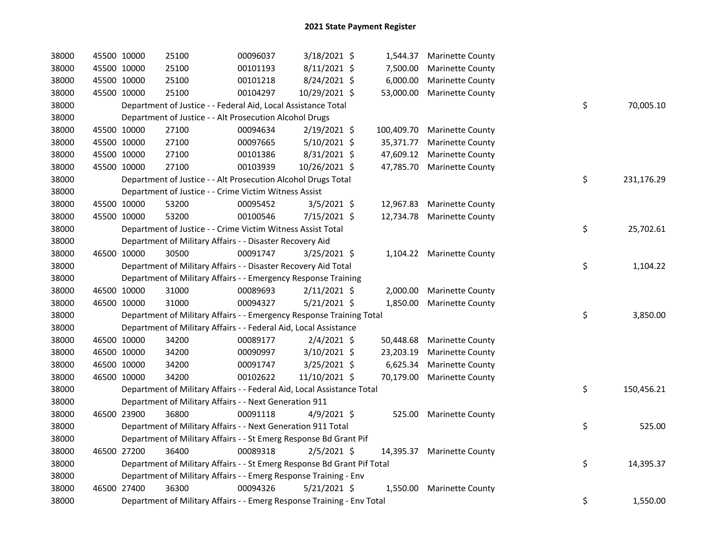| 38000 | 45500 10000 | 25100                                                                   | 00096037 | 3/18/2021 \$   |            | 1,544.37 Marinette County  |    |            |
|-------|-------------|-------------------------------------------------------------------------|----------|----------------|------------|----------------------------|----|------------|
| 38000 | 45500 10000 | 25100                                                                   | 00101193 | $8/11/2021$ \$ | 7,500.00   | <b>Marinette County</b>    |    |            |
| 38000 | 45500 10000 | 25100                                                                   | 00101218 | 8/24/2021 \$   | 6,000.00   | <b>Marinette County</b>    |    |            |
| 38000 | 45500 10000 | 25100                                                                   | 00104297 | 10/29/2021 \$  | 53,000.00  | <b>Marinette County</b>    |    |            |
| 38000 |             | Department of Justice - - Federal Aid, Local Assistance Total           |          |                |            |                            | \$ | 70,005.10  |
| 38000 |             | Department of Justice - - Alt Prosecution Alcohol Drugs                 |          |                |            |                            |    |            |
| 38000 | 45500 10000 | 27100                                                                   | 00094634 | 2/19/2021 \$   | 100,409.70 | <b>Marinette County</b>    |    |            |
| 38000 | 45500 10000 | 27100                                                                   | 00097665 | 5/10/2021 \$   | 35,371.77  | <b>Marinette County</b>    |    |            |
| 38000 | 45500 10000 | 27100                                                                   | 00101386 | 8/31/2021 \$   | 47,609.12  | <b>Marinette County</b>    |    |            |
| 38000 | 45500 10000 | 27100                                                                   | 00103939 | 10/26/2021 \$  |            | 47,785.70 Marinette County |    |            |
| 38000 |             | Department of Justice - - Alt Prosecution Alcohol Drugs Total           |          |                |            |                            | \$ | 231,176.29 |
| 38000 |             | Department of Justice - - Crime Victim Witness Assist                   |          |                |            |                            |    |            |
| 38000 | 45500 10000 | 53200                                                                   | 00095452 | $3/5/2021$ \$  |            | 12,967.83 Marinette County |    |            |
| 38000 | 45500 10000 | 53200                                                                   | 00100546 | 7/15/2021 \$   |            | 12,734.78 Marinette County |    |            |
| 38000 |             | Department of Justice - - Crime Victim Witness Assist Total             |          |                |            |                            | \$ | 25,702.61  |
| 38000 |             | Department of Military Affairs - - Disaster Recovery Aid                |          |                |            |                            |    |            |
| 38000 | 46500 10000 | 30500                                                                   | 00091747 | 3/25/2021 \$   |            | 1,104.22 Marinette County  |    |            |
| 38000 |             | Department of Military Affairs - - Disaster Recovery Aid Total          |          |                |            |                            | \$ | 1,104.22   |
| 38000 |             | Department of Military Affairs - - Emergency Response Training          |          |                |            |                            |    |            |
| 38000 | 46500 10000 | 31000                                                                   | 00089693 | $2/11/2021$ \$ | 2,000.00   | <b>Marinette County</b>    |    |            |
| 38000 | 46500 10000 | 31000                                                                   | 00094327 | 5/21/2021 \$   | 1,850.00   | <b>Marinette County</b>    |    |            |
| 38000 |             | Department of Military Affairs - - Emergency Response Training Total    |          |                |            |                            | \$ | 3,850.00   |
| 38000 |             | Department of Military Affairs - - Federal Aid, Local Assistance        |          |                |            |                            |    |            |
| 38000 | 46500 10000 | 34200                                                                   | 00089177 | $2/4/2021$ \$  | 50,448.68  | <b>Marinette County</b>    |    |            |
| 38000 | 46500 10000 | 34200                                                                   | 00090997 | 3/10/2021 \$   | 23,203.19  | <b>Marinette County</b>    |    |            |
| 38000 | 46500 10000 | 34200                                                                   | 00091747 | 3/25/2021 \$   | 6,625.34   | <b>Marinette County</b>    |    |            |
| 38000 | 46500 10000 | 34200                                                                   | 00102622 | 11/10/2021 \$  | 70,179.00  | <b>Marinette County</b>    |    |            |
| 38000 |             | Department of Military Affairs - - Federal Aid, Local Assistance Total  |          |                |            |                            | \$ | 150,456.21 |
| 38000 |             | Department of Military Affairs - - Next Generation 911                  |          |                |            |                            |    |            |
| 38000 | 46500 23900 | 36800                                                                   | 00091118 | $4/9/2021$ \$  |            | 525.00 Marinette County    |    |            |
| 38000 |             | Department of Military Affairs - - Next Generation 911 Total            |          |                |            |                            | \$ | 525.00     |
| 38000 |             | Department of Military Affairs - - St Emerg Response Bd Grant Pif       |          |                |            |                            |    |            |
| 38000 | 46500 27200 | 36400                                                                   | 00089318 | $2/5/2021$ \$  |            | 14,395.37 Marinette County |    |            |
| 38000 |             | Department of Military Affairs - - St Emerg Response Bd Grant Pif Total |          |                |            |                            | \$ | 14,395.37  |
| 38000 |             | Department of Military Affairs - - Emerg Response Training - Env        |          |                |            |                            |    |            |
| 38000 | 46500 27400 | 36300                                                                   | 00094326 | $5/21/2021$ \$ | 1,550.00   | <b>Marinette County</b>    |    |            |
| 38000 |             | Department of Military Affairs - - Emerg Response Training - Env Total  |          |                |            |                            | \$ | 1,550.00   |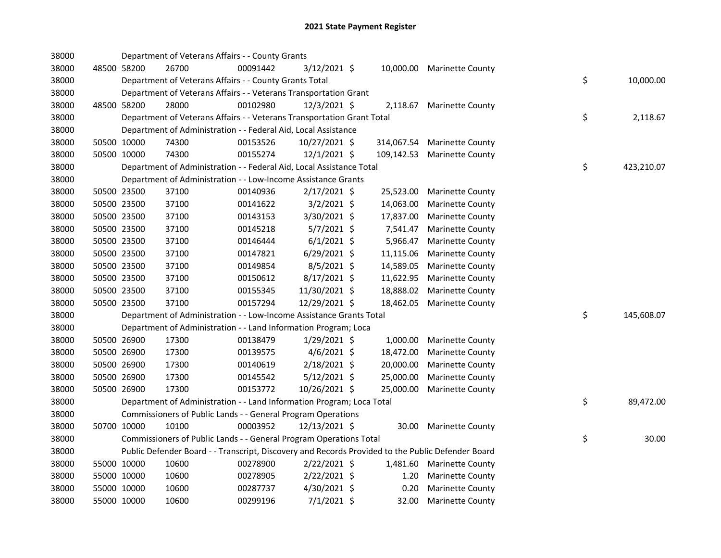| 38000 |             | Department of Veterans Affairs - - County Grants                       |          |                |            |                                                                                                   |    |            |
|-------|-------------|------------------------------------------------------------------------|----------|----------------|------------|---------------------------------------------------------------------------------------------------|----|------------|
| 38000 | 48500 58200 | 26700                                                                  | 00091442 | 3/12/2021 \$   |            | 10,000.00 Marinette County                                                                        |    |            |
| 38000 |             | Department of Veterans Affairs - - County Grants Total                 |          |                |            |                                                                                                   | \$ | 10,000.00  |
| 38000 |             | Department of Veterans Affairs - - Veterans Transportation Grant       |          |                |            |                                                                                                   |    |            |
| 38000 | 48500 58200 | 28000                                                                  | 00102980 | 12/3/2021 \$   | 2,118.67   | <b>Marinette County</b>                                                                           |    |            |
| 38000 |             | Department of Veterans Affairs - - Veterans Transportation Grant Total |          |                |            |                                                                                                   | \$ | 2,118.67   |
| 38000 |             | Department of Administration - - Federal Aid, Local Assistance         |          |                |            |                                                                                                   |    |            |
| 38000 | 50500 10000 | 74300                                                                  | 00153526 | 10/27/2021 \$  | 314,067.54 | <b>Marinette County</b>                                                                           |    |            |
| 38000 | 50500 10000 | 74300                                                                  | 00155274 | 12/1/2021 \$   | 109,142.53 | <b>Marinette County</b>                                                                           |    |            |
| 38000 |             | Department of Administration - - Federal Aid, Local Assistance Total   |          |                |            |                                                                                                   | \$ | 423,210.07 |
| 38000 |             | Department of Administration - - Low-Income Assistance Grants          |          |                |            |                                                                                                   |    |            |
| 38000 | 50500 23500 | 37100                                                                  | 00140936 | 2/17/2021 \$   | 25,523.00  | <b>Marinette County</b>                                                                           |    |            |
| 38000 | 50500 23500 | 37100                                                                  | 00141622 | $3/2/2021$ \$  | 14,063.00  | <b>Marinette County</b>                                                                           |    |            |
| 38000 | 50500 23500 | 37100                                                                  | 00143153 | 3/30/2021 \$   | 17,837.00  | <b>Marinette County</b>                                                                           |    |            |
| 38000 | 50500 23500 | 37100                                                                  | 00145218 | $5/7/2021$ \$  | 7,541.47   | <b>Marinette County</b>                                                                           |    |            |
| 38000 | 50500 23500 | 37100                                                                  | 00146444 | $6/1/2021$ \$  | 5,966.47   | <b>Marinette County</b>                                                                           |    |            |
| 38000 | 50500 23500 | 37100                                                                  | 00147821 | $6/29/2021$ \$ | 11,115.06  | <b>Marinette County</b>                                                                           |    |            |
| 38000 | 50500 23500 | 37100                                                                  | 00149854 | $8/5/2021$ \$  | 14,589.05  | Marinette County                                                                                  |    |            |
| 38000 | 50500 23500 | 37100                                                                  | 00150612 | 8/17/2021 \$   | 11,622.95  | <b>Marinette County</b>                                                                           |    |            |
| 38000 | 50500 23500 | 37100                                                                  | 00155345 | 11/30/2021 \$  | 18,888.02  | Marinette County                                                                                  |    |            |
| 38000 | 50500 23500 | 37100                                                                  | 00157294 | 12/29/2021 \$  | 18,462.05  | <b>Marinette County</b>                                                                           |    |            |
| 38000 |             | Department of Administration - - Low-Income Assistance Grants Total    |          |                |            |                                                                                                   | \$ | 145,608.07 |
| 38000 |             | Department of Administration - - Land Information Program; Loca        |          |                |            |                                                                                                   |    |            |
| 38000 | 50500 26900 | 17300                                                                  | 00138479 | 1/29/2021 \$   | 1,000.00   | <b>Marinette County</b>                                                                           |    |            |
| 38000 | 50500 26900 | 17300                                                                  | 00139575 | $4/6/2021$ \$  | 18,472.00  | <b>Marinette County</b>                                                                           |    |            |
| 38000 | 50500 26900 | 17300                                                                  | 00140619 | 2/18/2021 \$   | 20,000.00  | <b>Marinette County</b>                                                                           |    |            |
| 38000 | 50500 26900 | 17300                                                                  | 00145542 | 5/12/2021 \$   | 25,000.00  | <b>Marinette County</b>                                                                           |    |            |
| 38000 | 50500 26900 | 17300                                                                  | 00153772 | 10/26/2021 \$  | 25,000.00  | <b>Marinette County</b>                                                                           |    |            |
| 38000 |             | Department of Administration - - Land Information Program; Loca Total  |          |                |            |                                                                                                   | \$ | 89,472.00  |
| 38000 |             | Commissioners of Public Lands - - General Program Operations           |          |                |            |                                                                                                   |    |            |
| 38000 | 50700 10000 | 10100                                                                  | 00003952 | 12/13/2021 \$  |            | 30.00 Marinette County                                                                            |    |            |
| 38000 |             | Commissioners of Public Lands - - General Program Operations Total     |          |                |            |                                                                                                   | \$ | 30.00      |
| 38000 |             |                                                                        |          |                |            | Public Defender Board - - Transcript, Discovery and Records Provided to the Public Defender Board |    |            |
| 38000 | 55000 10000 | 10600                                                                  | 00278900 | $2/22/2021$ \$ |            | 1,481.60 Marinette County                                                                         |    |            |
| 38000 | 55000 10000 | 10600                                                                  | 00278905 | $2/22/2021$ \$ | 1.20       | <b>Marinette County</b>                                                                           |    |            |
| 38000 | 55000 10000 | 10600                                                                  | 00287737 | 4/30/2021 \$   | 0.20       | <b>Marinette County</b>                                                                           |    |            |
| 38000 | 55000 10000 | 10600                                                                  | 00299196 | $7/1/2021$ \$  | 32.00      | <b>Marinette County</b>                                                                           |    |            |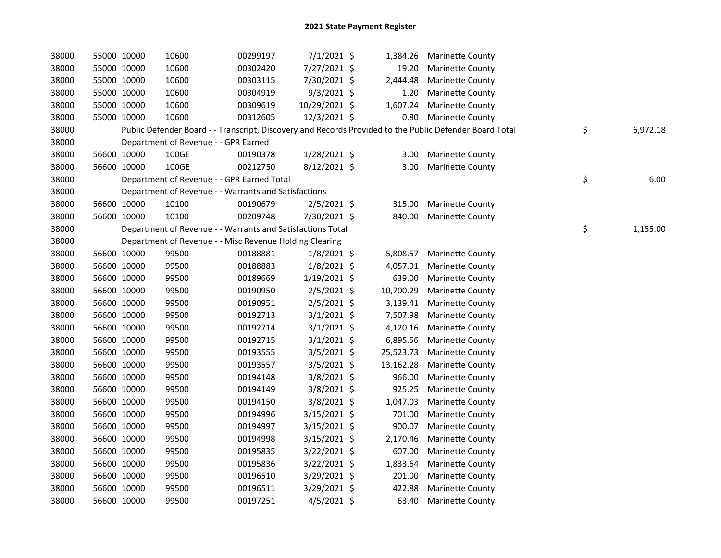| 38000 | 55000 10000 |             | 10600                                                      | 00299197 | 7/1/2021 \$    |           | 1,384.26 Marinette County                                                                               |                |
|-------|-------------|-------------|------------------------------------------------------------|----------|----------------|-----------|---------------------------------------------------------------------------------------------------------|----------------|
| 38000 | 55000 10000 |             | 10600                                                      | 00302420 | 7/27/2021 \$   |           | 19.20 Marinette County                                                                                  |                |
| 38000 | 55000 10000 |             | 10600                                                      | 00303115 | 7/30/2021 \$   | 2,444.48  | <b>Marinette County</b>                                                                                 |                |
| 38000 | 55000 10000 |             | 10600                                                      | 00304919 | 9/3/2021 \$    | 1.20      | <b>Marinette County</b>                                                                                 |                |
| 38000 | 55000 10000 |             | 10600                                                      | 00309619 | 10/29/2021 \$  |           | 1,607.24 Marinette County                                                                               |                |
| 38000 | 55000 10000 |             | 10600                                                      | 00312605 | 12/3/2021 \$   |           | 0.80 Marinette County                                                                                   |                |
| 38000 |             |             |                                                            |          |                |           | Public Defender Board - - Transcript, Discovery and Records Provided to the Public Defender Board Total | \$<br>6,972.18 |
| 38000 |             |             | Department of Revenue - - GPR Earned                       |          |                |           |                                                                                                         |                |
| 38000 | 56600 10000 |             | 100GE                                                      | 00190378 | 1/28/2021 \$   |           | 3.00 Marinette County                                                                                   |                |
| 38000 | 56600 10000 |             | 100GE                                                      | 00212750 | 8/12/2021 \$   |           | 3.00 Marinette County                                                                                   |                |
| 38000 |             |             | Department of Revenue - - GPR Earned Total                 |          |                |           |                                                                                                         | \$<br>6.00     |
| 38000 |             |             | Department of Revenue - - Warrants and Satisfactions       |          |                |           |                                                                                                         |                |
| 38000 | 56600 10000 |             | 10100                                                      | 00190679 | $2/5/2021$ \$  |           | 315.00 Marinette County                                                                                 |                |
| 38000 | 56600 10000 |             | 10100                                                      | 00209748 | 7/30/2021 \$   |           | 840.00 Marinette County                                                                                 |                |
| 38000 |             |             | Department of Revenue - - Warrants and Satisfactions Total |          |                |           |                                                                                                         | \$<br>1,155.00 |
| 38000 |             |             | Department of Revenue - - Misc Revenue Holding Clearing    |          |                |           |                                                                                                         |                |
| 38000 | 56600 10000 |             | 99500                                                      | 00188881 | $1/8/2021$ \$  |           | 5,808.57 Marinette County                                                                               |                |
| 38000 | 56600 10000 |             | 99500                                                      | 00188883 | $1/8/2021$ \$  |           | 4,057.91 Marinette County                                                                               |                |
| 38000 | 56600 10000 |             | 99500                                                      | 00189669 | $1/19/2021$ \$ |           | 639.00 Marinette County                                                                                 |                |
| 38000 | 56600 10000 |             | 99500                                                      | 00190950 | $2/5/2021$ \$  | 10,700.29 | <b>Marinette County</b>                                                                                 |                |
| 38000 | 56600 10000 |             | 99500                                                      | 00190951 | 2/5/2021 \$    |           | 3,139.41 Marinette County                                                                               |                |
| 38000 | 56600 10000 |             | 99500                                                      | 00192713 | $3/1/2021$ \$  |           | 7,507.98 Marinette County                                                                               |                |
| 38000 | 56600 10000 |             | 99500                                                      | 00192714 | $3/1/2021$ \$  |           | 4,120.16 Marinette County                                                                               |                |
| 38000 | 56600 10000 |             | 99500                                                      | 00192715 | $3/1/2021$ \$  |           | 6,895.56 Marinette County                                                                               |                |
| 38000 | 56600 10000 |             | 99500                                                      | 00193555 | $3/5/2021$ \$  |           | 25,523.73 Marinette County                                                                              |                |
| 38000 | 56600 10000 |             | 99500                                                      | 00193557 | $3/5/2021$ \$  |           | 13,162.28 Marinette County                                                                              |                |
| 38000 | 56600 10000 |             | 99500                                                      | 00194148 | 3/8/2021 \$    |           | 966.00 Marinette County                                                                                 |                |
| 38000 | 56600 10000 |             | 99500                                                      | 00194149 | 3/8/2021 \$    |           | 925.25 Marinette County                                                                                 |                |
| 38000 | 56600 10000 |             | 99500                                                      | 00194150 | 3/8/2021 \$    | 1,047.03  | <b>Marinette County</b>                                                                                 |                |
| 38000 | 56600 10000 |             | 99500                                                      | 00194996 | 3/15/2021 \$   |           | 701.00 Marinette County                                                                                 |                |
| 38000 | 56600 10000 |             | 99500                                                      | 00194997 | 3/15/2021 \$   | 900.07    | <b>Marinette County</b>                                                                                 |                |
| 38000 | 56600 10000 |             | 99500                                                      | 00194998 | 3/15/2021 \$   |           | 2,170.46 Marinette County                                                                               |                |
| 38000 | 56600 10000 |             | 99500                                                      | 00195835 | 3/22/2021 \$   |           | 607.00 Marinette County                                                                                 |                |
| 38000 | 56600 10000 |             | 99500                                                      | 00195836 | 3/22/2021 \$   | 1,833.64  | <b>Marinette County</b>                                                                                 |                |
| 38000 | 56600 10000 |             | 99500                                                      | 00196510 | 3/29/2021 \$   | 201.00    | <b>Marinette County</b>                                                                                 |                |
| 38000 | 56600 10000 |             | 99500                                                      | 00196511 | 3/29/2021 \$   | 422.88    | <b>Marinette County</b>                                                                                 |                |
| 38000 |             | 56600 10000 | 99500                                                      | 00197251 | $4/5/2021$ \$  |           | 63.40 Marinette County                                                                                  |                |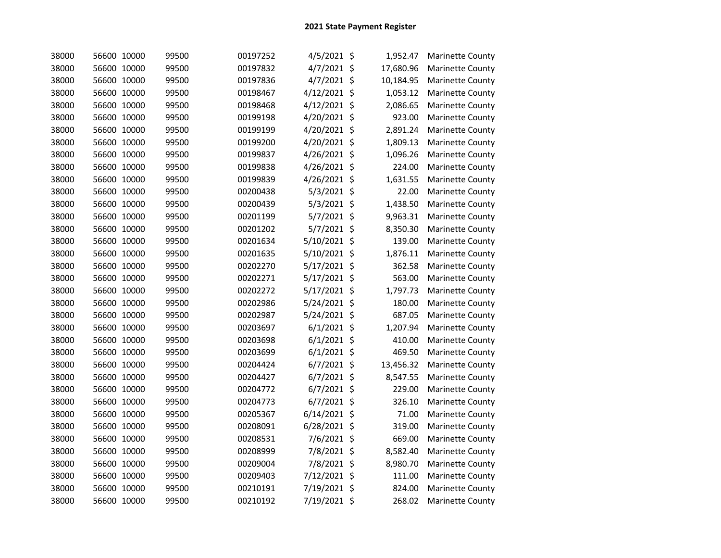| 38000 | 56600 10000 | 99500 | 00197252 | $4/5/2021$ \$  | 1,952.47  | <b>Marinette County</b> |
|-------|-------------|-------|----------|----------------|-----------|-------------------------|
| 38000 | 56600 10000 | 99500 | 00197832 | 4/7/2021 \$    | 17,680.96 | <b>Marinette County</b> |
| 38000 | 56600 10000 | 99500 | 00197836 | 4/7/2021 \$    | 10,184.95 | Marinette County        |
| 38000 | 56600 10000 | 99500 | 00198467 | 4/12/2021 \$   | 1,053.12  | Marinette County        |
| 38000 | 56600 10000 | 99500 | 00198468 | 4/12/2021 \$   | 2,086.65  | Marinette County        |
| 38000 | 56600 10000 | 99500 | 00199198 | 4/20/2021 \$   | 923.00    | Marinette County        |
| 38000 | 56600 10000 | 99500 | 00199199 | 4/20/2021 \$   | 2,891.24  | <b>Marinette County</b> |
| 38000 | 56600 10000 | 99500 | 00199200 | 4/20/2021 \$   | 1,809.13  | Marinette County        |
| 38000 | 56600 10000 | 99500 | 00199837 | 4/26/2021 \$   | 1,096.26  | Marinette County        |
| 38000 | 56600 10000 | 99500 | 00199838 | 4/26/2021 \$   | 224.00    | Marinette County        |
| 38000 | 56600 10000 | 99500 | 00199839 | 4/26/2021 \$   | 1,631.55  | Marinette County        |
| 38000 | 56600 10000 | 99500 | 00200438 | 5/3/2021 \$    | 22.00     | Marinette County        |
| 38000 | 56600 10000 | 99500 | 00200439 | $5/3/2021$ \$  | 1,438.50  | Marinette County        |
| 38000 | 56600 10000 | 99500 | 00201199 | 5/7/2021 \$    | 9,963.31  | Marinette County        |
| 38000 | 56600 10000 | 99500 | 00201202 | $5/7/2021$ \$  | 8,350.30  | Marinette County        |
| 38000 | 56600 10000 | 99500 | 00201634 | 5/10/2021 \$   | 139.00    | <b>Marinette County</b> |
| 38000 | 56600 10000 | 99500 | 00201635 | 5/10/2021 \$   | 1,876.11  | Marinette County        |
| 38000 | 56600 10000 | 99500 | 00202270 | 5/17/2021 \$   | 362.58    | Marinette County        |
| 38000 | 56600 10000 | 99500 | 00202271 | 5/17/2021 \$   | 563.00    | <b>Marinette County</b> |
| 38000 | 56600 10000 | 99500 | 00202272 | 5/17/2021 \$   | 1,797.73  | Marinette County        |
| 38000 | 56600 10000 | 99500 | 00202986 | 5/24/2021 \$   | 180.00    | Marinette County        |
| 38000 | 56600 10000 | 99500 | 00202987 | 5/24/2021 \$   | 687.05    | Marinette County        |
| 38000 | 56600 10000 | 99500 | 00203697 | $6/1/2021$ \$  | 1,207.94  | Marinette County        |
| 38000 | 56600 10000 | 99500 | 00203698 | $6/1/2021$ \$  | 410.00    | Marinette County        |
| 38000 | 56600 10000 | 99500 | 00203699 | $6/1/2021$ \$  | 469.50    | Marinette County        |
| 38000 | 56600 10000 | 99500 | 00204424 | $6/7/2021$ \$  | 13,456.32 | <b>Marinette County</b> |
| 38000 | 56600 10000 | 99500 | 00204427 | $6/7/2021$ \$  | 8,547.55  | <b>Marinette County</b> |
| 38000 | 56600 10000 | 99500 | 00204772 | $6/7/2021$ \$  | 229.00    | Marinette County        |
| 38000 | 56600 10000 | 99500 | 00204773 | $6/7/2021$ \$  | 326.10    | <b>Marinette County</b> |
| 38000 | 56600 10000 | 99500 | 00205367 | $6/14/2021$ \$ | 71.00     | <b>Marinette County</b> |
| 38000 | 56600 10000 | 99500 | 00208091 | 6/28/2021 \$   | 319.00    | Marinette County        |
| 38000 | 56600 10000 | 99500 | 00208531 | 7/6/2021 \$    | 669.00    | <b>Marinette County</b> |
| 38000 | 56600 10000 | 99500 | 00208999 | 7/8/2021 \$    | 8,582.40  | <b>Marinette County</b> |
| 38000 | 56600 10000 | 99500 | 00209004 | 7/8/2021 \$    | 8,980.70  | Marinette County        |
| 38000 | 56600 10000 | 99500 | 00209403 | 7/12/2021 \$   | 111.00    | Marinette County        |
| 38000 | 56600 10000 | 99500 | 00210191 | 7/19/2021 \$   | 824.00    | Marinette County        |
| 38000 | 56600 10000 | 99500 | 00210192 | 7/19/2021 \$   | 268.02    | Marinette County        |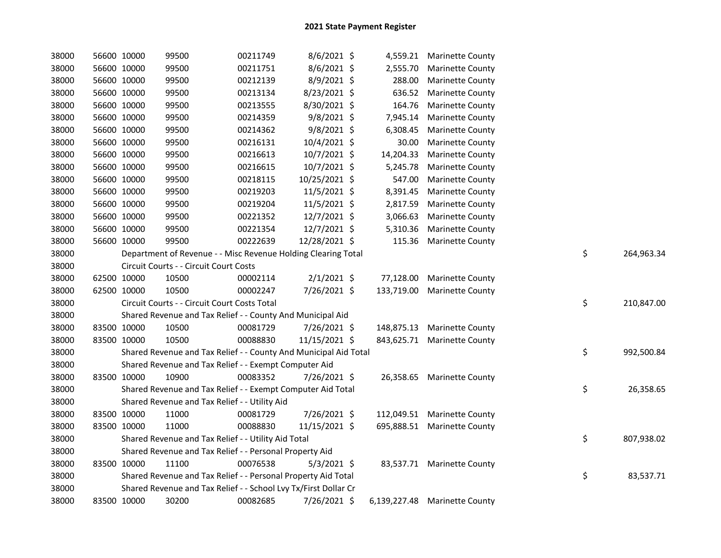| 38000 | 56600 10000 | 99500                                                            | 00211749 | 8/6/2021 \$    |            | 4,559.21 Marinette County     |    |            |
|-------|-------------|------------------------------------------------------------------|----------|----------------|------------|-------------------------------|----|------------|
| 38000 | 56600 10000 | 99500                                                            | 00211751 | 8/6/2021 \$    | 2,555.70   | <b>Marinette County</b>       |    |            |
| 38000 | 56600 10000 | 99500                                                            | 00212139 | 8/9/2021 \$    | 288.00     | <b>Marinette County</b>       |    |            |
| 38000 | 56600 10000 | 99500                                                            | 00213134 | 8/23/2021 \$   |            | 636.52 Marinette County       |    |            |
| 38000 | 56600 10000 | 99500                                                            | 00213555 | 8/30/2021 \$   | 164.76     | <b>Marinette County</b>       |    |            |
| 38000 | 56600 10000 | 99500                                                            | 00214359 | $9/8/2021$ \$  | 7,945.14   | <b>Marinette County</b>       |    |            |
| 38000 | 56600 10000 | 99500                                                            | 00214362 | $9/8/2021$ \$  | 6,308.45   | <b>Marinette County</b>       |    |            |
| 38000 | 56600 10000 | 99500                                                            | 00216131 | 10/4/2021 \$   | 30.00      | Marinette County              |    |            |
| 38000 | 56600 10000 | 99500                                                            | 00216613 | 10/7/2021 \$   | 14,204.33  | <b>Marinette County</b>       |    |            |
| 38000 | 56600 10000 | 99500                                                            | 00216615 | $10/7/2021$ \$ | 5,245.78   | <b>Marinette County</b>       |    |            |
| 38000 | 56600 10000 | 99500                                                            | 00218115 | 10/25/2021 \$  | 547.00     | <b>Marinette County</b>       |    |            |
| 38000 | 56600 10000 | 99500                                                            | 00219203 | 11/5/2021 \$   | 8,391.45   | Marinette County              |    |            |
| 38000 | 56600 10000 | 99500                                                            | 00219204 | 11/5/2021 \$   | 2,817.59   | <b>Marinette County</b>       |    |            |
| 38000 | 56600 10000 | 99500                                                            | 00221352 | 12/7/2021 \$   | 3,066.63   | <b>Marinette County</b>       |    |            |
| 38000 | 56600 10000 | 99500                                                            | 00221354 | 12/7/2021 \$   | 5,310.36   | <b>Marinette County</b>       |    |            |
| 38000 | 56600 10000 | 99500                                                            | 00222639 | 12/28/2021 \$  |            | 115.36 Marinette County       |    |            |
| 38000 |             | Department of Revenue - - Misc Revenue Holding Clearing Total    |          |                |            |                               | \$ | 264,963.34 |
| 38000 |             | Circuit Courts - - Circuit Court Costs                           |          |                |            |                               |    |            |
| 38000 | 62500 10000 | 10500                                                            | 00002114 | $2/1/2021$ \$  |            | 77,128.00 Marinette County    |    |            |
| 38000 | 62500 10000 | 10500                                                            | 00002247 | 7/26/2021 \$   | 133,719.00 | <b>Marinette County</b>       |    |            |
| 38000 |             | Circuit Courts - - Circuit Court Costs Total                     |          |                |            |                               | \$ | 210,847.00 |
| 38000 |             | Shared Revenue and Tax Relief - - County And Municipal Aid       |          |                |            |                               |    |            |
| 38000 | 83500 10000 | 10500                                                            | 00081729 | 7/26/2021 \$   |            | 148,875.13 Marinette County   |    |            |
| 38000 | 83500 10000 | 10500                                                            | 00088830 | 11/15/2021 \$  |            | 843,625.71 Marinette County   |    |            |
| 38000 |             | Shared Revenue and Tax Relief - - County And Municipal Aid Total |          |                |            |                               | \$ | 992,500.84 |
| 38000 |             | Shared Revenue and Tax Relief - - Exempt Computer Aid            |          |                |            |                               |    |            |
| 38000 | 83500 10000 | 10900                                                            | 00083352 | 7/26/2021 \$   |            | 26,358.65 Marinette County    |    |            |
| 38000 |             | Shared Revenue and Tax Relief - - Exempt Computer Aid Total      |          |                |            |                               | \$ | 26,358.65  |
| 38000 |             | Shared Revenue and Tax Relief - - Utility Aid                    |          |                |            |                               |    |            |
| 38000 | 83500 10000 | 11000                                                            | 00081729 | 7/26/2021 \$   |            | 112,049.51 Marinette County   |    |            |
| 38000 | 83500 10000 | 11000                                                            | 00088830 | 11/15/2021 \$  |            | 695,888.51 Marinette County   |    |            |
| 38000 |             | Shared Revenue and Tax Relief - - Utility Aid Total              |          |                |            |                               | \$ | 807,938.02 |
| 38000 |             | Shared Revenue and Tax Relief - - Personal Property Aid          |          |                |            |                               |    |            |
| 38000 | 83500 10000 | 11100                                                            | 00076538 | $5/3/2021$ \$  |            | 83,537.71 Marinette County    |    |            |
| 38000 |             | Shared Revenue and Tax Relief - - Personal Property Aid Total    |          |                |            |                               | \$ | 83,537.71  |
| 38000 |             | Shared Revenue and Tax Relief - - School Lvy Tx/First Dollar Cr  |          |                |            |                               |    |            |
| 38000 | 83500 10000 | 30200                                                            | 00082685 | 7/26/2021 \$   |            | 6,139,227.48 Marinette County |    |            |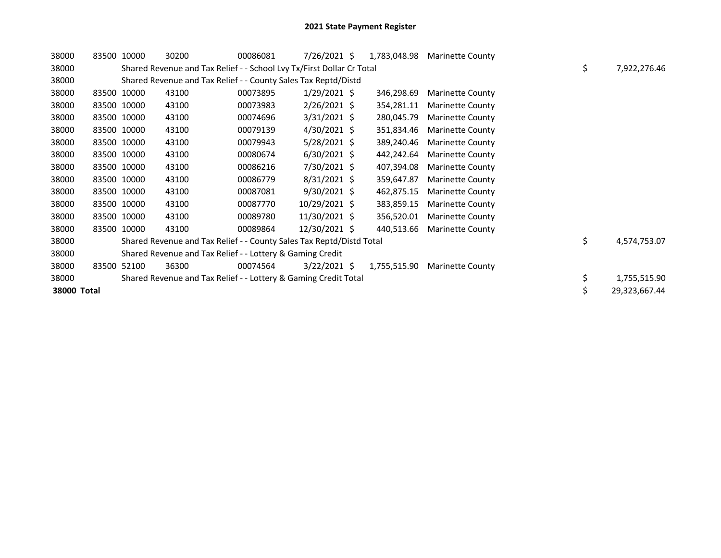| 38000       | 83500 10000 | 30200                                                                 | 00086081 | $7/26/2021$ \$ | 1,783,048.98 | <b>Marinette County</b> |                    |
|-------------|-------------|-----------------------------------------------------------------------|----------|----------------|--------------|-------------------------|--------------------|
| 38000       |             | Shared Revenue and Tax Relief - - School Lvy Tx/First Dollar Cr Total |          |                |              |                         | \$<br>7,922,276.46 |
| 38000       |             | Shared Revenue and Tax Relief - - County Sales Tax Reptd/Distd        |          |                |              |                         |                    |
| 38000       | 83500 10000 | 43100                                                                 | 00073895 | $1/29/2021$ \$ | 346,298.69   | <b>Marinette County</b> |                    |
| 38000       | 83500 10000 | 43100                                                                 | 00073983 | $2/26/2021$ \$ | 354,281.11   | <b>Marinette County</b> |                    |
| 38000       | 83500 10000 | 43100                                                                 | 00074696 | $3/31/2021$ \$ | 280,045.79   | <b>Marinette County</b> |                    |
| 38000       | 83500 10000 | 43100                                                                 | 00079139 | $4/30/2021$ \$ | 351,834.46   | <b>Marinette County</b> |                    |
| 38000       | 83500 10000 | 43100                                                                 | 00079943 | $5/28/2021$ \$ | 389,240.46   | <b>Marinette County</b> |                    |
| 38000       | 83500 10000 | 43100                                                                 | 00080674 | $6/30/2021$ \$ | 442,242.64   | <b>Marinette County</b> |                    |
| 38000       | 83500 10000 | 43100                                                                 | 00086216 | 7/30/2021 \$   | 407,394.08   | <b>Marinette County</b> |                    |
| 38000       | 83500 10000 | 43100                                                                 | 00086779 | $8/31/2021$ \$ | 359,647.87   | <b>Marinette County</b> |                    |
| 38000       | 83500 10000 | 43100                                                                 | 00087081 | $9/30/2021$ \$ | 462,875.15   | <b>Marinette County</b> |                    |
| 38000       | 83500 10000 | 43100                                                                 | 00087770 | 10/29/2021 \$  | 383,859.15   | <b>Marinette County</b> |                    |
| 38000       | 83500 10000 | 43100                                                                 | 00089780 | 11/30/2021 \$  | 356,520.01   | <b>Marinette County</b> |                    |
| 38000       | 83500 10000 | 43100                                                                 | 00089864 | 12/30/2021 \$  | 440,513.66   | Marinette County        |                    |
| 38000       |             | Shared Revenue and Tax Relief - - County Sales Tax Reptd/Distd Total  |          |                |              |                         | \$<br>4,574,753.07 |
| 38000       |             | Shared Revenue and Tax Relief - - Lottery & Gaming Credit             |          |                |              |                         |                    |
| 38000       | 83500 52100 | 36300                                                                 | 00074564 | $3/22/2021$ \$ | 1,755,515.90 | <b>Marinette County</b> |                    |
| 38000       |             | Shared Revenue and Tax Relief - - Lottery & Gaming Credit Total       |          |                |              |                         | \$<br>1,755,515.90 |
| 38000 Total |             |                                                                       |          |                |              |                         | 29,323,667.44      |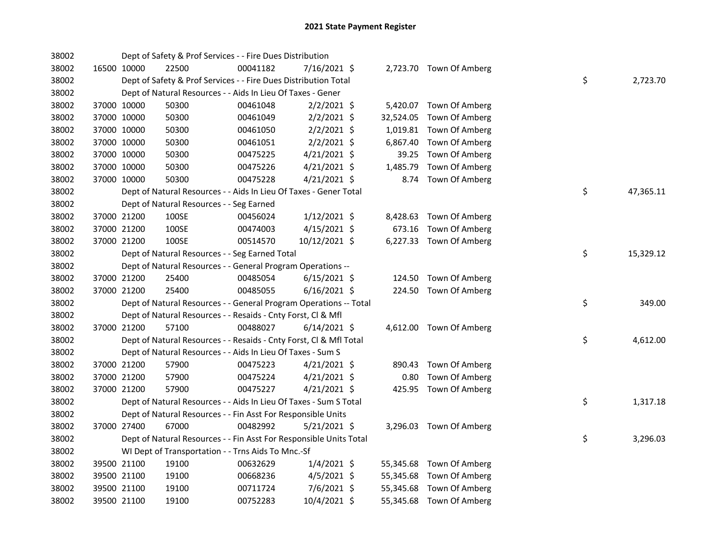| 38002 |             |             | Dept of Safety & Prof Services - - Fire Dues Distribution          |          |                |          |                          |    |           |
|-------|-------------|-------------|--------------------------------------------------------------------|----------|----------------|----------|--------------------------|----|-----------|
| 38002 | 16500 10000 |             | 22500                                                              | 00041182 | 7/16/2021 \$   |          | 2,723.70 Town Of Amberg  |    |           |
| 38002 |             |             | Dept of Safety & Prof Services - - Fire Dues Distribution Total    |          |                |          |                          | \$ | 2,723.70  |
| 38002 |             |             | Dept of Natural Resources - - Aids In Lieu Of Taxes - Gener        |          |                |          |                          |    |           |
| 38002 | 37000 10000 |             | 50300                                                              | 00461048 | $2/2/2021$ \$  |          | 5,420.07 Town Of Amberg  |    |           |
| 38002 |             | 37000 10000 | 50300                                                              | 00461049 | $2/2/2021$ \$  |          | 32,524.05 Town Of Amberg |    |           |
| 38002 |             | 37000 10000 | 50300                                                              | 00461050 | $2/2/2021$ \$  |          | 1,019.81 Town Of Amberg  |    |           |
| 38002 |             | 37000 10000 | 50300                                                              | 00461051 | $2/2/2021$ \$  | 6,867.40 | Town Of Amberg           |    |           |
| 38002 |             | 37000 10000 | 50300                                                              | 00475225 | $4/21/2021$ \$ | 39.25    | Town Of Amberg           |    |           |
| 38002 |             | 37000 10000 | 50300                                                              | 00475226 | $4/21/2021$ \$ | 1,485.79 | Town Of Amberg           |    |           |
| 38002 | 37000 10000 |             | 50300                                                              | 00475228 | 4/21/2021 \$   |          | 8.74 Town Of Amberg      |    |           |
| 38002 |             |             | Dept of Natural Resources - - Aids In Lieu Of Taxes - Gener Total  |          |                |          |                          | \$ | 47,365.11 |
| 38002 |             |             | Dept of Natural Resources - - Seg Earned                           |          |                |          |                          |    |           |
| 38002 |             | 37000 21200 | 100SE                                                              | 00456024 | $1/12/2021$ \$ |          | 8,428.63 Town Of Amberg  |    |           |
| 38002 |             | 37000 21200 | 100SE                                                              | 00474003 | $4/15/2021$ \$ |          | 673.16 Town Of Amberg    |    |           |
| 38002 | 37000 21200 |             | 100SE                                                              | 00514570 | 10/12/2021 \$  |          | 6,227.33 Town Of Amberg  |    |           |
| 38002 |             |             | Dept of Natural Resources - - Seg Earned Total                     |          |                |          |                          | \$ | 15,329.12 |
| 38002 |             |             | Dept of Natural Resources - - General Program Operations --        |          |                |          |                          |    |           |
| 38002 |             | 37000 21200 | 25400                                                              | 00485054 | $6/15/2021$ \$ |          | 124.50 Town Of Amberg    |    |           |
| 38002 |             | 37000 21200 | 25400                                                              | 00485055 | $6/16/2021$ \$ |          | 224.50 Town Of Amberg    |    |           |
| 38002 |             |             | Dept of Natural Resources - - General Program Operations -- Total  |          |                |          |                          | \$ | 349.00    |
| 38002 |             |             | Dept of Natural Resources - - Resaids - Cnty Forst, Cl & Mfl       |          |                |          |                          |    |           |
| 38002 |             | 37000 21200 | 57100                                                              | 00488027 | $6/14/2021$ \$ |          | 4,612.00 Town Of Amberg  |    |           |
| 38002 |             |             | Dept of Natural Resources - - Resaids - Cnty Forst, Cl & Mfl Total |          |                |          |                          | \$ | 4,612.00  |
| 38002 |             |             | Dept of Natural Resources - - Aids In Lieu Of Taxes - Sum S        |          |                |          |                          |    |           |
| 38002 |             | 37000 21200 | 57900                                                              | 00475223 | $4/21/2021$ \$ |          | 890.43 Town Of Amberg    |    |           |
| 38002 |             | 37000 21200 | 57900                                                              | 00475224 | $4/21/2021$ \$ | 0.80     | Town Of Amberg           |    |           |
| 38002 |             | 37000 21200 | 57900                                                              | 00475227 | $4/21/2021$ \$ |          | 425.95 Town Of Amberg    |    |           |
| 38002 |             |             | Dept of Natural Resources - - Aids In Lieu Of Taxes - Sum S Total  |          |                |          |                          | \$ | 1,317.18  |
| 38002 |             |             | Dept of Natural Resources - - Fin Asst For Responsible Units       |          |                |          |                          |    |           |
| 38002 |             | 37000 27400 | 67000                                                              | 00482992 | $5/21/2021$ \$ |          | 3,296.03 Town Of Amberg  |    |           |
| 38002 |             |             | Dept of Natural Resources - - Fin Asst For Responsible Units Total |          |                |          |                          | \$ | 3,296.03  |
| 38002 |             |             | WI Dept of Transportation - - Trns Aids To Mnc.-Sf                 |          |                |          |                          |    |           |
| 38002 |             | 39500 21100 | 19100                                                              | 00632629 | $1/4/2021$ \$  |          | 55,345.68 Town Of Amberg |    |           |
| 38002 |             | 39500 21100 | 19100                                                              | 00668236 | $4/5/2021$ \$  |          | 55,345.68 Town Of Amberg |    |           |
| 38002 | 39500 21100 |             | 19100                                                              | 00711724 | 7/6/2021 \$    |          | 55,345.68 Town Of Amberg |    |           |
| 38002 | 39500 21100 |             | 19100                                                              | 00752283 | 10/4/2021 \$   |          | 55,345.68 Town Of Amberg |    |           |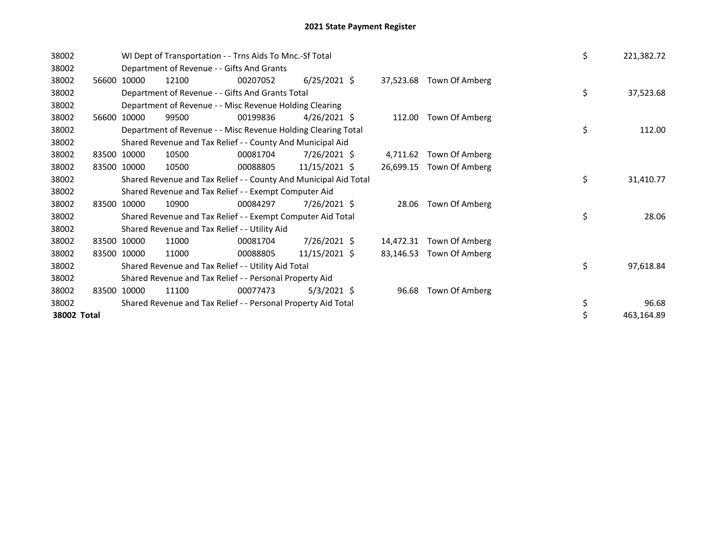| 38002       |             |       | WI Dept of Transportation - - Trns Aids To Mnc.-Sf Total         |                |           |                          | \$ | 221,382.72 |
|-------------|-------------|-------|------------------------------------------------------------------|----------------|-----------|--------------------------|----|------------|
| 38002       |             |       | Department of Revenue - - Gifts And Grants                       |                |           |                          |    |            |
| 38002       | 56600 10000 | 12100 | 00207052                                                         | $6/25/2021$ \$ |           | 37,523.68 Town Of Amberg |    |            |
| 38002       |             |       | Department of Revenue - - Gifts And Grants Total                 |                |           |                          | \$ | 37,523.68  |
| 38002       |             |       | Department of Revenue - - Misc Revenue Holding Clearing          |                |           |                          |    |            |
| 38002       | 56600 10000 | 99500 | 00199836                                                         | $4/26/2021$ \$ |           | 112.00 Town Of Amberg    |    |            |
| 38002       |             |       | Department of Revenue - - Misc Revenue Holding Clearing Total    |                |           |                          | \$ | 112.00     |
| 38002       |             |       | Shared Revenue and Tax Relief - - County And Municipal Aid       |                |           |                          |    |            |
| 38002       | 83500 10000 | 10500 | 00081704                                                         | 7/26/2021 \$   | 4,711.62  | Town Of Amberg           |    |            |
| 38002       | 83500 10000 | 10500 | 00088805                                                         | 11/15/2021 \$  | 26,699.15 | Town Of Amberg           |    |            |
| 38002       |             |       | Shared Revenue and Tax Relief - - County And Municipal Aid Total |                |           |                          | \$ | 31,410.77  |
| 38002       |             |       | Shared Revenue and Tax Relief - - Exempt Computer Aid            |                |           |                          |    |            |
| 38002       | 83500 10000 | 10900 | 00084297                                                         | 7/26/2021 \$   | 28.06     | Town Of Amberg           |    |            |
| 38002       |             |       | Shared Revenue and Tax Relief - - Exempt Computer Aid Total      |                |           |                          | \$ | 28.06      |
| 38002       |             |       | Shared Revenue and Tax Relief - - Utility Aid                    |                |           |                          |    |            |
| 38002       | 83500 10000 | 11000 | 00081704                                                         | 7/26/2021 \$   | 14,472.31 | Town Of Amberg           |    |            |
| 38002       | 83500 10000 | 11000 | 00088805                                                         | 11/15/2021 \$  | 83,146.53 | Town Of Amberg           |    |            |
| 38002       |             |       | Shared Revenue and Tax Relief - - Utility Aid Total              |                |           |                          | \$ | 97,618.84  |
| 38002       |             |       | Shared Revenue and Tax Relief - - Personal Property Aid          |                |           |                          |    |            |
| 38002       | 83500 10000 | 11100 | 00077473                                                         | $5/3/2021$ \$  | 96.68     | Town Of Amberg           |    |            |
| 38002       |             |       | Shared Revenue and Tax Relief - - Personal Property Aid Total    |                |           |                          | \$ | 96.68      |
| 38002 Total |             |       |                                                                  |                |           |                          |    | 463,164.89 |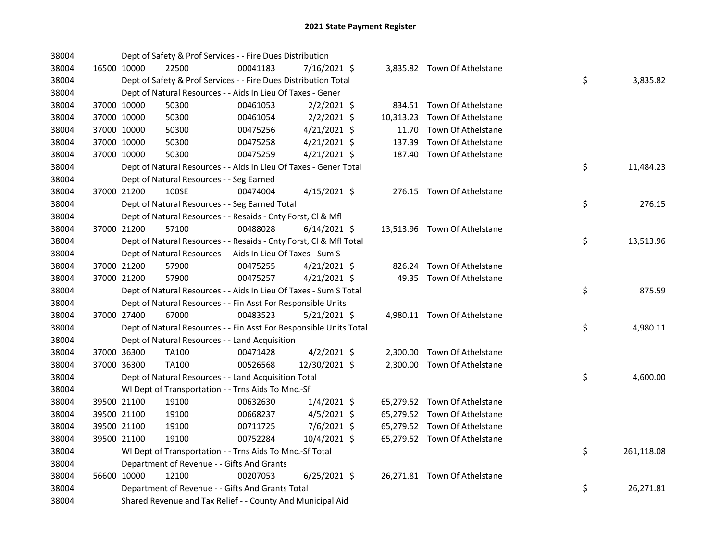| 38004 |             |             | Dept of Safety & Prof Services - - Fire Dues Distribution          |          |                |        |                              |    |            |
|-------|-------------|-------------|--------------------------------------------------------------------|----------|----------------|--------|------------------------------|----|------------|
| 38004 |             | 16500 10000 | 22500                                                              | 00041183 | 7/16/2021 \$   |        | 3,835.82 Town Of Athelstane  |    |            |
| 38004 |             |             | Dept of Safety & Prof Services - - Fire Dues Distribution Total    |          |                |        |                              | \$ | 3,835.82   |
| 38004 |             |             | Dept of Natural Resources - - Aids In Lieu Of Taxes - Gener        |          |                |        |                              |    |            |
| 38004 |             | 37000 10000 | 50300                                                              | 00461053 | $2/2/2021$ \$  |        | 834.51 Town Of Athelstane    |    |            |
| 38004 |             | 37000 10000 | 50300                                                              | 00461054 | $2/2/2021$ \$  |        | 10,313.23 Town Of Athelstane |    |            |
| 38004 |             | 37000 10000 | 50300                                                              | 00475256 | $4/21/2021$ \$ | 11.70  | Town Of Athelstane           |    |            |
| 38004 |             | 37000 10000 | 50300                                                              | 00475258 | $4/21/2021$ \$ | 137.39 | Town Of Athelstane           |    |            |
| 38004 | 37000 10000 |             | 50300                                                              | 00475259 | 4/21/2021 \$   |        | 187.40 Town Of Athelstane    |    |            |
| 38004 |             |             | Dept of Natural Resources - - Aids In Lieu Of Taxes - Gener Total  |          |                |        |                              | \$ | 11,484.23  |
| 38004 |             |             | Dept of Natural Resources - - Seg Earned                           |          |                |        |                              |    |            |
| 38004 |             | 37000 21200 | 100SE                                                              | 00474004 | $4/15/2021$ \$ |        | 276.15 Town Of Athelstane    |    |            |
| 38004 |             |             | Dept of Natural Resources - - Seg Earned Total                     |          |                |        |                              | \$ | 276.15     |
| 38004 |             |             | Dept of Natural Resources - - Resaids - Cnty Forst, Cl & Mfl       |          |                |        |                              |    |            |
| 38004 |             | 37000 21200 | 57100                                                              | 00488028 | $6/14/2021$ \$ |        | 13,513.96 Town Of Athelstane |    |            |
| 38004 |             |             | Dept of Natural Resources - - Resaids - Cnty Forst, Cl & Mfl Total |          |                |        |                              | \$ | 13,513.96  |
| 38004 |             |             | Dept of Natural Resources - - Aids In Lieu Of Taxes - Sum S        |          |                |        |                              |    |            |
| 38004 |             | 37000 21200 | 57900                                                              | 00475255 | $4/21/2021$ \$ |        | 826.24 Town Of Athelstane    |    |            |
| 38004 |             | 37000 21200 | 57900                                                              | 00475257 | $4/21/2021$ \$ |        | 49.35 Town Of Athelstane     |    |            |
| 38004 |             |             | Dept of Natural Resources - - Aids In Lieu Of Taxes - Sum S Total  |          |                |        |                              | \$ | 875.59     |
| 38004 |             |             | Dept of Natural Resources - - Fin Asst For Responsible Units       |          |                |        |                              |    |            |
| 38004 |             | 37000 27400 | 67000                                                              | 00483523 | $5/21/2021$ \$ |        | 4,980.11 Town Of Athelstane  |    |            |
| 38004 |             |             | Dept of Natural Resources - - Fin Asst For Responsible Units Total |          |                |        |                              | \$ | 4,980.11   |
| 38004 |             |             | Dept of Natural Resources - - Land Acquisition                     |          |                |        |                              |    |            |
| 38004 |             | 37000 36300 | TA100                                                              | 00471428 | $4/2/2021$ \$  |        | 2,300.00 Town Of Athelstane  |    |            |
| 38004 | 37000 36300 |             | TA100                                                              | 00526568 | 12/30/2021 \$  |        | 2,300.00 Town Of Athelstane  |    |            |
| 38004 |             |             | Dept of Natural Resources - - Land Acquisition Total               |          |                |        |                              | \$ | 4,600.00   |
| 38004 |             |             | WI Dept of Transportation - - Trns Aids To Mnc.-Sf                 |          |                |        |                              |    |            |
| 38004 |             | 39500 21100 | 19100                                                              | 00632630 | $1/4/2021$ \$  |        | 65,279.52 Town Of Athelstane |    |            |
| 38004 |             | 39500 21100 | 19100                                                              | 00668237 | $4/5/2021$ \$  |        | 65,279.52 Town Of Athelstane |    |            |
| 38004 |             | 39500 21100 | 19100                                                              | 00711725 | 7/6/2021 \$    |        | 65,279.52 Town Of Athelstane |    |            |
| 38004 |             | 39500 21100 | 19100                                                              | 00752284 | 10/4/2021 \$   |        | 65,279.52 Town Of Athelstane |    |            |
| 38004 |             |             | WI Dept of Transportation - - Trns Aids To Mnc.-Sf Total           |          |                |        |                              | \$ | 261,118.08 |
| 38004 |             |             | Department of Revenue - - Gifts And Grants                         |          |                |        |                              |    |            |
| 38004 |             | 56600 10000 | 12100                                                              | 00207053 | $6/25/2021$ \$ |        | 26,271.81 Town Of Athelstane |    |            |
| 38004 |             |             | Department of Revenue - - Gifts And Grants Total                   |          |                |        |                              | \$ | 26,271.81  |
| 38004 |             |             | Shared Revenue and Tax Relief - - County And Municipal Aid         |          |                |        |                              |    |            |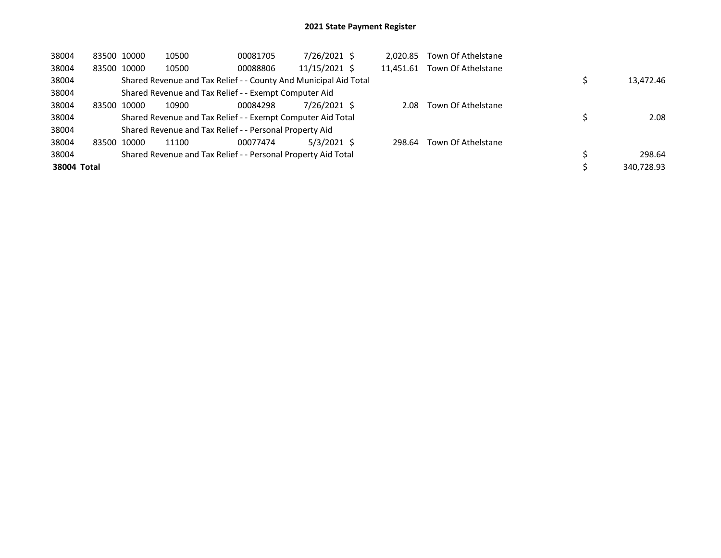| 38004       | 83500 10000 | 10500                                                            | 00081705 | 7/26/2021 \$  | 2.020.85  | Town Of Athelstane |            |
|-------------|-------------|------------------------------------------------------------------|----------|---------------|-----------|--------------------|------------|
| 38004       | 83500 10000 | 10500                                                            | 00088806 | 11/15/2021 \$ | 11.451.61 | Town Of Athelstane |            |
| 38004       |             | Shared Revenue and Tax Relief - - County And Municipal Aid Total |          |               |           |                    | 13,472.46  |
| 38004       |             | Shared Revenue and Tax Relief - - Exempt Computer Aid            |          |               |           |                    |            |
| 38004       | 83500 10000 | 10900                                                            | 00084298 | 7/26/2021 \$  | 2.08      | Town Of Athelstane |            |
| 38004       |             | Shared Revenue and Tax Relief - - Exempt Computer Aid Total      |          |               |           |                    | 2.08       |
| 38004       |             | Shared Revenue and Tax Relief - - Personal Property Aid          |          |               |           |                    |            |
| 38004       | 83500 10000 | 11100                                                            | 00077474 | $5/3/2021$ \$ | 298.64    | Town Of Athelstane |            |
| 38004       |             | Shared Revenue and Tax Relief - - Personal Property Aid Total    |          |               |           |                    | 298.64     |
| 38004 Total |             |                                                                  |          |               |           |                    | 340,728.93 |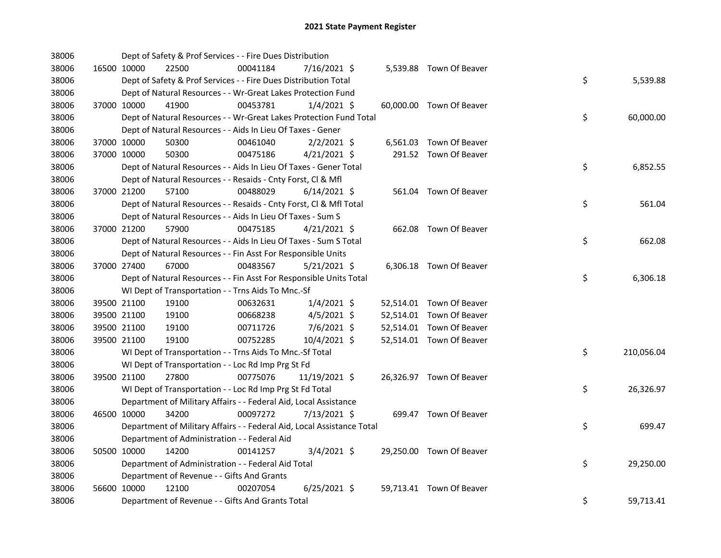| 38006 |             |                                              | Dept of Safety & Prof Services - - Fire Dues Distribution              |                |  |                          |                  |  |
|-------|-------------|----------------------------------------------|------------------------------------------------------------------------|----------------|--|--------------------------|------------------|--|
| 38006 |             | 16500 10000<br>22500                         | 00041184                                                               | 7/16/2021 \$   |  | 5,539.88 Town Of Beaver  |                  |  |
| 38006 |             |                                              | Dept of Safety & Prof Services - - Fire Dues Distribution Total        |                |  |                          | \$<br>5,539.88   |  |
| 38006 |             |                                              | Dept of Natural Resources - - Wr-Great Lakes Protection Fund           |                |  |                          |                  |  |
| 38006 |             | 37000 10000<br>41900                         | 00453781                                                               | $1/4/2021$ \$  |  | 60,000.00 Town Of Beaver |                  |  |
| 38006 |             |                                              | Dept of Natural Resources - - Wr-Great Lakes Protection Fund Total     |                |  |                          | \$<br>60,000.00  |  |
| 38006 |             |                                              | Dept of Natural Resources - - Aids In Lieu Of Taxes - Gener            |                |  |                          |                  |  |
| 38006 |             | 37000 10000<br>50300                         | 00461040                                                               | $2/2/2021$ \$  |  | 6,561.03 Town Of Beaver  |                  |  |
| 38006 |             | 37000 10000<br>50300                         | 00475186                                                               | $4/21/2021$ \$ |  | 291.52 Town Of Beaver    |                  |  |
| 38006 |             |                                              | Dept of Natural Resources - - Aids In Lieu Of Taxes - Gener Total      |                |  |                          | \$<br>6,852.55   |  |
| 38006 |             |                                              | Dept of Natural Resources - - Resaids - Cnty Forst, Cl & Mfl           |                |  |                          |                  |  |
| 38006 |             | 37000 21200<br>57100                         | 00488029                                                               | $6/14/2021$ \$ |  | 561.04 Town Of Beaver    |                  |  |
| 38006 |             |                                              | Dept of Natural Resources - - Resaids - Cnty Forst, Cl & Mfl Total     |                |  |                          | \$<br>561.04     |  |
| 38006 |             |                                              | Dept of Natural Resources - - Aids In Lieu Of Taxes - Sum S            |                |  |                          |                  |  |
| 38006 | 37000 21200 | 57900                                        | 00475185                                                               | $4/21/2021$ \$ |  | 662.08 Town Of Beaver    |                  |  |
| 38006 |             |                                              | Dept of Natural Resources - - Aids In Lieu Of Taxes - Sum S Total      |                |  |                          | \$<br>662.08     |  |
| 38006 |             |                                              | Dept of Natural Resources - - Fin Asst For Responsible Units           |                |  |                          |                  |  |
| 38006 |             | 37000 27400<br>67000                         | 00483567                                                               | $5/21/2021$ \$ |  | 6,306.18 Town Of Beaver  |                  |  |
| 38006 |             |                                              | Dept of Natural Resources - - Fin Asst For Responsible Units Total     |                |  |                          | \$<br>6,306.18   |  |
| 38006 |             |                                              | WI Dept of Transportation - - Trns Aids To Mnc.-Sf                     |                |  |                          |                  |  |
| 38006 |             | 39500 21100<br>19100                         | 00632631                                                               | $1/4/2021$ \$  |  | 52,514.01 Town Of Beaver |                  |  |
| 38006 |             | 39500 21100<br>19100                         | 00668238                                                               | $4/5/2021$ \$  |  | 52,514.01 Town Of Beaver |                  |  |
| 38006 |             | 39500 21100<br>19100                         | 00711726                                                               | 7/6/2021 \$    |  | 52,514.01 Town Of Beaver |                  |  |
| 38006 |             | 19100<br>39500 21100                         | 00752285                                                               | 10/4/2021 \$   |  | 52,514.01 Town Of Beaver |                  |  |
| 38006 |             |                                              | WI Dept of Transportation - - Trns Aids To Mnc.-Sf Total               |                |  |                          | \$<br>210,056.04 |  |
| 38006 |             |                                              | WI Dept of Transportation - - Loc Rd Imp Prg St Fd                     |                |  |                          |                  |  |
| 38006 |             | 39500 21100<br>27800                         | 00775076                                                               | 11/19/2021 \$  |  | 26,326.97 Town Of Beaver |                  |  |
| 38006 |             |                                              | WI Dept of Transportation - - Loc Rd Imp Prg St Fd Total               |                |  |                          | \$<br>26,326.97  |  |
| 38006 |             |                                              | Department of Military Affairs - - Federal Aid, Local Assistance       |                |  |                          |                  |  |
| 38006 |             | 34200<br>46500 10000                         | 00097272                                                               | 7/13/2021 \$   |  | 699.47 Town Of Beaver    |                  |  |
| 38006 |             |                                              | Department of Military Affairs - - Federal Aid, Local Assistance Total |                |  |                          | \$<br>699.47     |  |
| 38006 |             | Department of Administration - - Federal Aid |                                                                        |                |  |                          |                  |  |
| 38006 |             | 50500 10000<br>14200                         | 00141257                                                               | $3/4/2021$ \$  |  | 29,250.00 Town Of Beaver |                  |  |
| 38006 |             |                                              | Department of Administration - - Federal Aid Total                     |                |  |                          | \$<br>29,250.00  |  |
| 38006 |             | Department of Revenue - - Gifts And Grants   |                                                                        |                |  |                          |                  |  |
| 38006 | 56600 10000 | 12100                                        | 00207054                                                               | $6/25/2021$ \$ |  | 59,713.41 Town Of Beaver |                  |  |
| 38006 |             |                                              | Department of Revenue - - Gifts And Grants Total                       |                |  |                          | \$<br>59,713.41  |  |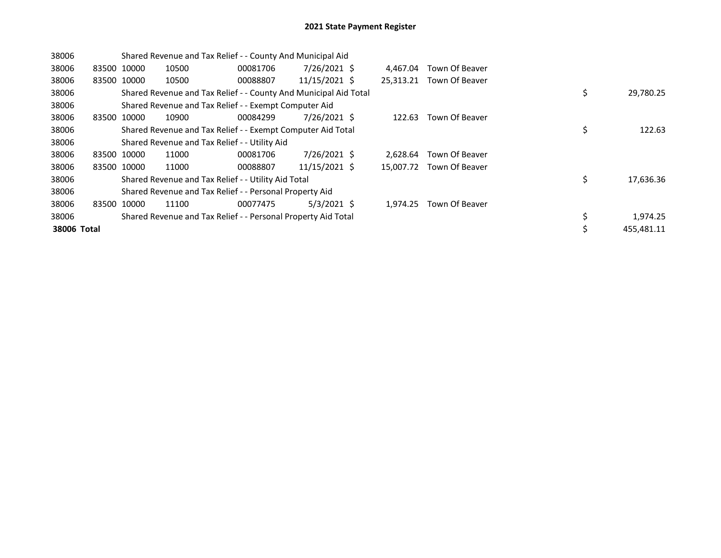| 38006       |             |       | Shared Revenue and Tax Relief - - County And Municipal Aid       |          |                 |           |                |    |            |
|-------------|-------------|-------|------------------------------------------------------------------|----------|-----------------|-----------|----------------|----|------------|
| 38006       | 83500 10000 |       | 10500                                                            | 00081706 | 7/26/2021 \$    | 4.467.04  | Town Of Beaver |    |            |
| 38006       | 83500 10000 |       | 10500                                                            | 00088807 | 11/15/2021 \$   | 25,313.21 | Town Of Beaver |    |            |
| 38006       |             |       | Shared Revenue and Tax Relief - - County And Municipal Aid Total |          |                 |           |                | \$ | 29,780.25  |
| 38006       |             |       | Shared Revenue and Tax Relief - - Exempt Computer Aid            |          |                 |           |                |    |            |
| 38006       | 83500 10000 |       | 10900                                                            | 00084299 | 7/26/2021 \$    | 122.63    | Town Of Beaver |    |            |
| 38006       |             |       | Shared Revenue and Tax Relief - - Exempt Computer Aid Total      |          |                 |           |                | \$ | 122.63     |
| 38006       |             |       | Shared Revenue and Tax Relief - - Utility Aid                    |          |                 |           |                |    |            |
| 38006       | 83500 10000 |       | 11000                                                            | 00081706 | 7/26/2021 \$    | 2.628.64  | Town Of Beaver |    |            |
| 38006       | 83500 10000 |       | 11000                                                            | 00088807 | $11/15/2021$ \$ | 15,007.72 | Town Of Beaver |    |            |
| 38006       |             |       | Shared Revenue and Tax Relief - - Utility Aid Total              |          |                 |           |                | \$ | 17,636.36  |
| 38006       |             |       | Shared Revenue and Tax Relief - - Personal Property Aid          |          |                 |           |                |    |            |
| 38006       | 83500       | 10000 | 11100                                                            | 00077475 | $5/3/2021$ \$   | 1,974.25  | Town Of Beaver |    |            |
| 38006       |             |       | Shared Revenue and Tax Relief - - Personal Property Aid Total    |          |                 |           |                |    | 1,974.25   |
| 38006 Total |             |       |                                                                  |          |                 |           |                | \$ | 455,481.11 |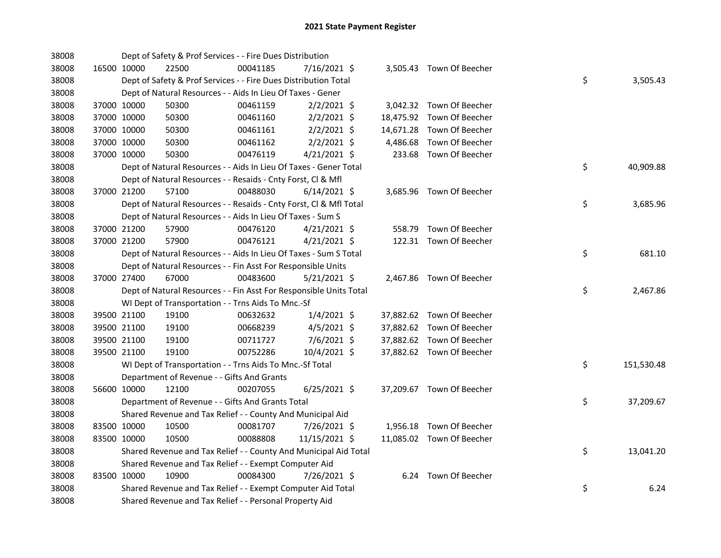| 38008 |             |             | Dept of Safety & Prof Services - - Fire Dues Distribution          |          |                |  |                           |    |            |
|-------|-------------|-------------|--------------------------------------------------------------------|----------|----------------|--|---------------------------|----|------------|
| 38008 | 16500 10000 |             | 22500                                                              | 00041185 | 7/16/2021 \$   |  | 3,505.43 Town Of Beecher  |    |            |
| 38008 |             |             | Dept of Safety & Prof Services - - Fire Dues Distribution Total    |          |                |  |                           | \$ | 3,505.43   |
| 38008 |             |             | Dept of Natural Resources - - Aids In Lieu Of Taxes - Gener        |          |                |  |                           |    |            |
| 38008 |             | 37000 10000 | 50300                                                              | 00461159 | $2/2/2021$ \$  |  | 3,042.32 Town Of Beecher  |    |            |
| 38008 | 37000 10000 |             | 50300                                                              | 00461160 | $2/2/2021$ \$  |  | 18,475.92 Town Of Beecher |    |            |
| 38008 | 37000 10000 |             | 50300                                                              | 00461161 | $2/2/2021$ \$  |  | 14,671.28 Town Of Beecher |    |            |
| 38008 | 37000 10000 |             | 50300                                                              | 00461162 | $2/2/2021$ \$  |  | 4,486.68 Town Of Beecher  |    |            |
| 38008 |             | 37000 10000 | 50300                                                              | 00476119 | $4/21/2021$ \$ |  | 233.68 Town Of Beecher    |    |            |
| 38008 |             |             | Dept of Natural Resources - - Aids In Lieu Of Taxes - Gener Total  |          |                |  |                           | \$ | 40,909.88  |
| 38008 |             |             | Dept of Natural Resources - - Resaids - Cnty Forst, Cl & Mfl       |          |                |  |                           |    |            |
| 38008 |             | 37000 21200 | 57100                                                              | 00488030 | $6/14/2021$ \$ |  | 3,685.96 Town Of Beecher  |    |            |
| 38008 |             |             | Dept of Natural Resources - - Resaids - Cnty Forst, CI & Mfl Total |          |                |  |                           | \$ | 3,685.96   |
| 38008 |             |             | Dept of Natural Resources - - Aids In Lieu Of Taxes - Sum S        |          |                |  |                           |    |            |
| 38008 |             | 37000 21200 | 57900                                                              | 00476120 | $4/21/2021$ \$ |  | 558.79 Town Of Beecher    |    |            |
| 38008 | 37000 21200 |             | 57900                                                              | 00476121 | $4/21/2021$ \$ |  | 122.31 Town Of Beecher    |    |            |
| 38008 |             |             | Dept of Natural Resources - - Aids In Lieu Of Taxes - Sum S Total  |          |                |  |                           | \$ | 681.10     |
| 38008 |             |             | Dept of Natural Resources - - Fin Asst For Responsible Units       |          |                |  |                           |    |            |
| 38008 |             | 37000 27400 | 67000                                                              | 00483600 | $5/21/2021$ \$ |  | 2,467.86 Town Of Beecher  |    |            |
| 38008 |             |             | Dept of Natural Resources - - Fin Asst For Responsible Units Total |          |                |  |                           | \$ | 2,467.86   |
| 38008 |             |             | WI Dept of Transportation - - Trns Aids To Mnc.-Sf                 |          |                |  |                           |    |            |
| 38008 |             | 39500 21100 | 19100                                                              | 00632632 | $1/4/2021$ \$  |  | 37,882.62 Town Of Beecher |    |            |
| 38008 |             | 39500 21100 | 19100                                                              | 00668239 | $4/5/2021$ \$  |  | 37,882.62 Town Of Beecher |    |            |
| 38008 | 39500 21100 |             | 19100                                                              | 00711727 | 7/6/2021 \$    |  | 37,882.62 Town Of Beecher |    |            |
| 38008 | 39500 21100 |             | 19100                                                              | 00752286 | 10/4/2021 \$   |  | 37,882.62 Town Of Beecher |    |            |
| 38008 |             |             | WI Dept of Transportation - - Trns Aids To Mnc.-Sf Total           |          |                |  |                           | \$ | 151,530.48 |
| 38008 |             |             | Department of Revenue - - Gifts And Grants                         |          |                |  |                           |    |            |
| 38008 | 56600 10000 |             | 12100                                                              | 00207055 | $6/25/2021$ \$ |  | 37,209.67 Town Of Beecher |    |            |
| 38008 |             |             | Department of Revenue - - Gifts And Grants Total                   |          |                |  |                           | \$ | 37,209.67  |
| 38008 |             |             | Shared Revenue and Tax Relief - - County And Municipal Aid         |          |                |  |                           |    |            |
| 38008 |             | 83500 10000 | 10500                                                              | 00081707 | 7/26/2021 \$   |  | 1,956.18 Town Of Beecher  |    |            |
| 38008 | 83500 10000 |             | 10500                                                              | 00088808 | 11/15/2021 \$  |  | 11,085.02 Town Of Beecher |    |            |
| 38008 |             |             | Shared Revenue and Tax Relief - - County And Municipal Aid Total   |          |                |  |                           | \$ | 13,041.20  |
| 38008 |             |             | Shared Revenue and Tax Relief - - Exempt Computer Aid              |          |                |  |                           |    |            |
| 38008 | 83500 10000 |             | 10900                                                              | 00084300 | 7/26/2021 \$   |  | 6.24 Town Of Beecher      |    |            |
| 38008 |             |             | Shared Revenue and Tax Relief - - Exempt Computer Aid Total        |          |                |  |                           | \$ | 6.24       |
| 38008 |             |             | Shared Revenue and Tax Relief - - Personal Property Aid            |          |                |  |                           |    |            |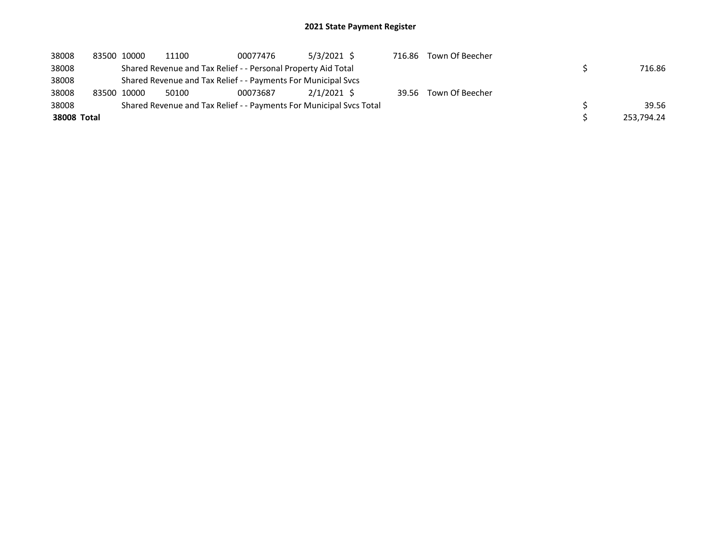| 38008       | 83500 10000 | 11100 | 00077476                                                      | $5/3/2021$ \$                                                       | 716.86 | Town Of Beecher       |            |
|-------------|-------------|-------|---------------------------------------------------------------|---------------------------------------------------------------------|--------|-----------------------|------------|
| 38008       |             |       | Shared Revenue and Tax Relief - - Personal Property Aid Total |                                                                     |        |                       | 716.86     |
| 38008       |             |       | Shared Revenue and Tax Relief - - Payments For Municipal Svcs |                                                                     |        |                       |            |
| 38008       | 83500 10000 | 50100 | 00073687                                                      | $2/1/2021$ \$                                                       |        | 39.56 Town Of Beecher |            |
| 38008       |             |       |                                                               | Shared Revenue and Tax Relief - - Payments For Municipal Sycs Total |        |                       | 39.56      |
| 38008 Total |             |       |                                                               |                                                                     |        |                       | 253.794.24 |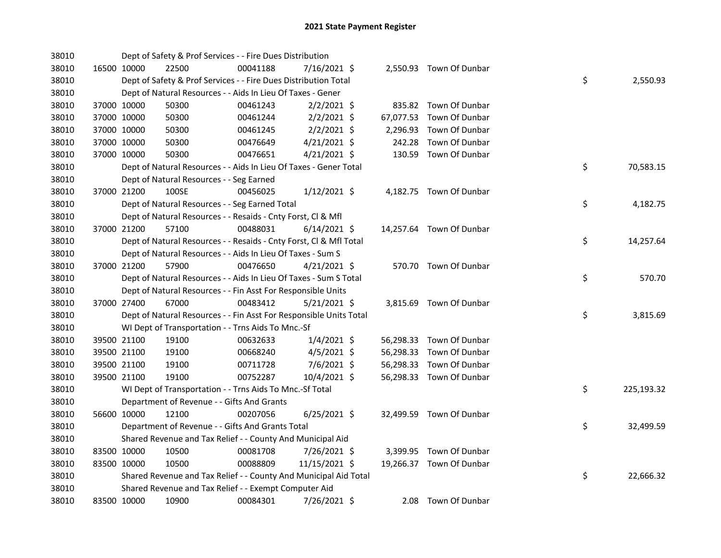| 38010 |             | Dept of Safety & Prof Services - - Fire Dues Distribution          |          |                |        |                          |    |            |
|-------|-------------|--------------------------------------------------------------------|----------|----------------|--------|--------------------------|----|------------|
| 38010 | 16500 10000 | 22500                                                              | 00041188 | 7/16/2021 \$   |        | 2,550.93 Town Of Dunbar  |    |            |
| 38010 |             | Dept of Safety & Prof Services - - Fire Dues Distribution Total    |          |                |        |                          | \$ | 2,550.93   |
| 38010 |             | Dept of Natural Resources - - Aids In Lieu Of Taxes - Gener        |          |                |        |                          |    |            |
| 38010 | 37000 10000 | 50300                                                              | 00461243 | $2/2/2021$ \$  |        | 835.82 Town Of Dunbar    |    |            |
| 38010 | 37000 10000 | 50300                                                              | 00461244 | $2/2/2021$ \$  |        | 67,077.53 Town Of Dunbar |    |            |
| 38010 | 37000 10000 | 50300                                                              | 00461245 | $2/2/2021$ \$  |        | 2,296.93 Town Of Dunbar  |    |            |
| 38010 | 37000 10000 | 50300                                                              | 00476649 | $4/21/2021$ \$ | 242.28 | Town Of Dunbar           |    |            |
| 38010 | 37000 10000 | 50300                                                              | 00476651 | $4/21/2021$ \$ |        | 130.59 Town Of Dunbar    |    |            |
| 38010 |             | Dept of Natural Resources - - Aids In Lieu Of Taxes - Gener Total  |          |                |        |                          | \$ | 70,583.15  |
| 38010 |             | Dept of Natural Resources - - Seg Earned                           |          |                |        |                          |    |            |
| 38010 | 37000 21200 | 100SE                                                              | 00456025 | $1/12/2021$ \$ |        | 4,182.75 Town Of Dunbar  |    |            |
| 38010 |             | Dept of Natural Resources - - Seg Earned Total                     |          |                |        |                          | \$ | 4,182.75   |
| 38010 |             | Dept of Natural Resources - - Resaids - Cnty Forst, Cl & Mfl       |          |                |        |                          |    |            |
| 38010 | 37000 21200 | 57100                                                              | 00488031 | $6/14/2021$ \$ |        | 14,257.64 Town Of Dunbar |    |            |
| 38010 |             | Dept of Natural Resources - - Resaids - Cnty Forst, Cl & Mfl Total |          |                |        |                          | \$ | 14,257.64  |
| 38010 |             | Dept of Natural Resources - - Aids In Lieu Of Taxes - Sum S        |          |                |        |                          |    |            |
| 38010 | 37000 21200 | 57900                                                              | 00476650 | $4/21/2021$ \$ |        | 570.70 Town Of Dunbar    |    |            |
| 38010 |             | Dept of Natural Resources - - Aids In Lieu Of Taxes - Sum S Total  |          |                |        |                          | \$ | 570.70     |
| 38010 |             | Dept of Natural Resources - - Fin Asst For Responsible Units       |          |                |        |                          |    |            |
| 38010 | 37000 27400 | 67000                                                              | 00483412 | $5/21/2021$ \$ |        | 3,815.69 Town Of Dunbar  |    |            |
| 38010 |             | Dept of Natural Resources - - Fin Asst For Responsible Units Total |          |                |        |                          | \$ | 3,815.69   |
| 38010 |             | WI Dept of Transportation - - Trns Aids To Mnc.-Sf                 |          |                |        |                          |    |            |
| 38010 | 39500 21100 | 19100                                                              | 00632633 | $1/4/2021$ \$  |        | 56,298.33 Town Of Dunbar |    |            |
| 38010 | 39500 21100 | 19100                                                              | 00668240 | $4/5/2021$ \$  |        | 56,298.33 Town Of Dunbar |    |            |
| 38010 | 39500 21100 | 19100                                                              | 00711728 | 7/6/2021 \$    |        | 56,298.33 Town Of Dunbar |    |            |
| 38010 | 39500 21100 | 19100                                                              | 00752287 | 10/4/2021 \$   |        | 56,298.33 Town Of Dunbar |    |            |
| 38010 |             | WI Dept of Transportation - - Trns Aids To Mnc.-Sf Total           |          |                |        |                          | \$ | 225,193.32 |
| 38010 |             | Department of Revenue - - Gifts And Grants                         |          |                |        |                          |    |            |
| 38010 | 56600 10000 | 12100                                                              | 00207056 | $6/25/2021$ \$ |        | 32,499.59 Town Of Dunbar |    |            |
| 38010 |             | Department of Revenue - - Gifts And Grants Total                   |          |                |        |                          | \$ | 32,499.59  |
| 38010 |             | Shared Revenue and Tax Relief - - County And Municipal Aid         |          |                |        |                          |    |            |
| 38010 | 83500 10000 | 10500                                                              | 00081708 | $7/26/2021$ \$ |        | 3,399.95 Town Of Dunbar  |    |            |
| 38010 | 83500 10000 | 10500                                                              | 00088809 | 11/15/2021 \$  |        | 19,266.37 Town Of Dunbar |    |            |
| 38010 |             | Shared Revenue and Tax Relief - - County And Municipal Aid Total   |          |                |        |                          | \$ | 22,666.32  |
| 38010 |             | Shared Revenue and Tax Relief - - Exempt Computer Aid              |          |                |        |                          |    |            |
| 38010 | 83500 10000 | 10900                                                              | 00084301 | 7/26/2021 \$   |        | 2.08 Town Of Dunbar      |    |            |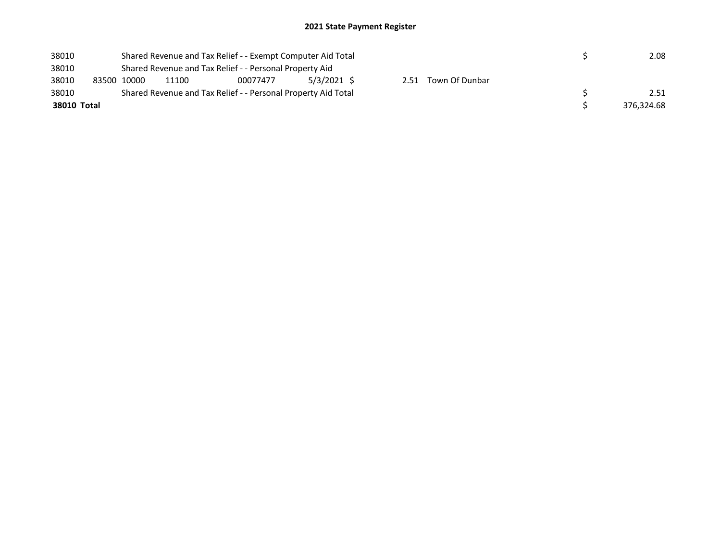| 38010       |             |                                                         | Shared Revenue and Tax Relief - - Exempt Computer Aid Total   |             |  | 2.08                |  |            |
|-------------|-------------|---------------------------------------------------------|---------------------------------------------------------------|-------------|--|---------------------|--|------------|
| 38010       |             | Shared Revenue and Tax Relief - - Personal Property Aid |                                                               |             |  |                     |  |            |
| 38010       | 83500 10000 | 11100                                                   | 00077477                                                      | 5/3/2021 \$ |  | 2.51 Town Of Dunbar |  |            |
| 38010       |             |                                                         | Shared Revenue and Tax Relief - - Personal Property Aid Total |             |  |                     |  | 2.51       |
| 38010 Total |             |                                                         |                                                               |             |  |                     |  | 376,324.68 |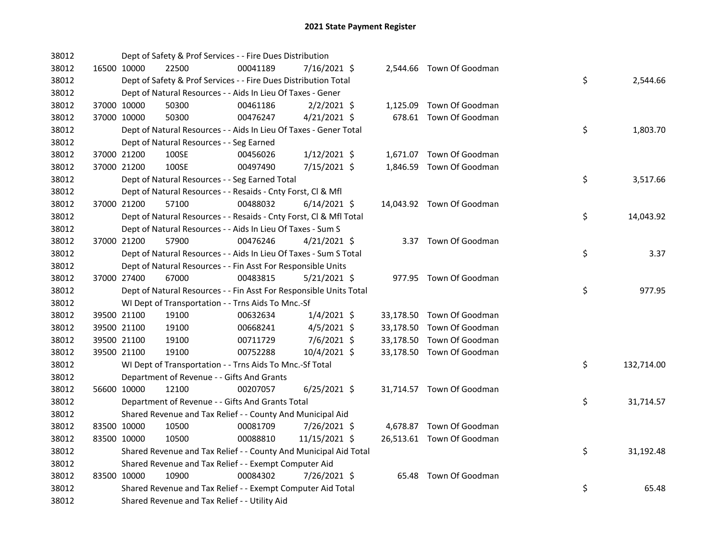| 38012 |             |             | Dept of Safety & Prof Services - - Fire Dues Distribution          |          |                |  |                           |    |            |
|-------|-------------|-------------|--------------------------------------------------------------------|----------|----------------|--|---------------------------|----|------------|
| 38012 |             | 16500 10000 | 22500                                                              | 00041189 | 7/16/2021 \$   |  | 2,544.66 Town Of Goodman  |    |            |
| 38012 |             |             | Dept of Safety & Prof Services - - Fire Dues Distribution Total    |          |                |  |                           | \$ | 2,544.66   |
| 38012 |             |             | Dept of Natural Resources - - Aids In Lieu Of Taxes - Gener        |          |                |  |                           |    |            |
| 38012 |             | 37000 10000 | 50300                                                              | 00461186 | $2/2/2021$ \$  |  | 1,125.09 Town Of Goodman  |    |            |
| 38012 | 37000 10000 |             | 50300                                                              | 00476247 | $4/21/2021$ \$ |  | 678.61 Town Of Goodman    |    |            |
| 38012 |             |             | Dept of Natural Resources - - Aids In Lieu Of Taxes - Gener Total  |          |                |  |                           | \$ | 1,803.70   |
| 38012 |             |             | Dept of Natural Resources - - Seg Earned                           |          |                |  |                           |    |            |
| 38012 |             | 37000 21200 | 100SE                                                              | 00456026 | $1/12/2021$ \$ |  | 1,671.07 Town Of Goodman  |    |            |
| 38012 |             | 37000 21200 | 100SE                                                              | 00497490 | 7/15/2021 \$   |  | 1,846.59 Town Of Goodman  |    |            |
| 38012 |             |             | Dept of Natural Resources - - Seg Earned Total                     |          |                |  |                           | \$ | 3,517.66   |
| 38012 |             |             | Dept of Natural Resources - - Resaids - Cnty Forst, Cl & Mfl       |          |                |  |                           |    |            |
| 38012 |             | 37000 21200 | 57100                                                              | 00488032 | $6/14/2021$ \$ |  | 14,043.92 Town Of Goodman |    |            |
| 38012 |             |             | Dept of Natural Resources - - Resaids - Cnty Forst, Cl & Mfl Total |          |                |  |                           | \$ | 14,043.92  |
| 38012 |             |             | Dept of Natural Resources - - Aids In Lieu Of Taxes - Sum S        |          |                |  |                           |    |            |
| 38012 |             | 37000 21200 | 57900                                                              | 00476246 | $4/21/2021$ \$ |  | 3.37 Town Of Goodman      |    |            |
| 38012 |             |             | Dept of Natural Resources - - Aids In Lieu Of Taxes - Sum S Total  |          |                |  |                           | \$ | 3.37       |
| 38012 |             |             | Dept of Natural Resources - - Fin Asst For Responsible Units       |          |                |  |                           |    |            |
| 38012 |             | 37000 27400 | 67000                                                              | 00483815 | $5/21/2021$ \$ |  | 977.95 Town Of Goodman    |    |            |
| 38012 |             |             | Dept of Natural Resources - - Fin Asst For Responsible Units Total |          |                |  |                           | \$ | 977.95     |
| 38012 |             |             | WI Dept of Transportation - - Trns Aids To Mnc.-Sf                 |          |                |  |                           |    |            |
| 38012 |             | 39500 21100 | 19100                                                              | 00632634 | $1/4/2021$ \$  |  | 33,178.50 Town Of Goodman |    |            |
| 38012 |             | 39500 21100 | 19100                                                              | 00668241 | $4/5/2021$ \$  |  | 33,178.50 Town Of Goodman |    |            |
| 38012 |             | 39500 21100 | 19100                                                              | 00711729 | 7/6/2021 \$    |  | 33,178.50 Town Of Goodman |    |            |
| 38012 |             | 39500 21100 | 19100                                                              | 00752288 | 10/4/2021 \$   |  | 33,178.50 Town Of Goodman |    |            |
| 38012 |             |             | WI Dept of Transportation - - Trns Aids To Mnc.-Sf Total           |          |                |  |                           | \$ | 132,714.00 |
| 38012 |             |             | Department of Revenue - - Gifts And Grants                         |          |                |  |                           |    |            |
| 38012 |             | 56600 10000 | 12100                                                              | 00207057 | $6/25/2021$ \$ |  | 31,714.57 Town Of Goodman |    |            |
| 38012 |             |             | Department of Revenue - - Gifts And Grants Total                   |          |                |  |                           | \$ | 31,714.57  |
| 38012 |             |             | Shared Revenue and Tax Relief - - County And Municipal Aid         |          |                |  |                           |    |            |
| 38012 |             | 83500 10000 | 10500                                                              | 00081709 | 7/26/2021 \$   |  | 4,678.87 Town Of Goodman  |    |            |
| 38012 |             | 83500 10000 | 10500                                                              | 00088810 | 11/15/2021 \$  |  | 26,513.61 Town Of Goodman |    |            |
| 38012 |             |             | Shared Revenue and Tax Relief - - County And Municipal Aid Total   |          |                |  |                           | \$ | 31,192.48  |
| 38012 |             |             | Shared Revenue and Tax Relief - - Exempt Computer Aid              |          |                |  |                           |    |            |
| 38012 |             | 83500 10000 | 10900                                                              | 00084302 | 7/26/2021 \$   |  | 65.48 Town Of Goodman     |    |            |
| 38012 |             |             | Shared Revenue and Tax Relief - - Exempt Computer Aid Total        |          |                |  |                           | \$ | 65.48      |
| 38012 |             |             | Shared Revenue and Tax Relief - - Utility Aid                      |          |                |  |                           |    |            |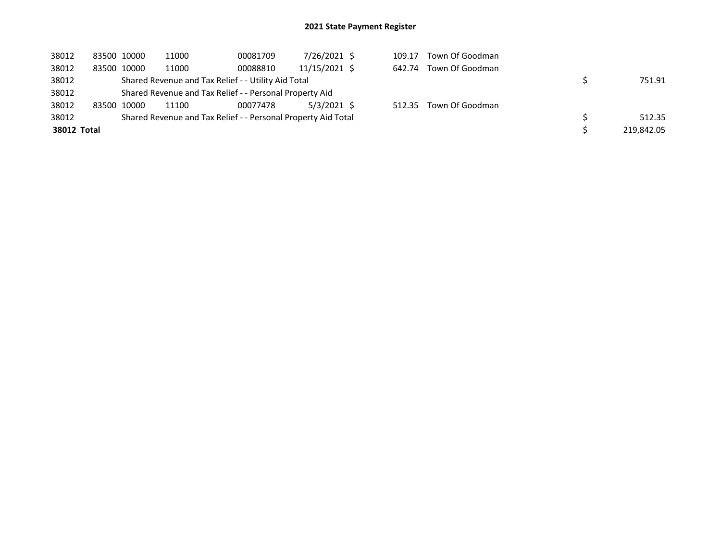| 38012       | 83500 10000 | 11000 | 00081709                                                      | 7/26/2021 \$  | 109.17 | Town Of Goodman        |            |
|-------------|-------------|-------|---------------------------------------------------------------|---------------|--------|------------------------|------------|
| 38012       | 83500 10000 | 11000 | 00088810                                                      | 11/15/2021 \$ | 642.74 | Town Of Goodman        |            |
| 38012       |             |       | Shared Revenue and Tax Relief - - Utility Aid Total           |               |        |                        | 751.91     |
| 38012       |             |       | Shared Revenue and Tax Relief - - Personal Property Aid       |               |        |                        |            |
| 38012       | 83500 10000 | 11100 | 00077478                                                      | $5/3/2021$ \$ |        | 512.35 Town Of Goodman |            |
| 38012       |             |       | Shared Revenue and Tax Relief - - Personal Property Aid Total |               |        |                        | 512.35     |
| 38012 Total |             |       |                                                               |               |        |                        | 219,842.05 |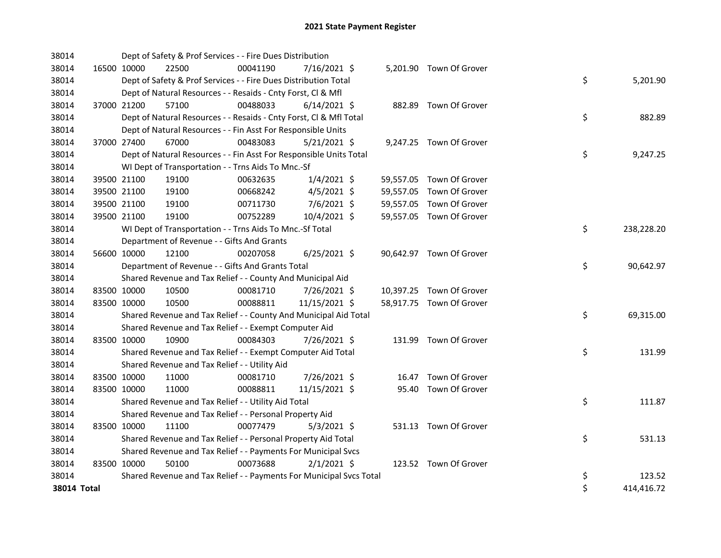| 38014 |             |                                               | Dept of Safety & Prof Services - - Fire Dues Distribution           |                |  |                          |    |            |
|-------|-------------|-----------------------------------------------|---------------------------------------------------------------------|----------------|--|--------------------------|----|------------|
| 38014 |             | 16500 10000<br>22500                          | 00041190                                                            | 7/16/2021 \$   |  | 5,201.90 Town Of Grover  |    |            |
| 38014 |             |                                               | Dept of Safety & Prof Services - - Fire Dues Distribution Total     |                |  |                          | \$ | 5,201.90   |
| 38014 |             |                                               | Dept of Natural Resources - - Resaids - Cnty Forst, Cl & Mfl        |                |  |                          |    |            |
| 38014 |             | 37000 21200<br>57100                          | 00488033                                                            | $6/14/2021$ \$ |  | 882.89 Town Of Grover    |    |            |
| 38014 |             |                                               | Dept of Natural Resources - - Resaids - Cnty Forst, Cl & Mfl Total  |                |  |                          | \$ | 882.89     |
| 38014 |             |                                               | Dept of Natural Resources - - Fin Asst For Responsible Units        |                |  |                          |    |            |
| 38014 |             | 37000 27400<br>67000                          | 00483083                                                            | $5/21/2021$ \$ |  | 9,247.25 Town Of Grover  |    |            |
| 38014 |             |                                               | Dept of Natural Resources - - Fin Asst For Responsible Units Total  |                |  |                          | \$ | 9,247.25   |
| 38014 |             |                                               | WI Dept of Transportation - - Trns Aids To Mnc.-Sf                  |                |  |                          |    |            |
| 38014 |             | 39500 21100<br>19100                          | 00632635                                                            | $1/4/2021$ \$  |  | 59,557.05 Town Of Grover |    |            |
| 38014 |             | 39500 21100<br>19100                          | 00668242                                                            | $4/5/2021$ \$  |  | 59,557.05 Town Of Grover |    |            |
| 38014 |             | 39500 21100<br>19100                          | 00711730                                                            | $7/6/2021$ \$  |  | 59,557.05 Town Of Grover |    |            |
| 38014 |             | 39500 21100<br>19100                          | 00752289                                                            | 10/4/2021 \$   |  | 59,557.05 Town Of Grover |    |            |
| 38014 |             |                                               | WI Dept of Transportation - - Trns Aids To Mnc.-Sf Total            |                |  |                          | \$ | 238,228.20 |
| 38014 |             | Department of Revenue - - Gifts And Grants    |                                                                     |                |  |                          |    |            |
| 38014 |             | 56600 10000<br>12100                          | 00207058                                                            | $6/25/2021$ \$ |  | 90,642.97 Town Of Grover |    |            |
| 38014 |             |                                               | Department of Revenue - - Gifts And Grants Total                    |                |  |                          | \$ | 90,642.97  |
| 38014 |             |                                               | Shared Revenue and Tax Relief - - County And Municipal Aid          |                |  |                          |    |            |
| 38014 |             | 83500 10000<br>10500                          | 00081710                                                            | 7/26/2021 \$   |  | 10,397.25 Town Of Grover |    |            |
| 38014 |             | 83500 10000<br>10500                          | 00088811                                                            | 11/15/2021 \$  |  | 58,917.75 Town Of Grover |    |            |
| 38014 |             |                                               | Shared Revenue and Tax Relief - - County And Municipal Aid Total    |                |  |                          | \$ | 69,315.00  |
| 38014 |             |                                               | Shared Revenue and Tax Relief - - Exempt Computer Aid               |                |  |                          |    |            |
| 38014 |             | 83500 10000<br>10900                          | 00084303                                                            | 7/26/2021 \$   |  | 131.99 Town Of Grover    |    |            |
| 38014 |             |                                               | Shared Revenue and Tax Relief - - Exempt Computer Aid Total         |                |  |                          | \$ | 131.99     |
| 38014 |             | Shared Revenue and Tax Relief - - Utility Aid |                                                                     |                |  |                          |    |            |
| 38014 |             | 83500 10000<br>11000                          | 00081710                                                            | 7/26/2021 \$   |  | 16.47 Town Of Grover     |    |            |
| 38014 |             | 83500 10000<br>11000                          | 00088811                                                            | 11/15/2021 \$  |  | 95.40 Town Of Grover     |    |            |
| 38014 |             |                                               | Shared Revenue and Tax Relief - - Utility Aid Total                 |                |  |                          | \$ | 111.87     |
| 38014 |             |                                               | Shared Revenue and Tax Relief - - Personal Property Aid             |                |  |                          |    |            |
| 38014 |             | 83500 10000<br>11100                          | 00077479                                                            | $5/3/2021$ \$  |  | 531.13 Town Of Grover    |    |            |
| 38014 |             |                                               | Shared Revenue and Tax Relief - - Personal Property Aid Total       |                |  |                          | \$ | 531.13     |
| 38014 |             |                                               | Shared Revenue and Tax Relief - - Payments For Municipal Svcs       |                |  |                          |    |            |
| 38014 |             | 83500 10000<br>50100                          | 00073688                                                            | $2/1/2021$ \$  |  | 123.52 Town Of Grover    |    |            |
| 38014 |             |                                               | Shared Revenue and Tax Relief - - Payments For Municipal Svcs Total |                |  |                          | \$ | 123.52     |
|       | 38014 Total |                                               |                                                                     |                |  |                          | \$ | 414,416.72 |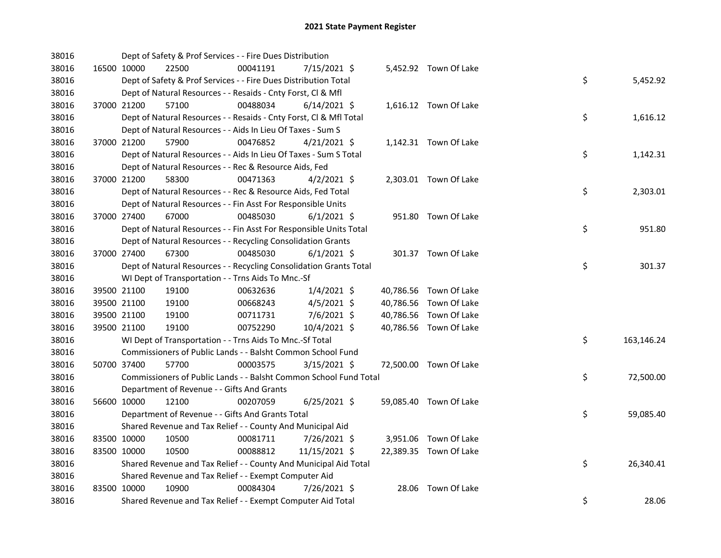| 38016 |             | Dept of Safety & Prof Services - - Fire Dues Distribution          |          |                |  |                        |                  |
|-------|-------------|--------------------------------------------------------------------|----------|----------------|--|------------------------|------------------|
| 38016 |             | 16500 10000<br>22500                                               | 00041191 | 7/15/2021 \$   |  | 5,452.92 Town Of Lake  |                  |
| 38016 |             | Dept of Safety & Prof Services - - Fire Dues Distribution Total    |          |                |  |                        | \$<br>5,452.92   |
| 38016 |             | Dept of Natural Resources - - Resaids - Cnty Forst, Cl & Mfl       |          |                |  |                        |                  |
| 38016 |             | 37000 21200<br>57100                                               | 00488034 | $6/14/2021$ \$ |  | 1,616.12 Town Of Lake  |                  |
| 38016 |             | Dept of Natural Resources - - Resaids - Cnty Forst, CI & Mfl Total |          |                |  |                        | \$<br>1,616.12   |
| 38016 |             | Dept of Natural Resources - - Aids In Lieu Of Taxes - Sum S        |          |                |  |                        |                  |
| 38016 | 37000 21200 | 57900                                                              | 00476852 | $4/21/2021$ \$ |  | 1,142.31 Town Of Lake  |                  |
| 38016 |             | Dept of Natural Resources - - Aids In Lieu Of Taxes - Sum S Total  |          |                |  |                        | \$<br>1,142.31   |
| 38016 |             | Dept of Natural Resources - - Rec & Resource Aids, Fed             |          |                |  |                        |                  |
| 38016 |             | 37000 21200<br>58300                                               | 00471363 | $4/2/2021$ \$  |  | 2,303.01 Town Of Lake  |                  |
| 38016 |             | Dept of Natural Resources - - Rec & Resource Aids, Fed Total       |          |                |  |                        | \$<br>2,303.01   |
| 38016 |             | Dept of Natural Resources - - Fin Asst For Responsible Units       |          |                |  |                        |                  |
| 38016 |             | 67000<br>37000 27400                                               | 00485030 | $6/1/2021$ \$  |  | 951.80 Town Of Lake    |                  |
| 38016 |             | Dept of Natural Resources - - Fin Asst For Responsible Units Total |          |                |  |                        | \$<br>951.80     |
| 38016 |             | Dept of Natural Resources - - Recycling Consolidation Grants       |          |                |  |                        |                  |
| 38016 | 37000 27400 | 67300                                                              | 00485030 | $6/1/2021$ \$  |  | 301.37 Town Of Lake    |                  |
| 38016 |             | Dept of Natural Resources - - Recycling Consolidation Grants Total |          |                |  |                        | \$<br>301.37     |
| 38016 |             | WI Dept of Transportation - - Trns Aids To Mnc.-Sf                 |          |                |  |                        |                  |
| 38016 |             | 19100<br>39500 21100                                               | 00632636 | $1/4/2021$ \$  |  | 40,786.56 Town Of Lake |                  |
| 38016 | 39500 21100 | 19100                                                              | 00668243 | $4/5/2021$ \$  |  | 40,786.56 Town Of Lake |                  |
| 38016 | 39500 21100 | 19100                                                              | 00711731 | 7/6/2021 \$    |  | 40,786.56 Town Of Lake |                  |
| 38016 | 39500 21100 | 19100                                                              | 00752290 | 10/4/2021 \$   |  | 40,786.56 Town Of Lake |                  |
| 38016 |             | WI Dept of Transportation - - Trns Aids To Mnc.-Sf Total           |          |                |  |                        | \$<br>163,146.24 |
| 38016 |             | Commissioners of Public Lands - - Balsht Common School Fund        |          |                |  |                        |                  |
| 38016 | 50700 37400 | 57700                                                              | 00003575 | $3/15/2021$ \$ |  | 72,500.00 Town Of Lake |                  |
| 38016 |             | Commissioners of Public Lands - - Balsht Common School Fund Total  |          |                |  |                        | \$<br>72,500.00  |
| 38016 |             | Department of Revenue - - Gifts And Grants                         |          |                |  |                        |                  |
| 38016 |             | 56600 10000<br>12100                                               | 00207059 | $6/25/2021$ \$ |  | 59,085.40 Town Of Lake |                  |
| 38016 |             | Department of Revenue - - Gifts And Grants Total                   |          |                |  |                        | \$<br>59,085.40  |
| 38016 |             | Shared Revenue and Tax Relief - - County And Municipal Aid         |          |                |  |                        |                  |
| 38016 | 83500 10000 | 10500                                                              | 00081711 | 7/26/2021 \$   |  | 3,951.06 Town Of Lake  |                  |
| 38016 | 83500 10000 | 10500                                                              | 00088812 | 11/15/2021 \$  |  | 22,389.35 Town Of Lake |                  |
| 38016 |             | Shared Revenue and Tax Relief - - County And Municipal Aid Total   |          |                |  |                        | \$<br>26,340.41  |
| 38016 |             | Shared Revenue and Tax Relief - - Exempt Computer Aid              |          |                |  |                        |                  |
| 38016 | 83500 10000 | 10900                                                              | 00084304 | 7/26/2021 \$   |  | 28.06 Town Of Lake     |                  |
| 38016 |             | Shared Revenue and Tax Relief - - Exempt Computer Aid Total        |          |                |  |                        | \$<br>28.06      |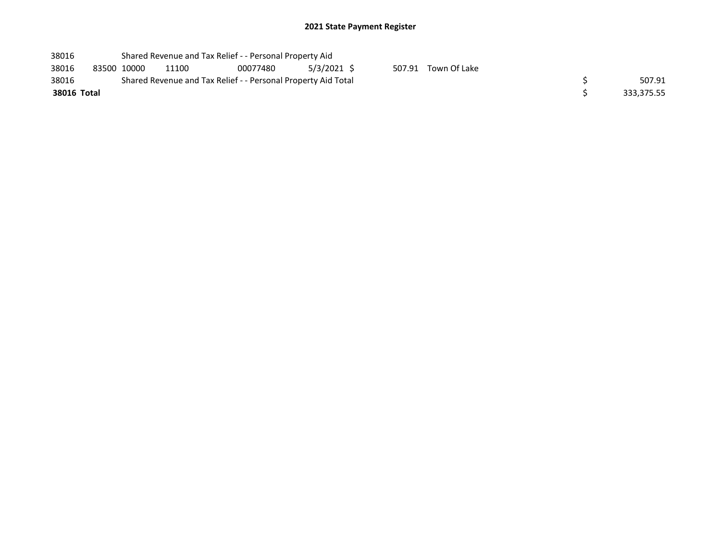| 38016       |             |       | Shared Revenue and Tax Relief - - Personal Property Aid       |             |  |                     |  |
|-------------|-------------|-------|---------------------------------------------------------------|-------------|--|---------------------|--|
| 38016       | 83500 10000 | 11100 | 00077480                                                      | 5/3/2021 \$ |  | 507.91 Town Of Lake |  |
| 38016       |             |       | Shared Revenue and Tax Relief - - Personal Property Aid Total | 507.91      |  |                     |  |
| 38016 Total |             |       |                                                               | 333,375.55  |  |                     |  |
|             |             |       |                                                               |             |  |                     |  |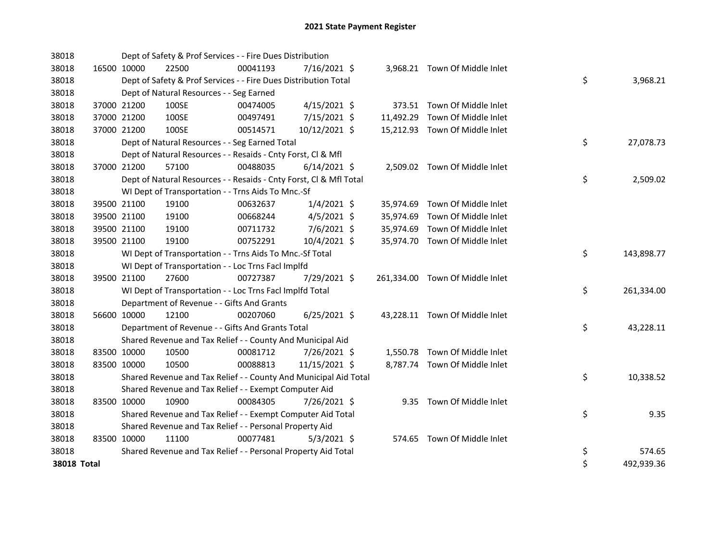| 38018       |             | Dept of Safety & Prof Services - - Fire Dues Distribution          |          |                |  |                                 |    |            |
|-------------|-------------|--------------------------------------------------------------------|----------|----------------|--|---------------------------------|----|------------|
| 38018       | 16500 10000 | 22500                                                              | 00041193 | $7/16/2021$ \$ |  | 3,968.21 Town Of Middle Inlet   |    |            |
| 38018       |             | Dept of Safety & Prof Services - - Fire Dues Distribution Total    |          |                |  |                                 | \$ | 3,968.21   |
| 38018       |             | Dept of Natural Resources - - Seg Earned                           |          |                |  |                                 |    |            |
| 38018       | 37000 21200 | 100SE                                                              | 00474005 | $4/15/2021$ \$ |  | 373.51 Town Of Middle Inlet     |    |            |
| 38018       | 37000 21200 | 100SE                                                              | 00497491 | $7/15/2021$ \$ |  | 11,492.29 Town Of Middle Inlet  |    |            |
| 38018       | 37000 21200 | 100SE                                                              | 00514571 | 10/12/2021 \$  |  | 15,212.93 Town Of Middle Inlet  |    |            |
| 38018       |             | Dept of Natural Resources - - Seg Earned Total                     |          |                |  |                                 | \$ | 27,078.73  |
| 38018       |             | Dept of Natural Resources - - Resaids - Cnty Forst, Cl & Mfl       |          |                |  |                                 |    |            |
| 38018       | 37000 21200 | 57100                                                              | 00488035 | $6/14/2021$ \$ |  | 2,509.02 Town Of Middle Inlet   |    |            |
| 38018       |             | Dept of Natural Resources - - Resaids - Cnty Forst, CI & Mfl Total |          |                |  |                                 | \$ | 2,509.02   |
| 38018       |             | WI Dept of Transportation - - Trns Aids To Mnc.-Sf                 |          |                |  |                                 |    |            |
| 38018       | 39500 21100 | 19100                                                              | 00632637 | $1/4/2021$ \$  |  | 35,974.69 Town Of Middle Inlet  |    |            |
| 38018       | 39500 21100 | 19100                                                              | 00668244 | $4/5/2021$ \$  |  | 35,974.69 Town Of Middle Inlet  |    |            |
| 38018       | 39500 21100 | 19100                                                              | 00711732 | 7/6/2021 \$    |  | 35,974.69 Town Of Middle Inlet  |    |            |
| 38018       | 39500 21100 | 19100                                                              | 00752291 | 10/4/2021 \$   |  | 35,974.70 Town Of Middle Inlet  |    |            |
| 38018       |             | WI Dept of Transportation - - Trns Aids To Mnc.-Sf Total           |          |                |  |                                 | \$ | 143,898.77 |
| 38018       |             | WI Dept of Transportation - - Loc Trns Facl Implfd                 |          |                |  |                                 |    |            |
| 38018       | 39500 21100 | 27600                                                              | 00727387 | 7/29/2021 \$   |  | 261,334.00 Town Of Middle Inlet |    |            |
| 38018       |             | WI Dept of Transportation - - Loc Trns Facl Implfd Total           |          |                |  |                                 | \$ | 261,334.00 |
| 38018       |             | Department of Revenue - - Gifts And Grants                         |          |                |  |                                 |    |            |
| 38018       | 56600 10000 | 12100                                                              | 00207060 | $6/25/2021$ \$ |  | 43,228.11 Town Of Middle Inlet  |    |            |
| 38018       |             | Department of Revenue - - Gifts And Grants Total                   |          |                |  |                                 | \$ | 43,228.11  |
| 38018       |             | Shared Revenue and Tax Relief - - County And Municipal Aid         |          |                |  |                                 |    |            |
| 38018       | 83500 10000 | 10500                                                              | 00081712 | 7/26/2021 \$   |  | 1,550.78 Town Of Middle Inlet   |    |            |
| 38018       | 83500 10000 | 10500                                                              | 00088813 | 11/15/2021 \$  |  | 8,787.74 Town Of Middle Inlet   |    |            |
| 38018       |             | Shared Revenue and Tax Relief - - County And Municipal Aid Total   |          |                |  |                                 | \$ | 10,338.52  |
| 38018       |             | Shared Revenue and Tax Relief - - Exempt Computer Aid              |          |                |  |                                 |    |            |
| 38018       | 83500 10000 | 10900                                                              | 00084305 | 7/26/2021 \$   |  | 9.35 Town Of Middle Inlet       |    |            |
| 38018       |             | Shared Revenue and Tax Relief - - Exempt Computer Aid Total        |          |                |  |                                 | \$ | 9.35       |
| 38018       |             | Shared Revenue and Tax Relief - - Personal Property Aid            |          |                |  |                                 |    |            |
| 38018       | 83500 10000 | 11100                                                              | 00077481 | $5/3/2021$ \$  |  | 574.65 Town Of Middle Inlet     |    |            |
| 38018       |             | Shared Revenue and Tax Relief - - Personal Property Aid Total      |          |                |  |                                 | \$ | 574.65     |
| 38018 Total |             |                                                                    |          |                |  |                                 | \$ | 492,939.36 |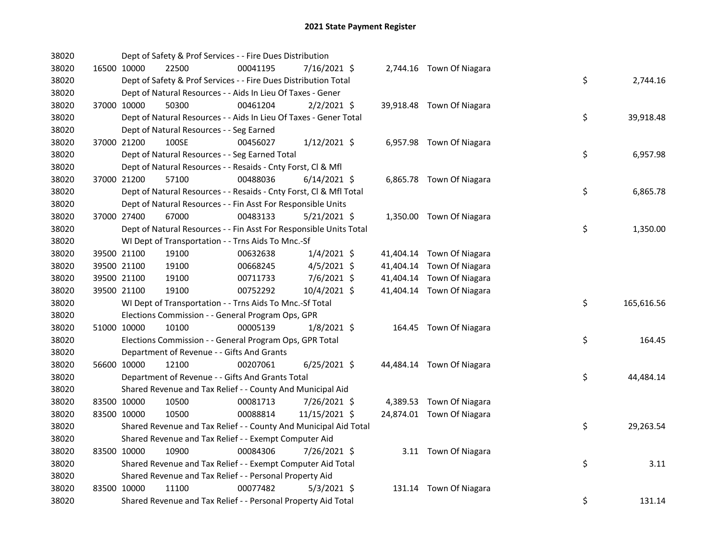| 38020 |             |             | Dept of Safety & Prof Services - - Fire Dues Distribution          |          |                |  |                           |    |            |
|-------|-------------|-------------|--------------------------------------------------------------------|----------|----------------|--|---------------------------|----|------------|
| 38020 |             | 16500 10000 | 22500                                                              | 00041195 | 7/16/2021 \$   |  | 2,744.16 Town Of Niagara  |    |            |
| 38020 |             |             | Dept of Safety & Prof Services - - Fire Dues Distribution Total    |          |                |  |                           | \$ | 2,744.16   |
| 38020 |             |             | Dept of Natural Resources - - Aids In Lieu Of Taxes - Gener        |          |                |  |                           |    |            |
| 38020 |             | 37000 10000 | 50300                                                              | 00461204 | $2/2/2021$ \$  |  | 39,918.48 Town Of Niagara |    |            |
| 38020 |             |             | Dept of Natural Resources - - Aids In Lieu Of Taxes - Gener Total  |          |                |  |                           | \$ | 39,918.48  |
| 38020 |             |             | Dept of Natural Resources - - Seg Earned                           |          |                |  |                           |    |            |
| 38020 |             | 37000 21200 | 100SE                                                              | 00456027 | $1/12/2021$ \$ |  | 6,957.98 Town Of Niagara  |    |            |
| 38020 |             |             | Dept of Natural Resources - - Seg Earned Total                     |          |                |  |                           | \$ | 6,957.98   |
| 38020 |             |             | Dept of Natural Resources - - Resaids - Cnty Forst, Cl & Mfl       |          |                |  |                           |    |            |
| 38020 |             | 37000 21200 | 57100                                                              | 00488036 | $6/14/2021$ \$ |  | 6,865.78 Town Of Niagara  |    |            |
| 38020 |             |             | Dept of Natural Resources - - Resaids - Cnty Forst, CI & Mfl Total |          |                |  |                           | \$ | 6,865.78   |
| 38020 |             |             | Dept of Natural Resources - - Fin Asst For Responsible Units       |          |                |  |                           |    |            |
| 38020 |             | 37000 27400 | 67000                                                              | 00483133 | $5/21/2021$ \$ |  | 1,350.00 Town Of Niagara  |    |            |
| 38020 |             |             | Dept of Natural Resources - - Fin Asst For Responsible Units Total |          |                |  |                           | \$ | 1,350.00   |
| 38020 |             |             | WI Dept of Transportation - - Trns Aids To Mnc.-Sf                 |          |                |  |                           |    |            |
| 38020 |             | 39500 21100 | 19100                                                              | 00632638 | $1/4/2021$ \$  |  | 41,404.14 Town Of Niagara |    |            |
| 38020 |             | 39500 21100 | 19100                                                              | 00668245 | $4/5/2021$ \$  |  | 41,404.14 Town Of Niagara |    |            |
| 38020 |             | 39500 21100 | 19100                                                              | 00711733 | 7/6/2021 \$    |  | 41,404.14 Town Of Niagara |    |            |
| 38020 |             | 39500 21100 | 19100                                                              | 00752292 | 10/4/2021 \$   |  | 41,404.14 Town Of Niagara |    |            |
| 38020 |             |             | WI Dept of Transportation - - Trns Aids To Mnc.-Sf Total           |          |                |  |                           | \$ | 165,616.56 |
| 38020 |             |             | Elections Commission - - General Program Ops, GPR                  |          |                |  |                           |    |            |
| 38020 |             | 51000 10000 | 10100                                                              | 00005139 | $1/8/2021$ \$  |  | 164.45 Town Of Niagara    |    |            |
| 38020 |             |             | Elections Commission - - General Program Ops, GPR Total            |          |                |  |                           | \$ | 164.45     |
| 38020 |             |             | Department of Revenue - - Gifts And Grants                         |          |                |  |                           |    |            |
| 38020 |             | 56600 10000 | 12100                                                              | 00207061 | $6/25/2021$ \$ |  | 44,484.14 Town Of Niagara |    |            |
| 38020 |             |             | Department of Revenue - - Gifts And Grants Total                   |          |                |  |                           | \$ | 44,484.14  |
| 38020 |             |             | Shared Revenue and Tax Relief - - County And Municipal Aid         |          |                |  |                           |    |            |
| 38020 | 83500 10000 |             | 10500                                                              | 00081713 | 7/26/2021 \$   |  | 4,389.53 Town Of Niagara  |    |            |
| 38020 |             | 83500 10000 | 10500                                                              | 00088814 | 11/15/2021 \$  |  | 24,874.01 Town Of Niagara |    |            |
| 38020 |             |             | Shared Revenue and Tax Relief - - County And Municipal Aid Total   |          |                |  |                           | \$ | 29,263.54  |
| 38020 |             |             | Shared Revenue and Tax Relief - - Exempt Computer Aid              |          |                |  |                           |    |            |
| 38020 |             | 83500 10000 | 10900                                                              | 00084306 | 7/26/2021 \$   |  | 3.11 Town Of Niagara      |    |            |
| 38020 |             |             | Shared Revenue and Tax Relief - - Exempt Computer Aid Total        |          |                |  |                           | \$ | 3.11       |
| 38020 |             |             | Shared Revenue and Tax Relief - - Personal Property Aid            |          |                |  |                           |    |            |
| 38020 |             | 83500 10000 | 11100                                                              | 00077482 | $5/3/2021$ \$  |  | 131.14 Town Of Niagara    |    |            |
| 38020 |             |             | Shared Revenue and Tax Relief - - Personal Property Aid Total      |          |                |  |                           | \$ | 131.14     |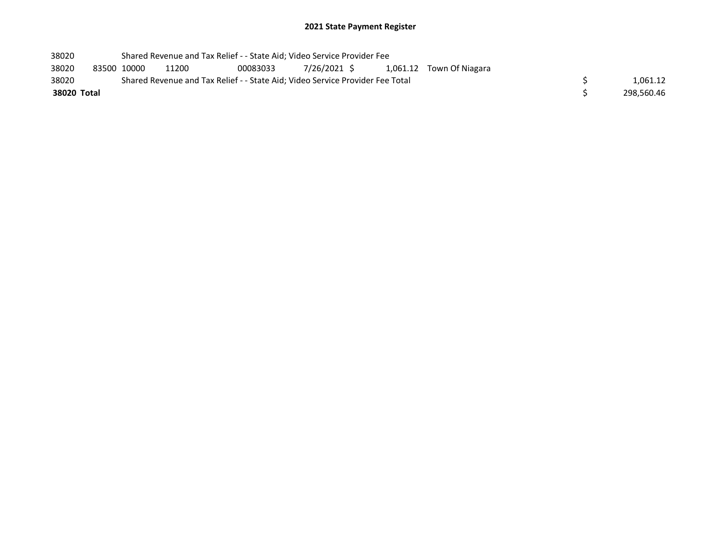| 38020       |             | Shared Revenue and Tax Relief - - State Aid; Video Service Provider Fee       |          |  |  |                                       |            |
|-------------|-------------|-------------------------------------------------------------------------------|----------|--|--|---------------------------------------|------------|
| 38020       | 83500 10000 | 11200                                                                         | 00083033 |  |  | 7/26/2021 \$ 1,061.12 Town Of Niagara |            |
| 38020       |             | Shared Revenue and Tax Relief - - State Aid; Video Service Provider Fee Total |          |  |  |                                       | 1.061.12   |
| 38020 Total |             |                                                                               |          |  |  |                                       | 298.560.46 |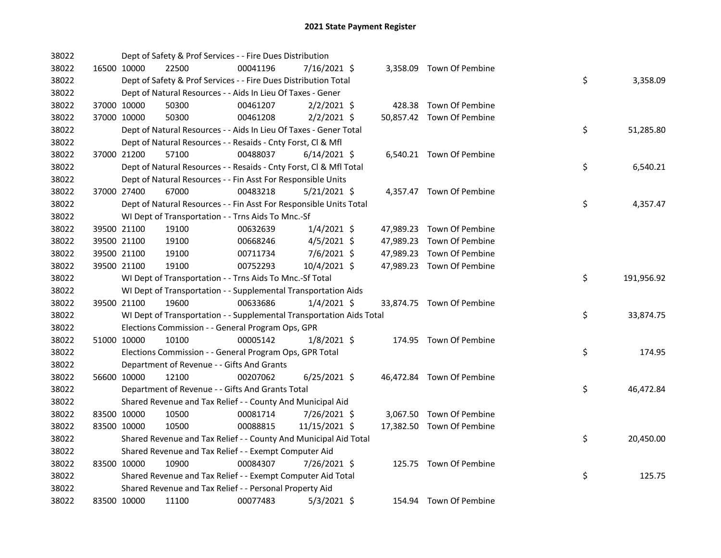| 38022 |             |             | Dept of Safety & Prof Services - - Fire Dues Distribution            |          |                |  |                           |    |            |
|-------|-------------|-------------|----------------------------------------------------------------------|----------|----------------|--|---------------------------|----|------------|
| 38022 |             | 16500 10000 | 22500                                                                | 00041196 | 7/16/2021 \$   |  | 3,358.09 Town Of Pembine  |    |            |
| 38022 |             |             | Dept of Safety & Prof Services - - Fire Dues Distribution Total      |          |                |  |                           | \$ | 3,358.09   |
| 38022 |             |             | Dept of Natural Resources - - Aids In Lieu Of Taxes - Gener          |          |                |  |                           |    |            |
| 38022 |             | 37000 10000 | 50300                                                                | 00461207 | $2/2/2021$ \$  |  | 428.38 Town Of Pembine    |    |            |
| 38022 | 37000 10000 |             | 50300                                                                | 00461208 | $2/2/2021$ \$  |  | 50,857.42 Town Of Pembine |    |            |
| 38022 |             |             | Dept of Natural Resources - - Aids In Lieu Of Taxes - Gener Total    |          |                |  |                           | \$ | 51,285.80  |
| 38022 |             |             | Dept of Natural Resources - - Resaids - Cnty Forst, Cl & Mfl         |          |                |  |                           |    |            |
| 38022 |             | 37000 21200 | 57100                                                                | 00488037 | $6/14/2021$ \$ |  | 6,540.21 Town Of Pembine  |    |            |
| 38022 |             |             | Dept of Natural Resources - - Resaids - Cnty Forst, Cl & Mfl Total   |          |                |  |                           | \$ | 6,540.21   |
| 38022 |             |             | Dept of Natural Resources - - Fin Asst For Responsible Units         |          |                |  |                           |    |            |
| 38022 |             | 37000 27400 | 67000                                                                | 00483218 | $5/21/2021$ \$ |  | 4,357.47 Town Of Pembine  |    |            |
| 38022 |             |             | Dept of Natural Resources - - Fin Asst For Responsible Units Total   |          |                |  |                           | \$ | 4,357.47   |
| 38022 |             |             | WI Dept of Transportation - - Trns Aids To Mnc.-Sf                   |          |                |  |                           |    |            |
| 38022 |             | 39500 21100 | 19100                                                                | 00632639 | $1/4/2021$ \$  |  | 47,989.23 Town Of Pembine |    |            |
| 38022 |             | 39500 21100 | 19100                                                                | 00668246 | $4/5/2021$ \$  |  | 47,989.23 Town Of Pembine |    |            |
| 38022 |             | 39500 21100 | 19100                                                                | 00711734 | 7/6/2021 \$    |  | 47,989.23 Town Of Pembine |    |            |
| 38022 |             | 39500 21100 | 19100                                                                | 00752293 | 10/4/2021 \$   |  | 47,989.23 Town Of Pembine |    |            |
| 38022 |             |             | WI Dept of Transportation - - Trns Aids To Mnc.-Sf Total             |          |                |  |                           | \$ | 191,956.92 |
| 38022 |             |             | WI Dept of Transportation - - Supplemental Transportation Aids       |          |                |  |                           |    |            |
| 38022 |             | 39500 21100 | 19600                                                                | 00633686 | $1/4/2021$ \$  |  | 33,874.75 Town Of Pembine |    |            |
| 38022 |             |             | WI Dept of Transportation - - Supplemental Transportation Aids Total |          |                |  |                           | \$ | 33,874.75  |
| 38022 |             |             | Elections Commission - - General Program Ops, GPR                    |          |                |  |                           |    |            |
| 38022 |             | 51000 10000 | 10100                                                                | 00005142 | $1/8/2021$ \$  |  | 174.95 Town Of Pembine    |    |            |
| 38022 |             |             | Elections Commission - - General Program Ops, GPR Total              |          |                |  |                           | \$ | 174.95     |
| 38022 |             |             | Department of Revenue - - Gifts And Grants                           |          |                |  |                           |    |            |
| 38022 |             | 56600 10000 | 12100                                                                | 00207062 | $6/25/2021$ \$ |  | 46,472.84 Town Of Pembine |    |            |
| 38022 |             |             | Department of Revenue - - Gifts And Grants Total                     |          |                |  |                           | \$ | 46,472.84  |
| 38022 |             |             | Shared Revenue and Tax Relief - - County And Municipal Aid           |          |                |  |                           |    |            |
| 38022 |             | 83500 10000 | 10500                                                                | 00081714 | 7/26/2021 \$   |  | 3,067.50 Town Of Pembine  |    |            |
| 38022 | 83500 10000 |             | 10500                                                                | 00088815 | 11/15/2021 \$  |  | 17,382.50 Town Of Pembine |    |            |
| 38022 |             |             | Shared Revenue and Tax Relief - - County And Municipal Aid Total     |          |                |  |                           | \$ | 20,450.00  |
| 38022 |             |             | Shared Revenue and Tax Relief - - Exempt Computer Aid                |          |                |  |                           |    |            |
| 38022 |             | 83500 10000 | 10900                                                                | 00084307 | 7/26/2021 \$   |  | 125.75 Town Of Pembine    |    |            |
| 38022 |             |             | Shared Revenue and Tax Relief - - Exempt Computer Aid Total          |          |                |  |                           | \$ | 125.75     |
| 38022 |             |             | Shared Revenue and Tax Relief - - Personal Property Aid              |          |                |  |                           |    |            |
| 38022 | 83500 10000 |             | 11100                                                                | 00077483 | $5/3/2021$ \$  |  | 154.94 Town Of Pembine    |    |            |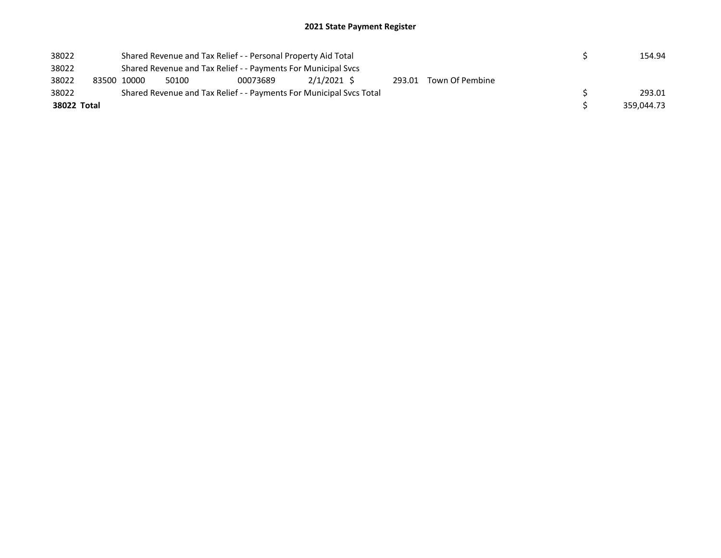| 38022       |                                                               | Shared Revenue and Tax Relief - - Personal Property Aid Total |       |                                                                     | 154.94      |  |  |                        |  |  |            |  |
|-------------|---------------------------------------------------------------|---------------------------------------------------------------|-------|---------------------------------------------------------------------|-------------|--|--|------------------------|--|--|------------|--|
| 38022       | Shared Revenue and Tax Relief - - Payments For Municipal Svcs |                                                               |       |                                                                     |             |  |  |                        |  |  |            |  |
| 38022       |                                                               | 83500 10000                                                   | 50100 | 00073689                                                            | 2/1/2021 \$ |  |  | 293.01 Town Of Pembine |  |  |            |  |
| 38022       |                                                               |                                                               |       | Shared Revenue and Tax Relief - - Payments For Municipal Svcs Total |             |  |  |                        |  |  | 293.01     |  |
| 38022 Total |                                                               |                                                               |       |                                                                     |             |  |  |                        |  |  | 359.044.73 |  |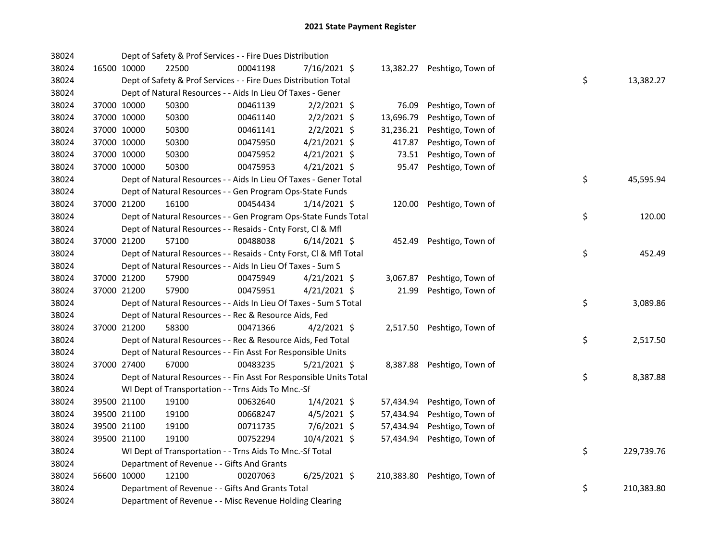| 38024 |             |             | Dept of Safety & Prof Services - - Fire Dues Distribution          |          |                |            |                             |    |            |
|-------|-------------|-------------|--------------------------------------------------------------------|----------|----------------|------------|-----------------------------|----|------------|
| 38024 | 16500 10000 |             | 22500                                                              | 00041198 | 7/16/2021 \$   |            | 13,382.27 Peshtigo, Town of |    |            |
| 38024 |             |             | Dept of Safety & Prof Services - - Fire Dues Distribution Total    |          |                |            |                             | \$ | 13,382.27  |
| 38024 |             |             | Dept of Natural Resources - - Aids In Lieu Of Taxes - Gener        |          |                |            |                             |    |            |
| 38024 | 37000 10000 |             | 50300                                                              | 00461139 | $2/2/2021$ \$  | 76.09      | Peshtigo, Town of           |    |            |
| 38024 | 37000 10000 |             | 50300                                                              | 00461140 | $2/2/2021$ \$  | 13,696.79  | Peshtigo, Town of           |    |            |
| 38024 | 37000 10000 |             | 50300                                                              | 00461141 | $2/2/2021$ \$  | 31,236.21  | Peshtigo, Town of           |    |            |
| 38024 | 37000 10000 |             | 50300                                                              | 00475950 | $4/21/2021$ \$ | 417.87     | Peshtigo, Town of           |    |            |
| 38024 | 37000 10000 |             | 50300                                                              | 00475952 | $4/21/2021$ \$ | 73.51      | Peshtigo, Town of           |    |            |
| 38024 | 37000 10000 |             | 50300                                                              | 00475953 | $4/21/2021$ \$ | 95.47      | Peshtigo, Town of           |    |            |
| 38024 |             |             | Dept of Natural Resources - - Aids In Lieu Of Taxes - Gener Total  |          |                |            |                             | \$ | 45,595.94  |
| 38024 |             |             | Dept of Natural Resources - - Gen Program Ops-State Funds          |          |                |            |                             |    |            |
| 38024 |             | 37000 21200 | 16100                                                              | 00454434 | $1/14/2021$ \$ |            | 120.00 Peshtigo, Town of    |    |            |
| 38024 |             |             | Dept of Natural Resources - - Gen Program Ops-State Funds Total    |          |                |            |                             | \$ | 120.00     |
| 38024 |             |             | Dept of Natural Resources - - Resaids - Cnty Forst, Cl & Mfl       |          |                |            |                             |    |            |
| 38024 | 37000 21200 |             | 57100                                                              | 00488038 | $6/14/2021$ \$ |            | 452.49 Peshtigo, Town of    |    |            |
| 38024 |             |             | Dept of Natural Resources - - Resaids - Cnty Forst, Cl & Mfl Total |          |                |            |                             | \$ | 452.49     |
| 38024 |             |             | Dept of Natural Resources - - Aids In Lieu Of Taxes - Sum S        |          |                |            |                             |    |            |
| 38024 | 37000 21200 |             | 57900                                                              | 00475949 | $4/21/2021$ \$ | 3,067.87   | Peshtigo, Town of           |    |            |
| 38024 |             | 37000 21200 | 57900                                                              | 00475951 | $4/21/2021$ \$ | 21.99      | Peshtigo, Town of           |    |            |
| 38024 |             |             | Dept of Natural Resources - - Aids In Lieu Of Taxes - Sum S Total  |          |                |            |                             | \$ | 3,089.86   |
| 38024 |             |             | Dept of Natural Resources - - Rec & Resource Aids, Fed             |          |                |            |                             |    |            |
| 38024 | 37000 21200 |             | 58300                                                              | 00471366 | $4/2/2021$ \$  |            | 2,517.50 Peshtigo, Town of  |    |            |
| 38024 |             |             | Dept of Natural Resources - - Rec & Resource Aids, Fed Total       |          |                |            |                             | \$ | 2,517.50   |
| 38024 |             |             | Dept of Natural Resources - - Fin Asst For Responsible Units       |          |                |            |                             |    |            |
| 38024 | 37000 27400 |             | 67000                                                              | 00483235 | $5/21/2021$ \$ |            | 8,387.88 Peshtigo, Town of  |    |            |
| 38024 |             |             | Dept of Natural Resources - - Fin Asst For Responsible Units Total |          |                |            |                             | \$ | 8,387.88   |
| 38024 |             |             | WI Dept of Transportation - - Trns Aids To Mnc.-Sf                 |          |                |            |                             |    |            |
| 38024 |             | 39500 21100 | 19100                                                              | 00632640 | $1/4/2021$ \$  |            | 57,434.94 Peshtigo, Town of |    |            |
| 38024 | 39500 21100 |             | 19100                                                              | 00668247 | $4/5/2021$ \$  | 57,434.94  | Peshtigo, Town of           |    |            |
| 38024 | 39500 21100 |             | 19100                                                              | 00711735 | 7/6/2021 \$    | 57,434.94  | Peshtigo, Town of           |    |            |
| 38024 | 39500 21100 |             | 19100                                                              | 00752294 | 10/4/2021 \$   | 57,434.94  | Peshtigo, Town of           |    |            |
| 38024 |             |             | WI Dept of Transportation - - Trns Aids To Mnc.-Sf Total           |          |                |            |                             | \$ | 229,739.76 |
| 38024 |             |             | Department of Revenue - - Gifts And Grants                         |          |                |            |                             |    |            |
| 38024 | 56600 10000 |             | 12100                                                              | 00207063 | $6/25/2021$ \$ | 210,383.80 | Peshtigo, Town of           |    |            |
| 38024 |             |             | Department of Revenue - - Gifts And Grants Total                   |          |                |            |                             | \$ | 210,383.80 |
| 38024 |             |             | Department of Revenue - - Misc Revenue Holding Clearing            |          |                |            |                             |    |            |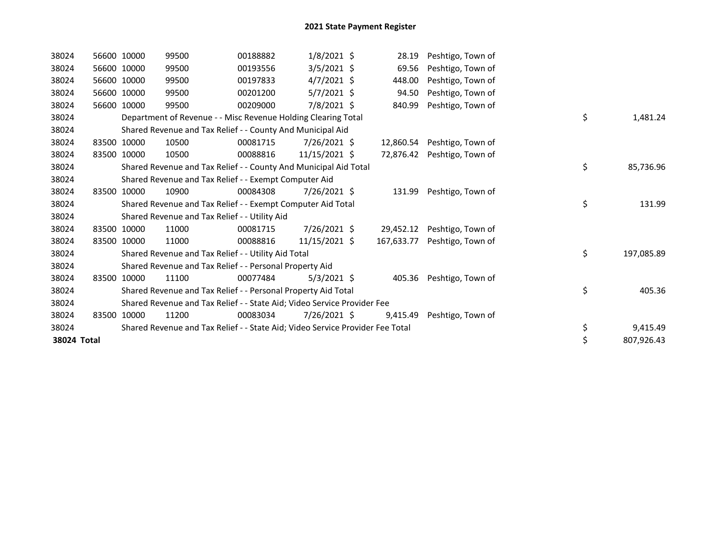| 38024       |       | 56600 10000 | 99500                                                                         | 00188882 | $1/8/2021$ \$  | 28.19      | Peshtigo, Town of        |    |            |
|-------------|-------|-------------|-------------------------------------------------------------------------------|----------|----------------|------------|--------------------------|----|------------|
| 38024       |       | 56600 10000 | 99500                                                                         | 00193556 | $3/5/2021$ \$  | 69.56      | Peshtigo, Town of        |    |            |
| 38024       |       | 56600 10000 | 99500                                                                         | 00197833 | $4/7/2021$ \$  | 448.00     | Peshtigo, Town of        |    |            |
| 38024       |       | 56600 10000 | 99500                                                                         | 00201200 | $5/7/2021$ \$  | 94.50      | Peshtigo, Town of        |    |            |
| 38024       |       | 56600 10000 | 99500                                                                         | 00209000 | 7/8/2021 \$    | 840.99     | Peshtigo, Town of        |    |            |
| 38024       |       |             | Department of Revenue - - Misc Revenue Holding Clearing Total                 |          |                |            |                          | \$ | 1,481.24   |
| 38024       |       |             | Shared Revenue and Tax Relief - - County And Municipal Aid                    |          |                |            |                          |    |            |
| 38024       |       | 83500 10000 | 10500                                                                         | 00081715 | 7/26/2021 \$   | 12,860.54  | Peshtigo, Town of        |    |            |
| 38024       | 83500 | 10000       | 10500                                                                         | 00088816 | 11/15/2021 \$  | 72,876.42  | Peshtigo, Town of        |    |            |
| 38024       |       |             | Shared Revenue and Tax Relief - - County And Municipal Aid Total              |          |                |            |                          | \$ | 85,736.96  |
| 38024       |       |             | Shared Revenue and Tax Relief - - Exempt Computer Aid                         |          |                |            |                          |    |            |
| 38024       |       | 83500 10000 | 10900                                                                         | 00084308 | 7/26/2021 \$   | 131.99     | Peshtigo, Town of        |    |            |
| 38024       |       |             | Shared Revenue and Tax Relief - - Exempt Computer Aid Total                   |          |                |            |                          | \$ | 131.99     |
| 38024       |       |             | Shared Revenue and Tax Relief - - Utility Aid                                 |          |                |            |                          |    |            |
| 38024       |       | 83500 10000 | 11000                                                                         | 00081715 | 7/26/2021 \$   | 29,452.12  | Peshtigo, Town of        |    |            |
| 38024       |       | 83500 10000 | 11000                                                                         | 00088816 | 11/15/2021 \$  | 167,633.77 | Peshtigo, Town of        |    |            |
| 38024       |       |             | Shared Revenue and Tax Relief - - Utility Aid Total                           |          |                |            |                          | \$ | 197,085.89 |
| 38024       |       |             | Shared Revenue and Tax Relief - - Personal Property Aid                       |          |                |            |                          |    |            |
| 38024       |       | 83500 10000 | 11100                                                                         | 00077484 | $5/3/2021$ \$  |            | 405.36 Peshtigo, Town of |    |            |
| 38024       |       |             | Shared Revenue and Tax Relief - - Personal Property Aid Total                 |          |                |            |                          | \$ | 405.36     |
| 38024       |       |             | Shared Revenue and Tax Relief - - State Aid; Video Service Provider Fee       |          |                |            |                          |    |            |
| 38024       |       | 83500 10000 | 11200                                                                         | 00083034 | $7/26/2021$ \$ | 9,415.49   | Peshtigo, Town of        |    |            |
| 38024       |       |             | Shared Revenue and Tax Relief - - State Aid; Video Service Provider Fee Total |          |                |            |                          | \$ | 9,415.49   |
| 38024 Total |       |             |                                                                               |          |                |            |                          | \$ | 807,926.43 |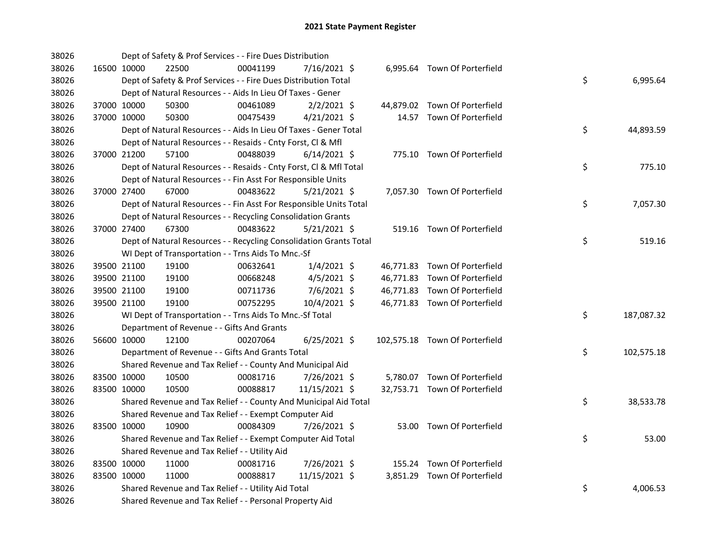| 38026 |             |             | Dept of Safety & Prof Services - - Fire Dues Distribution          |          |                |  |                                |    |            |
|-------|-------------|-------------|--------------------------------------------------------------------|----------|----------------|--|--------------------------------|----|------------|
| 38026 |             | 16500 10000 | 22500                                                              | 00041199 | 7/16/2021 \$   |  | 6,995.64 Town Of Porterfield   |    |            |
| 38026 |             |             | Dept of Safety & Prof Services - - Fire Dues Distribution Total    |          |                |  |                                | \$ | 6,995.64   |
| 38026 |             |             | Dept of Natural Resources - - Aids In Lieu Of Taxes - Gener        |          |                |  |                                |    |            |
| 38026 |             | 37000 10000 | 50300                                                              | 00461089 | $2/2/2021$ \$  |  | 44,879.02 Town Of Porterfield  |    |            |
| 38026 | 37000 10000 |             | 50300                                                              | 00475439 | $4/21/2021$ \$ |  | 14.57 Town Of Porterfield      |    |            |
| 38026 |             |             | Dept of Natural Resources - - Aids In Lieu Of Taxes - Gener Total  |          |                |  |                                | \$ | 44,893.59  |
| 38026 |             |             | Dept of Natural Resources - - Resaids - Cnty Forst, Cl & Mfl       |          |                |  |                                |    |            |
| 38026 |             | 37000 21200 | 57100                                                              | 00488039 | $6/14/2021$ \$ |  | 775.10 Town Of Porterfield     |    |            |
| 38026 |             |             | Dept of Natural Resources - - Resaids - Cnty Forst, Cl & Mfl Total |          |                |  |                                | \$ | 775.10     |
| 38026 |             |             | Dept of Natural Resources - - Fin Asst For Responsible Units       |          |                |  |                                |    |            |
| 38026 |             | 37000 27400 | 67000                                                              | 00483622 | $5/21/2021$ \$ |  | 7,057.30 Town Of Porterfield   |    |            |
| 38026 |             |             | Dept of Natural Resources - - Fin Asst For Responsible Units Total |          |                |  |                                | \$ | 7,057.30   |
| 38026 |             |             | Dept of Natural Resources - - Recycling Consolidation Grants       |          |                |  |                                |    |            |
| 38026 |             | 37000 27400 | 67300                                                              | 00483622 | $5/21/2021$ \$ |  | 519.16 Town Of Porterfield     |    |            |
| 38026 |             |             | Dept of Natural Resources - - Recycling Consolidation Grants Total |          |                |  |                                | \$ | 519.16     |
| 38026 |             |             | WI Dept of Transportation - - Trns Aids To Mnc.-Sf                 |          |                |  |                                |    |            |
| 38026 |             | 39500 21100 | 19100                                                              | 00632641 | $1/4/2021$ \$  |  | 46,771.83 Town Of Porterfield  |    |            |
| 38026 |             | 39500 21100 | 19100                                                              | 00668248 | $4/5/2021$ \$  |  | 46,771.83 Town Of Porterfield  |    |            |
| 38026 |             | 39500 21100 | 19100                                                              | 00711736 | 7/6/2021 \$    |  | 46,771.83 Town Of Porterfield  |    |            |
| 38026 |             | 39500 21100 | 19100                                                              | 00752295 | 10/4/2021 \$   |  | 46,771.83 Town Of Porterfield  |    |            |
| 38026 |             |             | WI Dept of Transportation - - Trns Aids To Mnc.-Sf Total           |          |                |  |                                | \$ | 187,087.32 |
| 38026 |             |             | Department of Revenue - - Gifts And Grants                         |          |                |  |                                |    |            |
| 38026 |             | 56600 10000 | 12100                                                              | 00207064 | $6/25/2021$ \$ |  | 102,575.18 Town Of Porterfield |    |            |
| 38026 |             |             | Department of Revenue - - Gifts And Grants Total                   |          |                |  |                                | \$ | 102,575.18 |
| 38026 |             |             | Shared Revenue and Tax Relief - - County And Municipal Aid         |          |                |  |                                |    |            |
| 38026 | 83500 10000 |             | 10500                                                              | 00081716 | 7/26/2021 \$   |  | 5,780.07 Town Of Porterfield   |    |            |
| 38026 | 83500 10000 |             | 10500                                                              | 00088817 | 11/15/2021 \$  |  | 32,753.71 Town Of Porterfield  |    |            |
| 38026 |             |             | Shared Revenue and Tax Relief - - County And Municipal Aid Total   |          |                |  |                                | \$ | 38,533.78  |
| 38026 |             |             | Shared Revenue and Tax Relief - - Exempt Computer Aid              |          |                |  |                                |    |            |
| 38026 |             | 83500 10000 | 10900                                                              | 00084309 | 7/26/2021 \$   |  | 53.00 Town Of Porterfield      |    |            |
| 38026 |             |             | Shared Revenue and Tax Relief - - Exempt Computer Aid Total        |          |                |  |                                | \$ | 53.00      |
| 38026 |             |             | Shared Revenue and Tax Relief - - Utility Aid                      |          |                |  |                                |    |            |
| 38026 |             | 83500 10000 | 11000                                                              | 00081716 | 7/26/2021 \$   |  | 155.24 Town Of Porterfield     |    |            |
| 38026 | 83500 10000 |             | 11000                                                              | 00088817 | 11/15/2021 \$  |  | 3,851.29 Town Of Porterfield   |    |            |
| 38026 |             |             | Shared Revenue and Tax Relief - - Utility Aid Total                |          |                |  |                                | \$ | 4,006.53   |
| 38026 |             |             | Shared Revenue and Tax Relief - - Personal Property Aid            |          |                |  |                                |    |            |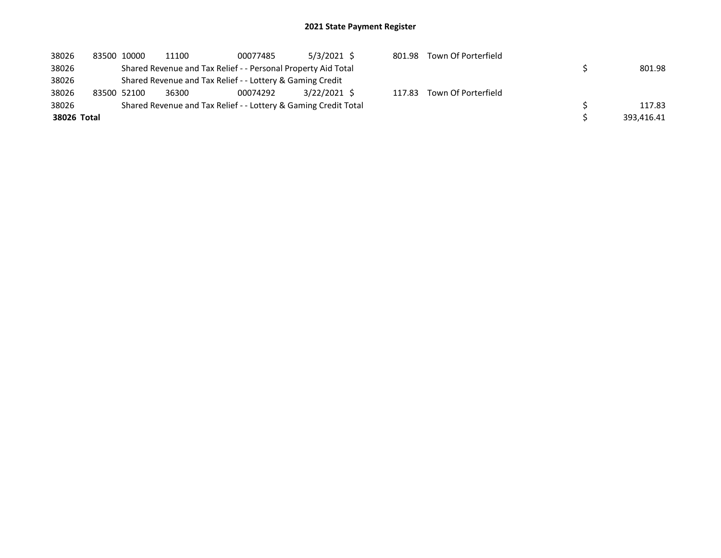| 38026       | 83500 10000 | 11100 | 00077485                                                        | $5/3/2021$ \$ | 801.98 | Town Of Porterfield |            |
|-------------|-------------|-------|-----------------------------------------------------------------|---------------|--------|---------------------|------------|
| 38026       |             |       | Shared Revenue and Tax Relief - - Personal Property Aid Total   |               |        |                     | 801.98     |
| 38026       |             |       | Shared Revenue and Tax Relief - - Lottery & Gaming Credit       |               |        |                     |            |
| 38026       | 83500 52100 | 36300 | 00074292                                                        | 3/22/2021 S   | 117.83 | Town Of Porterfield |            |
| 38026       |             |       | Shared Revenue and Tax Relief - - Lottery & Gaming Credit Total |               |        |                     | 117.83     |
| 38026 Total |             |       |                                                                 |               |        |                     | 393.416.41 |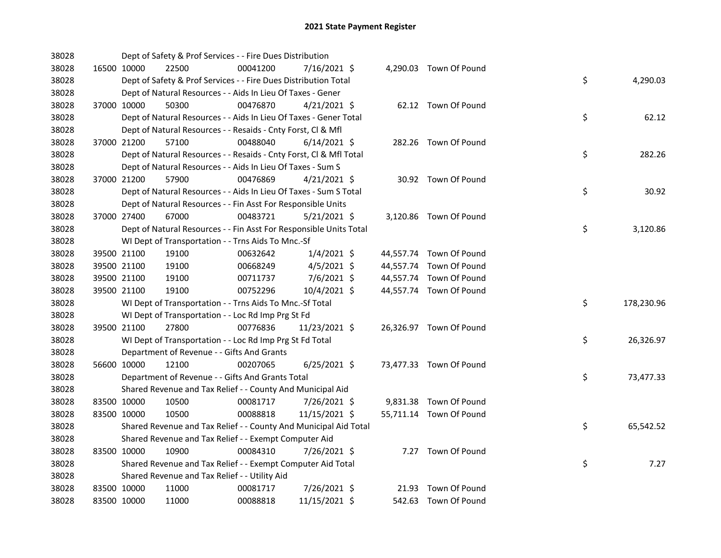| 38028 |             | Dept of Safety & Prof Services - - Fire Dues Distribution          |          |                |  |                         |    |            |
|-------|-------------|--------------------------------------------------------------------|----------|----------------|--|-------------------------|----|------------|
| 38028 | 16500 10000 | 22500                                                              | 00041200 | 7/16/2021 \$   |  | 4,290.03 Town Of Pound  |    |            |
| 38028 |             | Dept of Safety & Prof Services - - Fire Dues Distribution Total    |          |                |  |                         | \$ | 4,290.03   |
| 38028 |             | Dept of Natural Resources - - Aids In Lieu Of Taxes - Gener        |          |                |  |                         |    |            |
| 38028 | 37000 10000 | 50300                                                              | 00476870 | $4/21/2021$ \$ |  | 62.12 Town Of Pound     |    |            |
| 38028 |             | Dept of Natural Resources - - Aids In Lieu Of Taxes - Gener Total  |          |                |  |                         | \$ | 62.12      |
| 38028 |             | Dept of Natural Resources - - Resaids - Cnty Forst, Cl & Mfl       |          |                |  |                         |    |            |
| 38028 | 37000 21200 | 57100                                                              | 00488040 | $6/14/2021$ \$ |  | 282.26 Town Of Pound    |    |            |
| 38028 |             | Dept of Natural Resources - - Resaids - Cnty Forst, Cl & Mfl Total |          |                |  |                         | \$ | 282.26     |
| 38028 |             | Dept of Natural Resources - - Aids In Lieu Of Taxes - Sum S        |          |                |  |                         |    |            |
| 38028 | 37000 21200 | 57900                                                              | 00476869 | $4/21/2021$ \$ |  | 30.92 Town Of Pound     |    |            |
| 38028 |             | Dept of Natural Resources - - Aids In Lieu Of Taxes - Sum S Total  |          |                |  |                         | \$ | 30.92      |
| 38028 |             | Dept of Natural Resources - - Fin Asst For Responsible Units       |          |                |  |                         |    |            |
| 38028 | 37000 27400 | 67000                                                              | 00483721 | $5/21/2021$ \$ |  | 3,120.86 Town Of Pound  |    |            |
| 38028 |             | Dept of Natural Resources - - Fin Asst For Responsible Units Total |          |                |  |                         | \$ | 3,120.86   |
| 38028 |             | WI Dept of Transportation - - Trns Aids To Mnc.-Sf                 |          |                |  |                         |    |            |
| 38028 | 39500 21100 | 19100                                                              | 00632642 | $1/4/2021$ \$  |  | 44,557.74 Town Of Pound |    |            |
| 38028 | 39500 21100 | 19100                                                              | 00668249 | $4/5/2021$ \$  |  | 44,557.74 Town Of Pound |    |            |
| 38028 | 39500 21100 | 19100                                                              | 00711737 | 7/6/2021 \$    |  | 44,557.74 Town Of Pound |    |            |
| 38028 | 39500 21100 | 19100                                                              | 00752296 | 10/4/2021 \$   |  | 44,557.74 Town Of Pound |    |            |
| 38028 |             | WI Dept of Transportation - - Trns Aids To Mnc.-Sf Total           |          |                |  |                         | \$ | 178,230.96 |
| 38028 |             | WI Dept of Transportation - - Loc Rd Imp Prg St Fd                 |          |                |  |                         |    |            |
| 38028 | 39500 21100 | 27800                                                              | 00776836 | 11/23/2021 \$  |  | 26,326.97 Town Of Pound |    |            |
| 38028 |             | WI Dept of Transportation - - Loc Rd Imp Prg St Fd Total           |          |                |  |                         | \$ | 26,326.97  |
| 38028 |             | Department of Revenue - - Gifts And Grants                         |          |                |  |                         |    |            |
| 38028 | 56600 10000 | 12100                                                              | 00207065 | $6/25/2021$ \$ |  | 73,477.33 Town Of Pound |    |            |
| 38028 |             | Department of Revenue - - Gifts And Grants Total                   |          |                |  |                         | \$ | 73,477.33  |
| 38028 |             | Shared Revenue and Tax Relief - - County And Municipal Aid         |          |                |  |                         |    |            |
| 38028 | 83500 10000 | 10500                                                              | 00081717 | 7/26/2021 \$   |  | 9,831.38 Town Of Pound  |    |            |
| 38028 | 83500 10000 | 10500                                                              | 00088818 | 11/15/2021 \$  |  | 55,711.14 Town Of Pound |    |            |
| 38028 |             | Shared Revenue and Tax Relief - - County And Municipal Aid Total   |          |                |  |                         | \$ | 65,542.52  |
| 38028 |             | Shared Revenue and Tax Relief - - Exempt Computer Aid              |          |                |  |                         |    |            |
| 38028 | 83500 10000 | 10900                                                              | 00084310 | 7/26/2021 \$   |  | 7.27 Town Of Pound      |    |            |
| 38028 |             | Shared Revenue and Tax Relief - - Exempt Computer Aid Total        |          |                |  |                         | \$ | 7.27       |
| 38028 |             | Shared Revenue and Tax Relief - - Utility Aid                      |          |                |  |                         |    |            |
| 38028 | 83500 10000 | 11000                                                              | 00081717 | 7/26/2021 \$   |  | 21.93 Town Of Pound     |    |            |
| 38028 | 83500 10000 | 11000                                                              | 00088818 | 11/15/2021 \$  |  | 542.63 Town Of Pound    |    |            |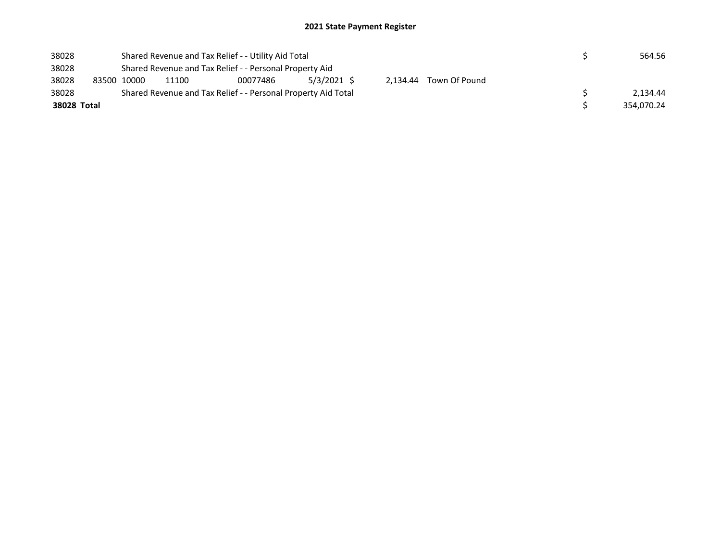| 38028       |  | Shared Revenue and Tax Relief - - Utility Aid Total           |                                                            |  | 564.56 |  |  |  |            |          |  |  |
|-------------|--|---------------------------------------------------------------|------------------------------------------------------------|--|--------|--|--|--|------------|----------|--|--|
| 38028       |  | Shared Revenue and Tax Relief - - Personal Property Aid       |                                                            |  |        |  |  |  |            |          |  |  |
| 38028       |  | 83500 10000                                                   | 5/3/2021 \$<br>2.134.44 Town Of Pound<br>00077486<br>11100 |  |        |  |  |  |            |          |  |  |
| 38028       |  | Shared Revenue and Tax Relief - - Personal Property Aid Total |                                                            |  |        |  |  |  |            | 2.134.44 |  |  |
| 38028 Total |  |                                                               |                                                            |  |        |  |  |  | 354.070.24 |          |  |  |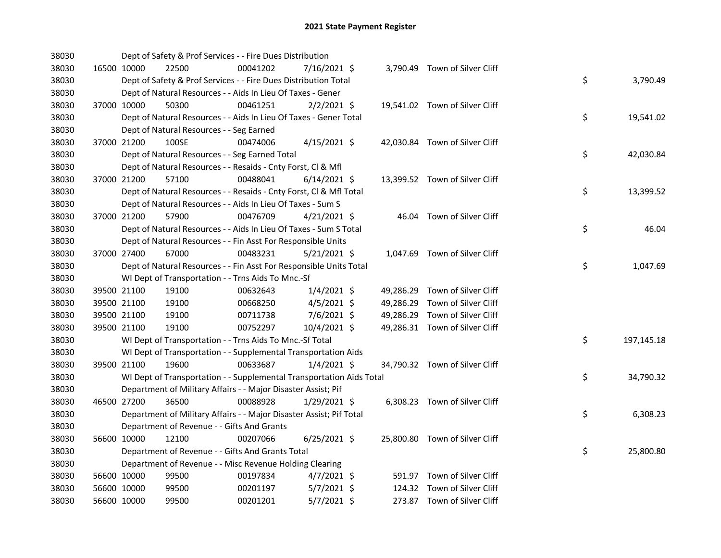| 38030 |             |             | Dept of Safety & Prof Services - - Fire Dues Distribution            |          |                |  |                                |    |            |
|-------|-------------|-------------|----------------------------------------------------------------------|----------|----------------|--|--------------------------------|----|------------|
| 38030 |             | 16500 10000 | 22500                                                                | 00041202 | 7/16/2021 \$   |  | 3,790.49 Town of Silver Cliff  |    |            |
| 38030 |             |             | Dept of Safety & Prof Services - - Fire Dues Distribution Total      |          |                |  |                                | \$ | 3,790.49   |
| 38030 |             |             | Dept of Natural Resources - - Aids In Lieu Of Taxes - Gener          |          |                |  |                                |    |            |
| 38030 |             | 37000 10000 | 50300                                                                | 00461251 | $2/2/2021$ \$  |  | 19,541.02 Town of Silver Cliff |    |            |
| 38030 |             |             | Dept of Natural Resources - - Aids In Lieu Of Taxes - Gener Total    |          |                |  |                                | \$ | 19,541.02  |
| 38030 |             |             | Dept of Natural Resources - - Seg Earned                             |          |                |  |                                |    |            |
| 38030 |             | 37000 21200 | 100SE                                                                | 00474006 | $4/15/2021$ \$ |  | 42,030.84 Town of Silver Cliff |    |            |
| 38030 |             |             | Dept of Natural Resources - - Seg Earned Total                       |          |                |  |                                | \$ | 42,030.84  |
| 38030 |             |             | Dept of Natural Resources - - Resaids - Cnty Forst, Cl & Mfl         |          |                |  |                                |    |            |
| 38030 |             | 37000 21200 | 57100                                                                | 00488041 | $6/14/2021$ \$ |  | 13,399.52 Town of Silver Cliff |    |            |
| 38030 |             |             | Dept of Natural Resources - - Resaids - Cnty Forst, Cl & Mfl Total   |          |                |  |                                | \$ | 13,399.52  |
| 38030 |             |             | Dept of Natural Resources - - Aids In Lieu Of Taxes - Sum S          |          |                |  |                                |    |            |
| 38030 |             | 37000 21200 | 57900                                                                | 00476709 | $4/21/2021$ \$ |  | 46.04 Town of Silver Cliff     |    |            |
| 38030 |             |             | Dept of Natural Resources - - Aids In Lieu Of Taxes - Sum S Total    |          |                |  |                                | \$ | 46.04      |
| 38030 |             |             | Dept of Natural Resources - - Fin Asst For Responsible Units         |          |                |  |                                |    |            |
| 38030 |             | 37000 27400 | 67000                                                                | 00483231 | $5/21/2021$ \$ |  | 1,047.69 Town of Silver Cliff  |    |            |
| 38030 |             |             | Dept of Natural Resources - - Fin Asst For Responsible Units Total   |          |                |  |                                | \$ | 1,047.69   |
| 38030 |             |             | WI Dept of Transportation - - Trns Aids To Mnc.-Sf                   |          |                |  |                                |    |            |
| 38030 |             | 39500 21100 | 19100                                                                | 00632643 | 1/4/2021 \$    |  | 49,286.29 Town of Silver Cliff |    |            |
| 38030 |             | 39500 21100 | 19100                                                                | 00668250 | $4/5/2021$ \$  |  | 49,286.29 Town of Silver Cliff |    |            |
| 38030 |             | 39500 21100 | 19100                                                                | 00711738 | 7/6/2021 \$    |  | 49,286.29 Town of Silver Cliff |    |            |
| 38030 |             | 39500 21100 | 19100                                                                | 00752297 | 10/4/2021 \$   |  | 49,286.31 Town of Silver Cliff |    |            |
| 38030 |             |             | WI Dept of Transportation - - Trns Aids To Mnc.-Sf Total             |          |                |  |                                | \$ | 197,145.18 |
| 38030 |             |             | WI Dept of Transportation - - Supplemental Transportation Aids       |          |                |  |                                |    |            |
| 38030 |             | 39500 21100 | 19600                                                                | 00633687 | $1/4/2021$ \$  |  | 34,790.32 Town of Silver Cliff |    |            |
| 38030 |             |             | WI Dept of Transportation - - Supplemental Transportation Aids Total |          |                |  |                                | \$ | 34,790.32  |
| 38030 |             |             | Department of Military Affairs - - Major Disaster Assist; Pif        |          |                |  |                                |    |            |
| 38030 | 46500 27200 |             | 36500                                                                | 00088928 | $1/29/2021$ \$ |  | 6,308.23 Town of Silver Cliff  |    |            |
| 38030 |             |             | Department of Military Affairs - - Major Disaster Assist; Pif Total  |          |                |  |                                | \$ | 6,308.23   |
| 38030 |             |             | Department of Revenue - - Gifts And Grants                           |          |                |  |                                |    |            |
| 38030 |             | 56600 10000 | 12100                                                                | 00207066 | $6/25/2021$ \$ |  | 25,800.80 Town of Silver Cliff |    |            |
| 38030 |             |             | Department of Revenue - - Gifts And Grants Total                     |          |                |  |                                | \$ | 25,800.80  |
| 38030 |             |             | Department of Revenue - - Misc Revenue Holding Clearing              |          |                |  |                                |    |            |
| 38030 | 56600 10000 |             | 99500                                                                | 00197834 | $4/7/2021$ \$  |  | 591.97 Town of Silver Cliff    |    |            |
| 38030 |             | 56600 10000 | 99500                                                                | 00201197 | $5/7/2021$ \$  |  | 124.32 Town of Silver Cliff    |    |            |
| 38030 |             | 56600 10000 | 99500                                                                | 00201201 | $5/7/2021$ \$  |  | 273.87 Town of Silver Cliff    |    |            |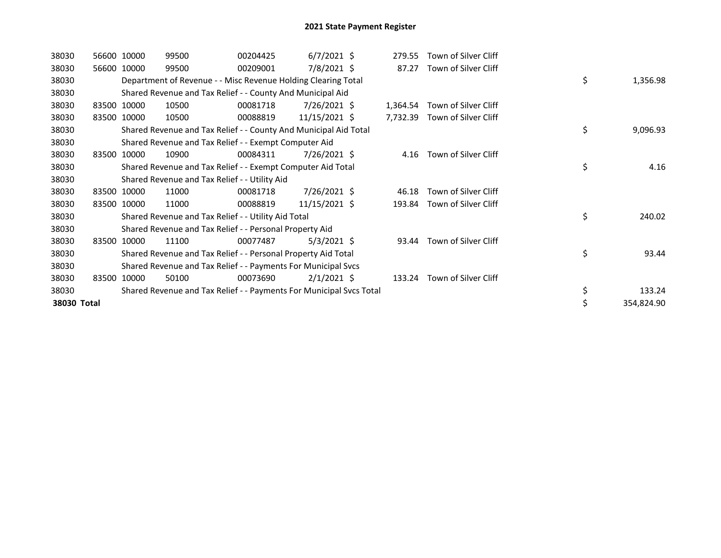| 38030       |       | 56600 10000 | 99500                                                               | 00204425 | $6/7/2021$ \$ | 279.55   | Town of Silver Cliff |    |            |
|-------------|-------|-------------|---------------------------------------------------------------------|----------|---------------|----------|----------------------|----|------------|
| 38030       |       | 56600 10000 | 99500                                                               | 00209001 | 7/8/2021 \$   | 87.27    | Town of Silver Cliff |    |            |
| 38030       |       |             | Department of Revenue - - Misc Revenue Holding Clearing Total       |          |               |          |                      | \$ | 1,356.98   |
| 38030       |       |             | Shared Revenue and Tax Relief - - County And Municipal Aid          |          |               |          |                      |    |            |
| 38030       |       | 83500 10000 | 10500                                                               | 00081718 | 7/26/2021 \$  | 1,364.54 | Town of Silver Cliff |    |            |
| 38030       |       | 83500 10000 | 10500                                                               | 00088819 | 11/15/2021 \$ | 7,732.39 | Town of Silver Cliff |    |            |
| 38030       |       |             | Shared Revenue and Tax Relief - - County And Municipal Aid Total    |          |               |          |                      | \$ | 9,096.93   |
| 38030       |       |             | Shared Revenue and Tax Relief - - Exempt Computer Aid               |          |               |          |                      |    |            |
| 38030       | 83500 | 10000       | 10900                                                               | 00084311 | 7/26/2021 \$  | 4.16     | Town of Silver Cliff |    |            |
| 38030       |       |             | Shared Revenue and Tax Relief - - Exempt Computer Aid Total         |          |               |          |                      | \$ | 4.16       |
| 38030       |       |             | Shared Revenue and Tax Relief - - Utility Aid                       |          |               |          |                      |    |            |
| 38030       |       | 83500 10000 | 11000                                                               | 00081718 | 7/26/2021 \$  | 46.18    | Town of Silver Cliff |    |            |
| 38030       | 83500 | 10000       | 11000                                                               | 00088819 | 11/15/2021 \$ | 193.84   | Town of Silver Cliff |    |            |
| 38030       |       |             | Shared Revenue and Tax Relief - - Utility Aid Total                 |          |               |          |                      | \$ | 240.02     |
| 38030       |       |             | Shared Revenue and Tax Relief - - Personal Property Aid             |          |               |          |                      |    |            |
| 38030       |       | 83500 10000 | 11100                                                               | 00077487 | $5/3/2021$ \$ | 93.44    | Town of Silver Cliff |    |            |
| 38030       |       |             | Shared Revenue and Tax Relief - - Personal Property Aid Total       |          |               |          |                      | \$ | 93.44      |
| 38030       |       |             | Shared Revenue and Tax Relief - - Payments For Municipal Svcs       |          |               |          |                      |    |            |
| 38030       |       | 83500 10000 | 50100                                                               | 00073690 | $2/1/2021$ \$ | 133.24   | Town of Silver Cliff |    |            |
| 38030       |       |             | Shared Revenue and Tax Relief - - Payments For Municipal Svcs Total |          |               |          |                      | \$ | 133.24     |
| 38030 Total |       |             |                                                                     |          |               |          |                      | \$ | 354,824.90 |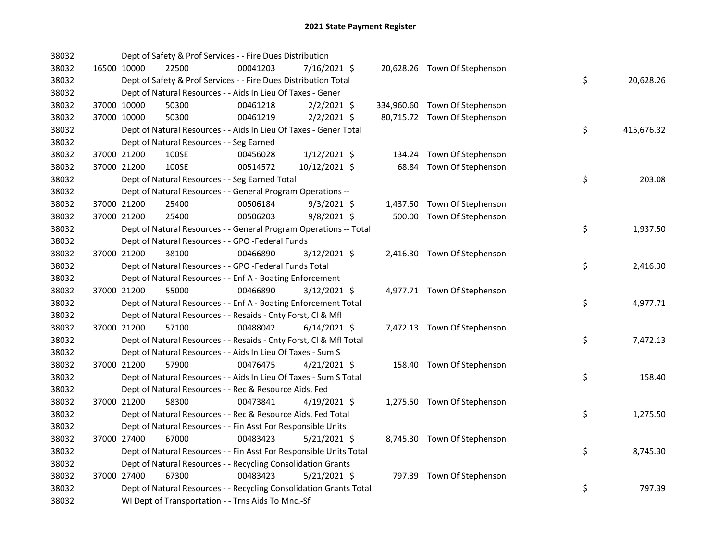| 38032 |             |             | Dept of Safety & Prof Services - - Fire Dues Distribution          |          |                |       |                               |    |            |
|-------|-------------|-------------|--------------------------------------------------------------------|----------|----------------|-------|-------------------------------|----|------------|
| 38032 |             | 16500 10000 | 22500                                                              | 00041203 | 7/16/2021 \$   |       | 20,628.26 Town Of Stephenson  |    |            |
| 38032 |             |             | Dept of Safety & Prof Services - - Fire Dues Distribution Total    |          |                |       |                               | \$ | 20,628.26  |
| 38032 |             |             | Dept of Natural Resources - - Aids In Lieu Of Taxes - Gener        |          |                |       |                               |    |            |
| 38032 |             | 37000 10000 | 50300                                                              | 00461218 | $2/2/2021$ \$  |       | 334,960.60 Town Of Stephenson |    |            |
| 38032 | 37000 10000 |             | 50300                                                              | 00461219 | $2/2/2021$ \$  |       | 80,715.72 Town Of Stephenson  |    |            |
| 38032 |             |             | Dept of Natural Resources - - Aids In Lieu Of Taxes - Gener Total  |          |                |       |                               | \$ | 415,676.32 |
| 38032 |             |             | Dept of Natural Resources - - Seg Earned                           |          |                |       |                               |    |            |
| 38032 |             | 37000 21200 | 100SE                                                              | 00456028 | $1/12/2021$ \$ |       | 134.24 Town Of Stephenson     |    |            |
| 38032 |             | 37000 21200 | 100SE                                                              | 00514572 | 10/12/2021 \$  | 68.84 | Town Of Stephenson            |    |            |
| 38032 |             |             | Dept of Natural Resources - - Seg Earned Total                     |          |                |       |                               | \$ | 203.08     |
| 38032 |             |             | Dept of Natural Resources - - General Program Operations --        |          |                |       |                               |    |            |
| 38032 |             | 37000 21200 | 25400                                                              | 00506184 | $9/3/2021$ \$  |       | 1,437.50 Town Of Stephenson   |    |            |
| 38032 |             | 37000 21200 | 25400                                                              | 00506203 | 9/8/2021 \$    |       | 500.00 Town Of Stephenson     |    |            |
| 38032 |             |             | Dept of Natural Resources - - General Program Operations -- Total  |          |                |       |                               | \$ | 1,937.50   |
| 38032 |             |             | Dept of Natural Resources - - GPO -Federal Funds                   |          |                |       |                               |    |            |
| 38032 | 37000 21200 |             | 38100                                                              | 00466890 | 3/12/2021 \$   |       | 2,416.30 Town Of Stephenson   |    |            |
| 38032 |             |             | Dept of Natural Resources - - GPO -Federal Funds Total             |          |                |       |                               | \$ | 2,416.30   |
| 38032 |             |             | Dept of Natural Resources - - Enf A - Boating Enforcement          |          |                |       |                               |    |            |
| 38032 |             | 37000 21200 | 55000                                                              | 00466890 | 3/12/2021 \$   |       | 4,977.71 Town Of Stephenson   |    |            |
| 38032 |             |             | Dept of Natural Resources - - Enf A - Boating Enforcement Total    |          |                |       |                               | \$ | 4,977.71   |
| 38032 |             |             | Dept of Natural Resources - - Resaids - Cnty Forst, Cl & Mfl       |          |                |       |                               |    |            |
| 38032 |             | 37000 21200 | 57100                                                              | 00488042 | $6/14/2021$ \$ |       | 7,472.13 Town Of Stephenson   |    |            |
| 38032 |             |             | Dept of Natural Resources - - Resaids - Cnty Forst, Cl & Mfl Total |          |                |       |                               | \$ | 7,472.13   |
| 38032 |             |             | Dept of Natural Resources - - Aids In Lieu Of Taxes - Sum S        |          |                |       |                               |    |            |
| 38032 |             | 37000 21200 | 57900                                                              | 00476475 | $4/21/2021$ \$ |       | 158.40 Town Of Stephenson     |    |            |
| 38032 |             |             | Dept of Natural Resources - - Aids In Lieu Of Taxes - Sum S Total  |          |                |       |                               | \$ | 158.40     |
| 38032 |             |             | Dept of Natural Resources - - Rec & Resource Aids, Fed             |          |                |       |                               |    |            |
| 38032 |             | 37000 21200 | 58300                                                              | 00473841 | $4/19/2021$ \$ |       | 1,275.50 Town Of Stephenson   |    |            |
| 38032 |             |             | Dept of Natural Resources - - Rec & Resource Aids, Fed Total       |          |                |       |                               | \$ | 1,275.50   |
| 38032 |             |             | Dept of Natural Resources - - Fin Asst For Responsible Units       |          |                |       |                               |    |            |
| 38032 |             | 37000 27400 | 67000                                                              | 00483423 | $5/21/2021$ \$ |       | 8,745.30 Town Of Stephenson   |    |            |
| 38032 |             |             | Dept of Natural Resources - - Fin Asst For Responsible Units Total |          |                |       |                               | \$ | 8,745.30   |
| 38032 |             |             | Dept of Natural Resources - - Recycling Consolidation Grants       |          |                |       |                               |    |            |
| 38032 |             | 37000 27400 | 67300                                                              | 00483423 | $5/21/2021$ \$ |       | 797.39 Town Of Stephenson     |    |            |
| 38032 |             |             | Dept of Natural Resources - - Recycling Consolidation Grants Total |          |                |       |                               | \$ | 797.39     |
| 38032 |             |             | WI Dept of Transportation - - Trns Aids To Mnc.-Sf                 |          |                |       |                               |    |            |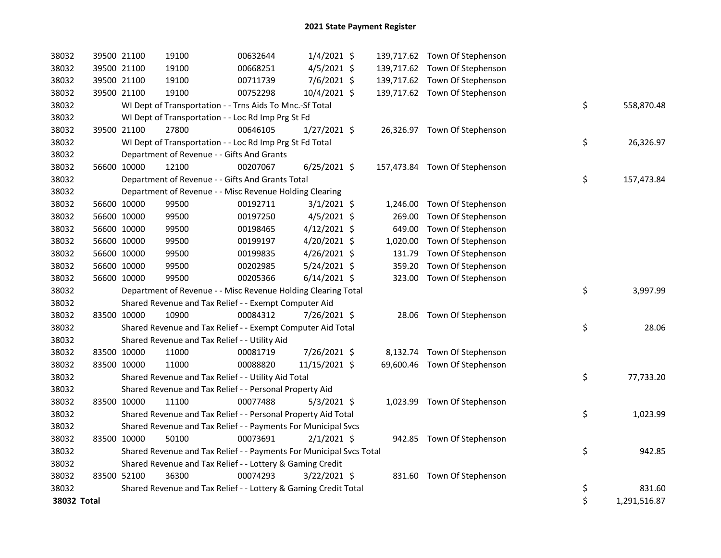| 38032       | 39500 21100 | 19100                                                               | 00632644 | $1/4/2021$ \$  |          | 139,717.62 Town Of Stephenson |                    |
|-------------|-------------|---------------------------------------------------------------------|----------|----------------|----------|-------------------------------|--------------------|
| 38032       | 39500 21100 | 19100                                                               | 00668251 | $4/5/2021$ \$  |          | 139,717.62 Town Of Stephenson |                    |
| 38032       | 39500 21100 | 19100                                                               | 00711739 | 7/6/2021 \$    |          | 139,717.62 Town Of Stephenson |                    |
| 38032       | 39500 21100 | 19100                                                               | 00752298 | 10/4/2021 \$   |          | 139,717.62 Town Of Stephenson |                    |
| 38032       |             | WI Dept of Transportation - - Trns Aids To Mnc.-Sf Total            |          |                |          |                               | \$<br>558,870.48   |
| 38032       |             | WI Dept of Transportation - - Loc Rd Imp Prg St Fd                  |          |                |          |                               |                    |
| 38032       | 39500 21100 | 27800                                                               | 00646105 | $1/27/2021$ \$ |          | 26,326.97 Town Of Stephenson  |                    |
| 38032       |             | WI Dept of Transportation - - Loc Rd Imp Prg St Fd Total            |          |                |          |                               | \$<br>26,326.97    |
| 38032       |             | Department of Revenue - - Gifts And Grants                          |          |                |          |                               |                    |
| 38032       | 56600 10000 | 12100                                                               | 00207067 | $6/25/2021$ \$ |          | 157,473.84 Town Of Stephenson |                    |
| 38032       |             | Department of Revenue - - Gifts And Grants Total                    |          |                |          |                               | \$<br>157,473.84   |
| 38032       |             | Department of Revenue - - Misc Revenue Holding Clearing             |          |                |          |                               |                    |
| 38032       | 56600 10000 | 99500                                                               | 00192711 | $3/1/2021$ \$  |          | 1,246.00 Town Of Stephenson   |                    |
| 38032       | 56600 10000 | 99500                                                               | 00197250 | $4/5/2021$ \$  | 269.00   | Town Of Stephenson            |                    |
| 38032       | 56600 10000 | 99500                                                               | 00198465 | 4/12/2021 \$   | 649.00   | Town Of Stephenson            |                    |
| 38032       | 56600 10000 | 99500                                                               | 00199197 | 4/20/2021 \$   | 1,020.00 | Town Of Stephenson            |                    |
| 38032       | 56600 10000 | 99500                                                               | 00199835 | 4/26/2021 \$   | 131.79   | Town Of Stephenson            |                    |
| 38032       | 56600 10000 | 99500                                                               | 00202985 | 5/24/2021 \$   | 359.20   | Town Of Stephenson            |                    |
| 38032       | 56600 10000 | 99500                                                               | 00205366 | $6/14/2021$ \$ |          | 323.00 Town Of Stephenson     |                    |
| 38032       |             | Department of Revenue - - Misc Revenue Holding Clearing Total       |          |                |          |                               | \$<br>3,997.99     |
| 38032       |             | Shared Revenue and Tax Relief - - Exempt Computer Aid               |          |                |          |                               |                    |
| 38032       | 83500 10000 | 10900                                                               | 00084312 | 7/26/2021 \$   |          | 28.06 Town Of Stephenson      |                    |
| 38032       |             | Shared Revenue and Tax Relief - - Exempt Computer Aid Total         |          |                |          |                               | \$<br>28.06        |
| 38032       |             | Shared Revenue and Tax Relief - - Utility Aid                       |          |                |          |                               |                    |
| 38032       | 83500 10000 | 11000                                                               | 00081719 | 7/26/2021 \$   |          | 8,132.74 Town Of Stephenson   |                    |
| 38032       | 83500 10000 | 11000                                                               | 00088820 | 11/15/2021 \$  |          | 69,600.46 Town Of Stephenson  |                    |
| 38032       |             | Shared Revenue and Tax Relief - - Utility Aid Total                 |          |                |          |                               | \$<br>77,733.20    |
| 38032       |             | Shared Revenue and Tax Relief - - Personal Property Aid             |          |                |          |                               |                    |
| 38032       | 83500 10000 | 11100                                                               | 00077488 | $5/3/2021$ \$  |          | 1,023.99 Town Of Stephenson   |                    |
| 38032       |             | Shared Revenue and Tax Relief - - Personal Property Aid Total       |          |                |          |                               | \$<br>1,023.99     |
| 38032       |             | Shared Revenue and Tax Relief - - Payments For Municipal Svcs       |          |                |          |                               |                    |
| 38032       | 83500 10000 | 50100                                                               | 00073691 | $2/1/2021$ \$  |          | 942.85 Town Of Stephenson     |                    |
| 38032       |             | Shared Revenue and Tax Relief - - Payments For Municipal Svcs Total |          |                |          |                               | \$<br>942.85       |
| 38032       |             | Shared Revenue and Tax Relief - - Lottery & Gaming Credit           |          |                |          |                               |                    |
| 38032       | 83500 52100 | 36300                                                               | 00074293 | $3/22/2021$ \$ |          | 831.60 Town Of Stephenson     |                    |
| 38032       |             | Shared Revenue and Tax Relief - - Lottery & Gaming Credit Total     |          |                |          |                               | \$<br>831.60       |
| 38032 Total |             |                                                                     |          |                |          |                               | \$<br>1,291,516.87 |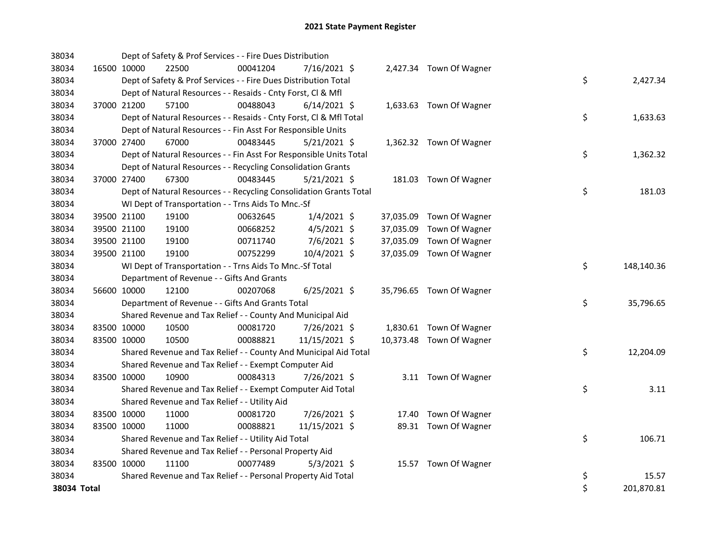| 38034       |             | Dept of Safety & Prof Services - - Fire Dues Distribution          |          |                |  |                          |    |            |
|-------------|-------------|--------------------------------------------------------------------|----------|----------------|--|--------------------------|----|------------|
| 38034       | 16500 10000 | 22500                                                              | 00041204 | 7/16/2021 \$   |  | 2,427.34 Town Of Wagner  |    |            |
| 38034       |             | Dept of Safety & Prof Services - - Fire Dues Distribution Total    |          |                |  |                          | \$ | 2,427.34   |
| 38034       |             | Dept of Natural Resources - - Resaids - Cnty Forst, CI & Mfl       |          |                |  |                          |    |            |
| 38034       | 37000 21200 | 57100                                                              | 00488043 | $6/14/2021$ \$ |  | 1,633.63 Town Of Wagner  |    |            |
| 38034       |             | Dept of Natural Resources - - Resaids - Cnty Forst, Cl & Mfl Total |          |                |  |                          | \$ | 1,633.63   |
| 38034       |             | Dept of Natural Resources - - Fin Asst For Responsible Units       |          |                |  |                          |    |            |
| 38034       | 37000 27400 | 67000                                                              | 00483445 | $5/21/2021$ \$ |  | 1,362.32 Town Of Wagner  |    |            |
| 38034       |             | Dept of Natural Resources - - Fin Asst For Responsible Units Total |          |                |  |                          | \$ | 1,362.32   |
| 38034       |             | Dept of Natural Resources - - Recycling Consolidation Grants       |          |                |  |                          |    |            |
| 38034       | 37000 27400 | 67300                                                              | 00483445 | $5/21/2021$ \$ |  | 181.03 Town Of Wagner    |    |            |
| 38034       |             | Dept of Natural Resources - - Recycling Consolidation Grants Total |          |                |  |                          | \$ | 181.03     |
| 38034       |             | WI Dept of Transportation - - Trns Aids To Mnc.-Sf                 |          |                |  |                          |    |            |
| 38034       | 39500 21100 | 19100                                                              | 00632645 | $1/4/2021$ \$  |  | 37,035.09 Town Of Wagner |    |            |
| 38034       | 39500 21100 | 19100                                                              | 00668252 | $4/5/2021$ \$  |  | 37,035.09 Town Of Wagner |    |            |
| 38034       | 39500 21100 | 19100                                                              | 00711740 | 7/6/2021 \$    |  | 37,035.09 Town Of Wagner |    |            |
| 38034       | 39500 21100 | 19100                                                              | 00752299 | 10/4/2021 \$   |  | 37,035.09 Town Of Wagner |    |            |
| 38034       |             | WI Dept of Transportation - - Trns Aids To Mnc.-Sf Total           |          |                |  |                          | \$ | 148,140.36 |
| 38034       |             | Department of Revenue - - Gifts And Grants                         |          |                |  |                          |    |            |
| 38034       | 56600 10000 | 12100                                                              | 00207068 | $6/25/2021$ \$ |  | 35,796.65 Town Of Wagner |    |            |
| 38034       |             | Department of Revenue - - Gifts And Grants Total                   |          |                |  |                          | \$ | 35,796.65  |
| 38034       |             | Shared Revenue and Tax Relief - - County And Municipal Aid         |          |                |  |                          |    |            |
| 38034       | 83500 10000 | 10500                                                              | 00081720 | 7/26/2021 \$   |  | 1,830.61 Town Of Wagner  |    |            |
| 38034       | 83500 10000 | 10500                                                              | 00088821 | 11/15/2021 \$  |  | 10,373.48 Town Of Wagner |    |            |
| 38034       |             | Shared Revenue and Tax Relief - - County And Municipal Aid Total   |          |                |  |                          | \$ | 12,204.09  |
| 38034       |             | Shared Revenue and Tax Relief - - Exempt Computer Aid              |          |                |  |                          |    |            |
| 38034       | 83500 10000 | 10900                                                              | 00084313 | 7/26/2021 \$   |  | 3.11 Town Of Wagner      |    |            |
| 38034       |             | Shared Revenue and Tax Relief - - Exempt Computer Aid Total        |          |                |  |                          | \$ | 3.11       |
| 38034       |             | Shared Revenue and Tax Relief - - Utility Aid                      |          |                |  |                          |    |            |
| 38034       | 83500 10000 | 11000                                                              | 00081720 | 7/26/2021 \$   |  | 17.40 Town Of Wagner     |    |            |
| 38034       | 83500 10000 | 11000                                                              | 00088821 | 11/15/2021 \$  |  | 89.31 Town Of Wagner     |    |            |
| 38034       |             | Shared Revenue and Tax Relief - - Utility Aid Total                |          |                |  |                          | \$ | 106.71     |
| 38034       |             | Shared Revenue and Tax Relief - - Personal Property Aid            |          |                |  |                          |    |            |
| 38034       | 83500 10000 | 11100                                                              | 00077489 | 5/3/2021 \$    |  | 15.57 Town Of Wagner     |    |            |
| 38034       |             | Shared Revenue and Tax Relief - - Personal Property Aid Total      |          |                |  |                          | \$ | 15.57      |
| 38034 Total |             |                                                                    |          |                |  |                          | \$ | 201,870.81 |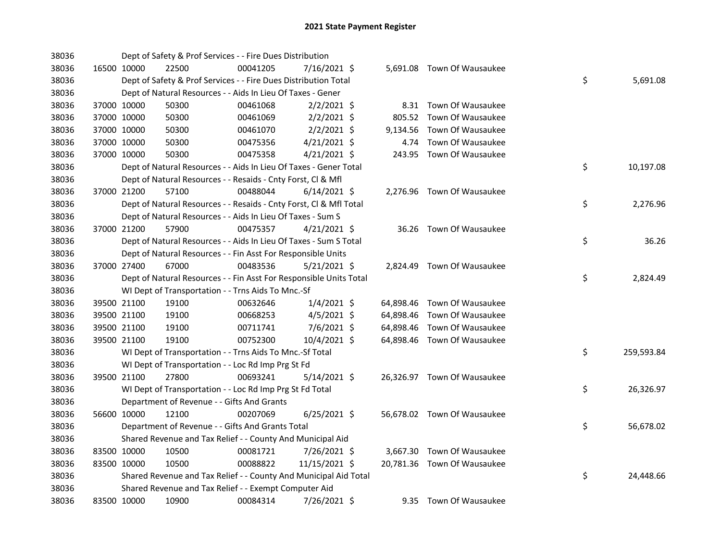| 38036 |             | Dept of Safety & Prof Services - - Fire Dues Distribution          |          |                |        |                             |    |            |
|-------|-------------|--------------------------------------------------------------------|----------|----------------|--------|-----------------------------|----|------------|
| 38036 | 16500 10000 | 22500                                                              | 00041205 | 7/16/2021 \$   |        | 5,691.08 Town Of Wausaukee  |    |            |
| 38036 |             | Dept of Safety & Prof Services - - Fire Dues Distribution Total    |          |                |        |                             | \$ | 5,691.08   |
| 38036 |             | Dept of Natural Resources - - Aids In Lieu Of Taxes - Gener        |          |                |        |                             |    |            |
| 38036 | 37000 10000 | 50300                                                              | 00461068 | $2/2/2021$ \$  |        | 8.31 Town Of Wausaukee      |    |            |
| 38036 | 37000 10000 | 50300                                                              | 00461069 | $2/2/2021$ \$  | 805.52 | Town Of Wausaukee           |    |            |
| 38036 | 37000 10000 | 50300                                                              | 00461070 | $2/2/2021$ \$  |        | 9,134.56 Town Of Wausaukee  |    |            |
| 38036 | 37000 10000 | 50300                                                              | 00475356 | $4/21/2021$ \$ | 4.74   | Town Of Wausaukee           |    |            |
| 38036 | 37000 10000 | 50300                                                              | 00475358 | $4/21/2021$ \$ |        | 243.95 Town Of Wausaukee    |    |            |
| 38036 |             | Dept of Natural Resources - - Aids In Lieu Of Taxes - Gener Total  |          |                |        |                             | \$ | 10,197.08  |
| 38036 |             | Dept of Natural Resources - - Resaids - Cnty Forst, Cl & Mfl       |          |                |        |                             |    |            |
| 38036 | 37000 21200 | 57100                                                              | 00488044 | $6/14/2021$ \$ |        | 2,276.96 Town Of Wausaukee  |    |            |
| 38036 |             | Dept of Natural Resources - - Resaids - Cnty Forst, Cl & Mfl Total |          |                |        |                             | \$ | 2,276.96   |
| 38036 |             | Dept of Natural Resources - - Aids In Lieu Of Taxes - Sum S        |          |                |        |                             |    |            |
| 38036 | 37000 21200 | 57900                                                              | 00475357 | $4/21/2021$ \$ |        | 36.26 Town Of Wausaukee     |    |            |
| 38036 |             | Dept of Natural Resources - - Aids In Lieu Of Taxes - Sum S Total  |          |                |        |                             | \$ | 36.26      |
| 38036 |             | Dept of Natural Resources - - Fin Asst For Responsible Units       |          |                |        |                             |    |            |
| 38036 | 37000 27400 | 67000                                                              | 00483536 | $5/21/2021$ \$ |        | 2,824.49 Town Of Wausaukee  |    |            |
| 38036 |             | Dept of Natural Resources - - Fin Asst For Responsible Units Total |          |                |        |                             | \$ | 2,824.49   |
| 38036 |             | WI Dept of Transportation - - Trns Aids To Mnc.-Sf                 |          |                |        |                             |    |            |
| 38036 | 39500 21100 | 19100                                                              | 00632646 | $1/4/2021$ \$  |        | 64,898.46 Town Of Wausaukee |    |            |
| 38036 | 39500 21100 | 19100                                                              | 00668253 | $4/5/2021$ \$  |        | 64,898.46 Town Of Wausaukee |    |            |
| 38036 | 39500 21100 | 19100                                                              | 00711741 | 7/6/2021 \$    |        | 64,898.46 Town Of Wausaukee |    |            |
| 38036 | 39500 21100 | 19100                                                              | 00752300 | 10/4/2021 \$   |        | 64,898.46 Town Of Wausaukee |    |            |
| 38036 |             | WI Dept of Transportation - - Trns Aids To Mnc.-Sf Total           |          |                |        |                             | \$ | 259,593.84 |
| 38036 |             | WI Dept of Transportation - - Loc Rd Imp Prg St Fd                 |          |                |        |                             |    |            |
| 38036 | 39500 21100 | 27800                                                              | 00693241 | 5/14/2021 \$   |        | 26,326.97 Town Of Wausaukee |    |            |
| 38036 |             | WI Dept of Transportation - - Loc Rd Imp Prg St Fd Total           |          |                |        |                             | \$ | 26,326.97  |
| 38036 |             | Department of Revenue - - Gifts And Grants                         |          |                |        |                             |    |            |
| 38036 | 56600 10000 | 12100                                                              | 00207069 | $6/25/2021$ \$ |        | 56,678.02 Town Of Wausaukee |    |            |
| 38036 |             | Department of Revenue - - Gifts And Grants Total                   |          |                |        |                             | \$ | 56,678.02  |
| 38036 |             | Shared Revenue and Tax Relief - - County And Municipal Aid         |          |                |        |                             |    |            |
| 38036 | 83500 10000 | 10500                                                              | 00081721 | 7/26/2021 \$   |        | 3,667.30 Town Of Wausaukee  |    |            |
| 38036 | 83500 10000 | 10500                                                              | 00088822 | 11/15/2021 \$  |        | 20,781.36 Town Of Wausaukee |    |            |
| 38036 |             | Shared Revenue and Tax Relief - - County And Municipal Aid Total   |          |                |        |                             | \$ | 24,448.66  |
| 38036 |             | Shared Revenue and Tax Relief - - Exempt Computer Aid              |          |                |        |                             |    |            |
| 38036 | 83500 10000 | 10900                                                              | 00084314 | 7/26/2021 \$   |        | 9.35 Town Of Wausaukee      |    |            |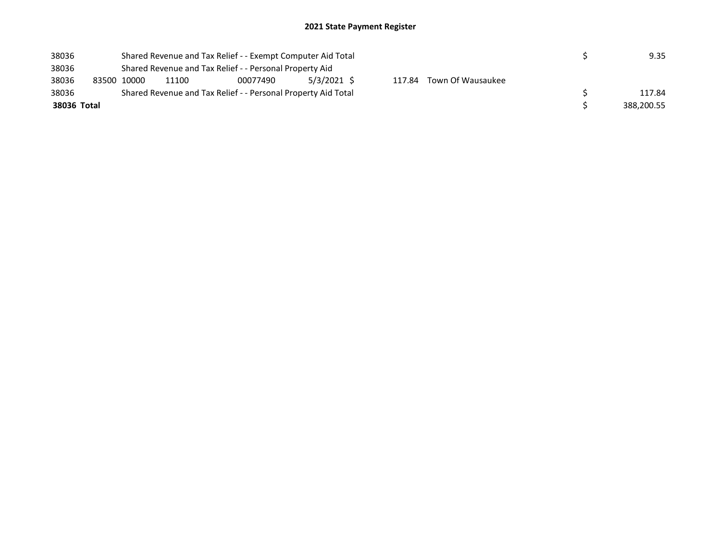| 38036       |  |             |                                                                                                                     | Shared Revenue and Tax Relief - - Exempt Computer Aid Total |        | 9.35 |  |            |  |  |  |  |  |
|-------------|--|-------------|---------------------------------------------------------------------------------------------------------------------|-------------------------------------------------------------|--------|------|--|------------|--|--|--|--|--|
| 38036       |  |             | Shared Revenue and Tax Relief - - Personal Property Aid<br>$5/3/2021$ \$<br>Town Of Wausaukee<br>117.84<br>00077490 |                                                             |        |      |  |            |  |  |  |  |  |
| 38036       |  | 83500 10000 | 11100                                                                                                               |                                                             |        |      |  |            |  |  |  |  |  |
| 38036       |  |             | Shared Revenue and Tax Relief - - Personal Property Aid Total                                                       |                                                             | 117.84 |      |  |            |  |  |  |  |  |
| 38036 Total |  |             |                                                                                                                     |                                                             |        |      |  | 388,200.55 |  |  |  |  |  |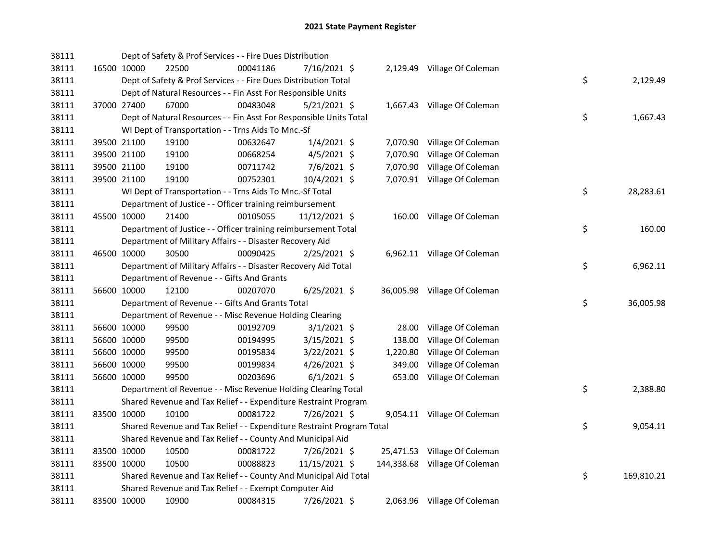| 38111 |                                            | Dept of Safety & Prof Services - - Fire Dues Distribution             |                |          |                               |    |            |
|-------|--------------------------------------------|-----------------------------------------------------------------------|----------------|----------|-------------------------------|----|------------|
| 38111 | 16500 10000<br>22500                       | 00041186                                                              | 7/16/2021 \$   |          | 2,129.49 Village Of Coleman   |    |            |
| 38111 |                                            | Dept of Safety & Prof Services - - Fire Dues Distribution Total       |                |          |                               | \$ | 2,129.49   |
| 38111 |                                            | Dept of Natural Resources - - Fin Asst For Responsible Units          |                |          |                               |    |            |
| 38111 | 67000<br>37000 27400                       | 00483048                                                              | $5/21/2021$ \$ |          | 1,667.43 Village Of Coleman   |    |            |
| 38111 |                                            | Dept of Natural Resources - - Fin Asst For Responsible Units Total    |                |          |                               | \$ | 1,667.43   |
| 38111 |                                            | WI Dept of Transportation - - Trns Aids To Mnc.-Sf                    |                |          |                               |    |            |
| 38111 | 39500 21100<br>19100                       | 00632647                                                              | $1/4/2021$ \$  |          | 7,070.90 Village Of Coleman   |    |            |
| 38111 | 39500 21100<br>19100                       | 00668254                                                              | 4/5/2021 \$    | 7,070.90 | Village Of Coleman            |    |            |
| 38111 | 19100<br>39500 21100                       | 00711742                                                              | $7/6/2021$ \$  |          | 7,070.90 Village Of Coleman   |    |            |
| 38111 | 39500 21100<br>19100                       | 00752301                                                              | 10/4/2021 \$   |          | 7,070.91 Village Of Coleman   |    |            |
| 38111 |                                            | WI Dept of Transportation - - Trns Aids To Mnc.-Sf Total              |                |          |                               | \$ | 28,283.61  |
| 38111 |                                            | Department of Justice - - Officer training reimbursement              |                |          |                               |    |            |
| 38111 | 45500 10000<br>21400                       | 00105055                                                              | 11/12/2021 \$  |          | 160.00 Village Of Coleman     |    |            |
| 38111 |                                            | Department of Justice - - Officer training reimbursement Total        |                |          |                               | \$ | 160.00     |
| 38111 |                                            | Department of Military Affairs - - Disaster Recovery Aid              |                |          |                               |    |            |
| 38111 | 30500<br>46500 10000                       | 00090425                                                              | $2/25/2021$ \$ |          | 6,962.11 Village Of Coleman   |    |            |
| 38111 |                                            | Department of Military Affairs - - Disaster Recovery Aid Total        |                |          |                               | \$ | 6,962.11   |
| 38111 | Department of Revenue - - Gifts And Grants |                                                                       |                |          |                               |    |            |
| 38111 | 12100<br>56600 10000                       | 00207070                                                              | $6/25/2021$ \$ |          | 36,005.98 Village Of Coleman  |    |            |
| 38111 |                                            | Department of Revenue - - Gifts And Grants Total                      |                |          |                               | \$ | 36,005.98  |
| 38111 |                                            | Department of Revenue - - Misc Revenue Holding Clearing               |                |          |                               |    |            |
| 38111 | 56600 10000<br>99500                       | 00192709                                                              | $3/1/2021$ \$  | 28.00    | Village Of Coleman            |    |            |
| 38111 | 56600 10000<br>99500                       | 00194995                                                              | $3/15/2021$ \$ | 138.00   | Village Of Coleman            |    |            |
| 38111 | 56600 10000<br>99500                       | 00195834                                                              | $3/22/2021$ \$ | 1,220.80 | Village Of Coleman            |    |            |
| 38111 | 56600 10000<br>99500                       | 00199834                                                              | 4/26/2021 \$   | 349.00   | Village Of Coleman            |    |            |
| 38111 | 56600 10000<br>99500                       | 00203696                                                              | $6/1/2021$ \$  | 653.00   | Village Of Coleman            |    |            |
| 38111 |                                            | Department of Revenue - - Misc Revenue Holding Clearing Total         |                |          |                               | \$ | 2,388.80   |
| 38111 |                                            | Shared Revenue and Tax Relief - - Expenditure Restraint Program       |                |          |                               |    |            |
| 38111 | 83500 10000<br>10100                       | 00081722                                                              | 7/26/2021 \$   |          | 9,054.11 Village Of Coleman   |    |            |
| 38111 |                                            | Shared Revenue and Tax Relief - - Expenditure Restraint Program Total |                |          |                               | \$ | 9,054.11   |
| 38111 |                                            | Shared Revenue and Tax Relief - - County And Municipal Aid            |                |          |                               |    |            |
| 38111 | 83500 10000<br>10500                       | 00081722                                                              | 7/26/2021 \$   |          | 25,471.53 Village Of Coleman  |    |            |
| 38111 | 83500 10000<br>10500                       | 00088823                                                              | 11/15/2021 \$  |          | 144,338.68 Village Of Coleman |    |            |
| 38111 |                                            | Shared Revenue and Tax Relief - - County And Municipal Aid Total      |                |          |                               | \$ | 169,810.21 |
| 38111 |                                            | Shared Revenue and Tax Relief - - Exempt Computer Aid                 |                |          |                               |    |            |
| 38111 | 10900<br>83500 10000                       | 00084315                                                              | 7/26/2021 \$   |          | 2,063.96 Village Of Coleman   |    |            |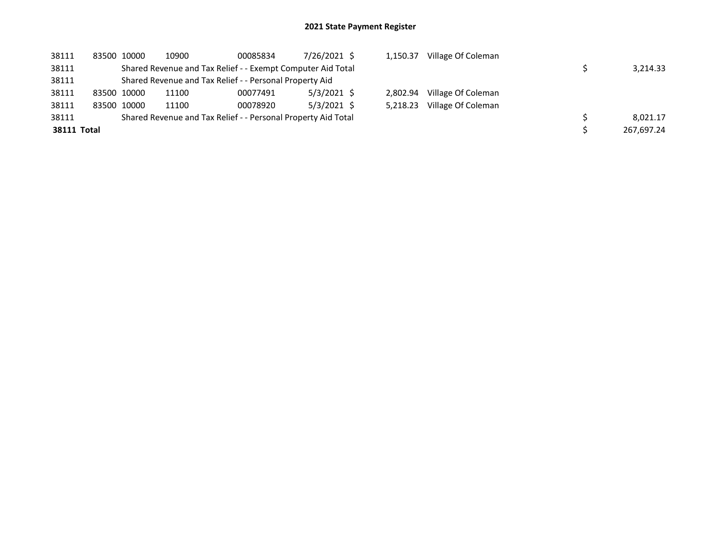| 38111              |             | 83500 10000 | 10900                                                         | 00085834 | 7/26/2021 \$  | 1.150.37 | Village Of Coleman |            |
|--------------------|-------------|-------------|---------------------------------------------------------------|----------|---------------|----------|--------------------|------------|
| 38111              |             |             | Shared Revenue and Tax Relief - - Exempt Computer Aid Total   |          |               |          |                    | 3,214.33   |
| 38111              |             |             | Shared Revenue and Tax Relief - - Personal Property Aid       |          |               |          |                    |            |
| 38111              | 83500 10000 |             | 11100                                                         | 00077491 | $5/3/2021$ \$ | 2.802.94 | Village Of Coleman |            |
| 38111              | 83500 10000 |             | 11100                                                         | 00078920 | $5/3/2021$ \$ | 5.218.23 | Village Of Coleman |            |
| 38111              |             |             | Shared Revenue and Tax Relief - - Personal Property Aid Total |          |               |          |                    | 8.021.17   |
| <b>38111 Total</b> |             |             |                                                               |          |               |          |                    | 267.697.24 |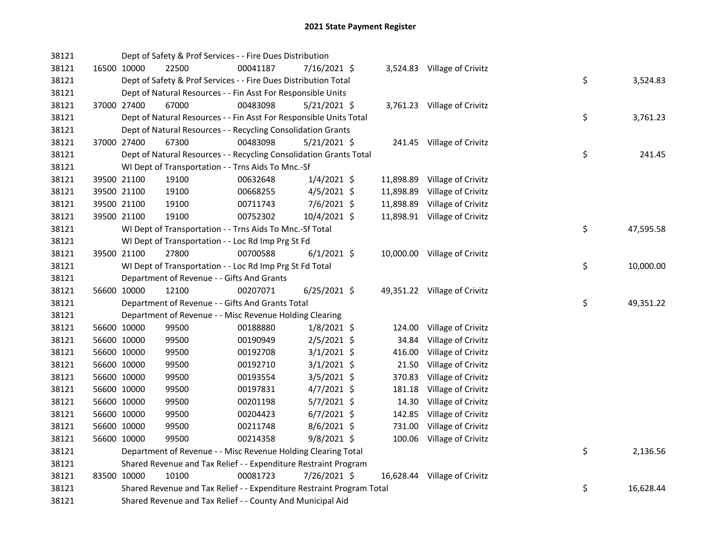| 38121 |             | Dept of Safety & Prof Services - - Fire Dues Distribution             |          |                |           |                              |    |           |
|-------|-------------|-----------------------------------------------------------------------|----------|----------------|-----------|------------------------------|----|-----------|
| 38121 | 16500 10000 | 22500                                                                 | 00041187 | 7/16/2021 \$   |           | 3,524.83 Village of Crivitz  |    |           |
| 38121 |             | Dept of Safety & Prof Services - - Fire Dues Distribution Total       |          |                |           |                              | \$ | 3,524.83  |
| 38121 |             | Dept of Natural Resources - - Fin Asst For Responsible Units          |          |                |           |                              |    |           |
| 38121 | 37000 27400 | 67000                                                                 | 00483098 | $5/21/2021$ \$ |           | 3,761.23 Village of Crivitz  |    |           |
| 38121 |             | Dept of Natural Resources - - Fin Asst For Responsible Units Total    |          |                |           |                              | \$ | 3,761.23  |
| 38121 |             | Dept of Natural Resources - - Recycling Consolidation Grants          |          |                |           |                              |    |           |
| 38121 | 37000 27400 | 67300                                                                 | 00483098 | $5/21/2021$ \$ |           | 241.45 Village of Crivitz    |    |           |
| 38121 |             | Dept of Natural Resources - - Recycling Consolidation Grants Total    |          |                |           |                              | \$ | 241.45    |
| 38121 |             | WI Dept of Transportation - - Trns Aids To Mnc.-Sf                    |          |                |           |                              |    |           |
| 38121 | 39500 21100 | 19100                                                                 | 00632648 | $1/4/2021$ \$  | 11,898.89 | Village of Crivitz           |    |           |
| 38121 | 39500 21100 | 19100                                                                 | 00668255 | 4/5/2021 \$    | 11,898.89 | Village of Crivitz           |    |           |
| 38121 | 39500 21100 | 19100                                                                 | 00711743 | 7/6/2021 \$    | 11,898.89 | Village of Crivitz           |    |           |
| 38121 | 39500 21100 | 19100                                                                 | 00752302 | 10/4/2021 \$   |           | 11,898.91 Village of Crivitz |    |           |
| 38121 |             | WI Dept of Transportation - - Trns Aids To Mnc.-Sf Total              |          |                |           |                              | \$ | 47,595.58 |
| 38121 |             | WI Dept of Transportation - - Loc Rd Imp Prg St Fd                    |          |                |           |                              |    |           |
| 38121 | 39500 21100 | 27800                                                                 | 00700588 | $6/1/2021$ \$  |           | 10,000.00 Village of Crivitz |    |           |
| 38121 |             | WI Dept of Transportation - - Loc Rd Imp Prg St Fd Total              |          |                |           |                              | \$ | 10,000.00 |
| 38121 |             | Department of Revenue - - Gifts And Grants                            |          |                |           |                              |    |           |
| 38121 | 56600 10000 | 12100                                                                 | 00207071 | $6/25/2021$ \$ |           | 49,351.22 Village of Crivitz |    |           |
| 38121 |             | Department of Revenue - - Gifts And Grants Total                      |          |                |           |                              | \$ | 49,351.22 |
| 38121 |             | Department of Revenue - - Misc Revenue Holding Clearing               |          |                |           |                              |    |           |
| 38121 | 56600 10000 | 99500                                                                 | 00188880 | $1/8/2021$ \$  | 124.00    | Village of Crivitz           |    |           |
| 38121 | 56600 10000 | 99500                                                                 | 00190949 | 2/5/2021 \$    | 34.84     | Village of Crivitz           |    |           |
| 38121 | 56600 10000 | 99500                                                                 | 00192708 | $3/1/2021$ \$  | 416.00    | Village of Crivitz           |    |           |
| 38121 | 56600 10000 | 99500                                                                 | 00192710 | $3/1/2021$ \$  | 21.50     | Village of Crivitz           |    |           |
| 38121 | 56600 10000 | 99500                                                                 | 00193554 | $3/5/2021$ \$  | 370.83    | Village of Crivitz           |    |           |
| 38121 | 56600 10000 | 99500                                                                 | 00197831 | $4/7/2021$ \$  | 181.18    | Village of Crivitz           |    |           |
| 38121 | 56600 10000 | 99500                                                                 | 00201198 | $5/7/2021$ \$  | 14.30     | Village of Crivitz           |    |           |
| 38121 | 56600 10000 | 99500                                                                 | 00204423 | $6/7/2021$ \$  | 142.85    | Village of Crivitz           |    |           |
| 38121 | 56600 10000 | 99500                                                                 | 00211748 | 8/6/2021 \$    | 731.00    | Village of Crivitz           |    |           |
| 38121 | 56600 10000 | 99500                                                                 | 00214358 | $9/8/2021$ \$  | 100.06    | Village of Crivitz           |    |           |
| 38121 |             | Department of Revenue - - Misc Revenue Holding Clearing Total         |          |                |           |                              | \$ | 2,136.56  |
| 38121 |             | Shared Revenue and Tax Relief - - Expenditure Restraint Program       |          |                |           |                              |    |           |
| 38121 | 83500 10000 | 10100                                                                 | 00081723 | 7/26/2021 \$   |           | 16,628.44 Village of Crivitz |    |           |
| 38121 |             | Shared Revenue and Tax Relief - - Expenditure Restraint Program Total |          |                |           |                              | \$ | 16,628.44 |
| 38121 |             | Shared Revenue and Tax Relief - - County And Municipal Aid            |          |                |           |                              |    |           |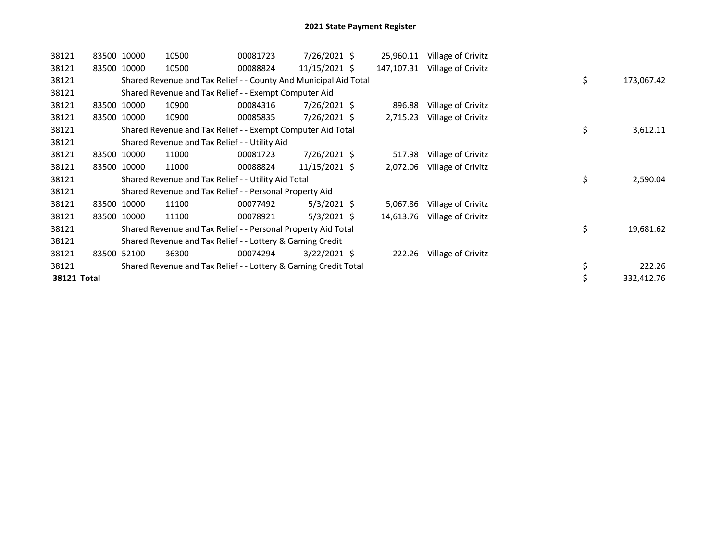| 38121       |       | 83500 10000 | 10500 | 00081723                                                         | 7/26/2021 \$   | 25,960.11  | Village of Crivitz |    |            |
|-------------|-------|-------------|-------|------------------------------------------------------------------|----------------|------------|--------------------|----|------------|
| 38121       |       | 83500 10000 | 10500 | 00088824                                                         | 11/15/2021 \$  | 147,107.31 | Village of Crivitz |    |            |
| 38121       |       |             |       | Shared Revenue and Tax Relief - - County And Municipal Aid Total |                |            |                    | \$ | 173,067.42 |
| 38121       |       |             |       | Shared Revenue and Tax Relief - - Exempt Computer Aid            |                |            |                    |    |            |
| 38121       |       | 83500 10000 | 10900 | 00084316                                                         | 7/26/2021 \$   | 896.88     | Village of Crivitz |    |            |
| 38121       |       | 83500 10000 | 10900 | 00085835                                                         | 7/26/2021 \$   | 2,715.23   | Village of Crivitz |    |            |
| 38121       |       |             |       | Shared Revenue and Tax Relief - - Exempt Computer Aid Total      |                |            |                    | \$ | 3,612.11   |
| 38121       |       |             |       | Shared Revenue and Tax Relief - - Utility Aid                    |                |            |                    |    |            |
| 38121       |       | 83500 10000 | 11000 | 00081723                                                         | $7/26/2021$ \$ | 517.98     | Village of Crivitz |    |            |
| 38121       |       | 83500 10000 | 11000 | 00088824                                                         | 11/15/2021 \$  | 2,072.06   | Village of Crivitz |    |            |
| 38121       |       |             |       | Shared Revenue and Tax Relief - - Utility Aid Total              |                |            |                    | \$ | 2,590.04   |
| 38121       |       |             |       | Shared Revenue and Tax Relief - - Personal Property Aid          |                |            |                    |    |            |
| 38121       |       | 83500 10000 | 11100 | 00077492                                                         | $5/3/2021$ \$  | 5,067.86   | Village of Crivitz |    |            |
| 38121       |       | 83500 10000 | 11100 | 00078921                                                         | $5/3/2021$ \$  | 14,613.76  | Village of Crivitz |    |            |
| 38121       |       |             |       | Shared Revenue and Tax Relief - - Personal Property Aid Total    |                |            |                    | \$ | 19,681.62  |
| 38121       |       |             |       | Shared Revenue and Tax Relief - - Lottery & Gaming Credit        |                |            |                    |    |            |
| 38121       | 83500 | 52100       | 36300 | 00074294                                                         | $3/22/2021$ \$ | 222.26     | Village of Crivitz |    |            |
| 38121       |       |             |       | Shared Revenue and Tax Relief - - Lottery & Gaming Credit Total  |                |            |                    | \$ | 222.26     |
| 38121 Total |       |             |       |                                                                  |                |            |                    |    | 332,412.76 |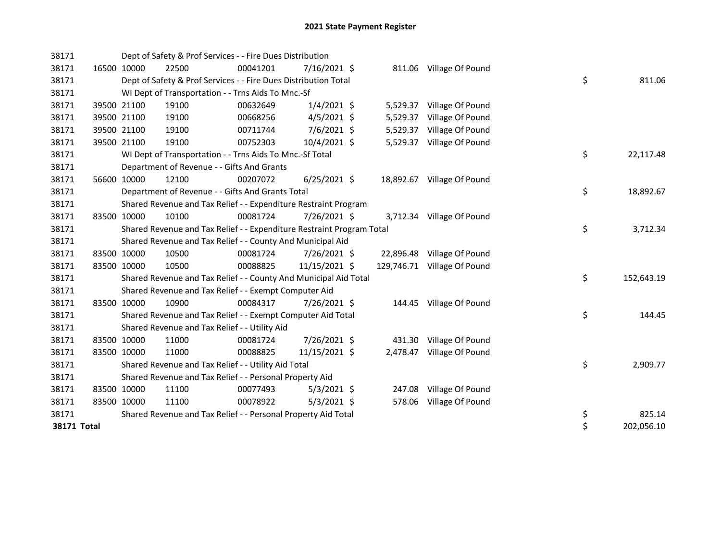| 38171              |             |             | Dept of Safety & Prof Services - - Fire Dues Distribution             |          |                |          |                             |    |            |
|--------------------|-------------|-------------|-----------------------------------------------------------------------|----------|----------------|----------|-----------------------------|----|------------|
| 38171              |             | 16500 10000 | 22500                                                                 | 00041201 | 7/16/2021 \$   |          | 811.06 Village Of Pound     |    |            |
| 38171              |             |             | Dept of Safety & Prof Services - - Fire Dues Distribution Total       |          |                |          |                             | \$ | 811.06     |
| 38171              |             |             | WI Dept of Transportation - - Trns Aids To Mnc.-Sf                    |          |                |          |                             |    |            |
| 38171              |             | 39500 21100 | 19100                                                                 | 00632649 | $1/4/2021$ \$  |          | 5,529.37 Village Of Pound   |    |            |
| 38171              |             | 39500 21100 | 19100                                                                 | 00668256 | $4/5/2021$ \$  | 5,529.37 | Village Of Pound            |    |            |
| 38171              |             | 39500 21100 | 19100                                                                 | 00711744 | 7/6/2021 \$    | 5,529.37 | Village Of Pound            |    |            |
| 38171              |             | 39500 21100 | 19100                                                                 | 00752303 | 10/4/2021 \$   | 5,529.37 | Village Of Pound            |    |            |
| 38171              |             |             | WI Dept of Transportation - - Trns Aids To Mnc.-Sf Total              |          |                |          |                             | \$ | 22,117.48  |
| 38171              |             |             | Department of Revenue - - Gifts And Grants                            |          |                |          |                             |    |            |
| 38171              |             | 56600 10000 | 12100                                                                 | 00207072 | $6/25/2021$ \$ |          | 18,892.67 Village Of Pound  |    |            |
| 38171              |             |             | Department of Revenue - - Gifts And Grants Total                      |          |                |          |                             | \$ | 18,892.67  |
| 38171              |             |             | Shared Revenue and Tax Relief - - Expenditure Restraint Program       |          |                |          |                             |    |            |
| 38171              |             | 83500 10000 | 10100                                                                 | 00081724 | 7/26/2021 \$   |          | 3,712.34 Village Of Pound   |    |            |
| 38171              |             |             | Shared Revenue and Tax Relief - - Expenditure Restraint Program Total |          |                |          |                             | \$ | 3,712.34   |
| 38171              |             |             | Shared Revenue and Tax Relief - - County And Municipal Aid            |          |                |          |                             |    |            |
| 38171              |             | 83500 10000 | 10500                                                                 | 00081724 | 7/26/2021 \$   |          | 22,896.48 Village Of Pound  |    |            |
| 38171              |             | 83500 10000 | 10500                                                                 | 00088825 | 11/15/2021 \$  |          | 129,746.71 Village Of Pound |    |            |
| 38171              |             |             | Shared Revenue and Tax Relief - - County And Municipal Aid Total      |          |                |          |                             | \$ | 152,643.19 |
| 38171              |             |             | Shared Revenue and Tax Relief - - Exempt Computer Aid                 |          |                |          |                             |    |            |
| 38171              |             | 83500 10000 | 10900                                                                 | 00084317 | 7/26/2021 \$   |          | 144.45 Village Of Pound     |    |            |
| 38171              |             |             | Shared Revenue and Tax Relief - - Exempt Computer Aid Total           |          |                |          |                             | \$ | 144.45     |
| 38171              |             |             | Shared Revenue and Tax Relief - - Utility Aid                         |          |                |          |                             |    |            |
| 38171              |             | 83500 10000 | 11000                                                                 | 00081724 | 7/26/2021 \$   |          | 431.30 Village Of Pound     |    |            |
| 38171              | 83500 10000 |             | 11000                                                                 | 00088825 | 11/15/2021 \$  | 2,478.47 | Village Of Pound            |    |            |
| 38171              |             |             | Shared Revenue and Tax Relief - - Utility Aid Total                   |          |                |          |                             | \$ | 2,909.77   |
| 38171              |             |             | Shared Revenue and Tax Relief - - Personal Property Aid               |          |                |          |                             |    |            |
| 38171              |             | 83500 10000 | 11100                                                                 | 00077493 | $5/3/2021$ \$  | 247.08   | Village Of Pound            |    |            |
| 38171              |             | 83500 10000 | 11100                                                                 | 00078922 | $5/3/2021$ \$  | 578.06   | Village Of Pound            |    |            |
| 38171              |             |             | Shared Revenue and Tax Relief - - Personal Property Aid Total         |          |                |          |                             | \$ | 825.14     |
| <b>38171 Total</b> |             |             |                                                                       |          |                |          |                             | \$ | 202,056.10 |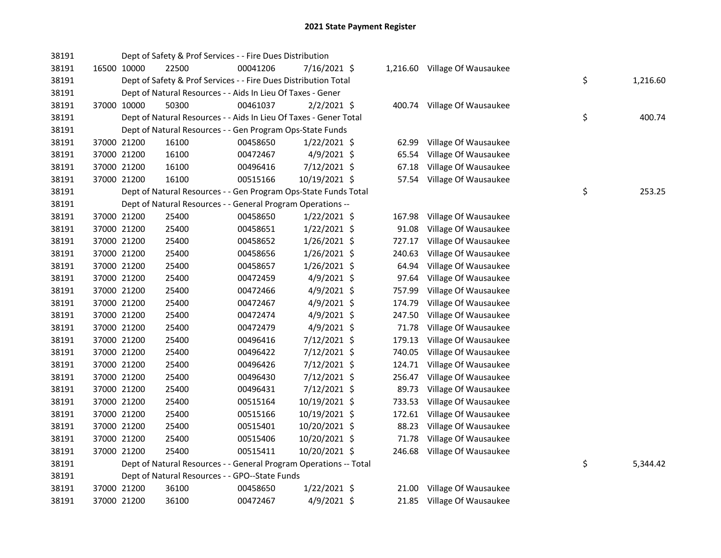| 38191 |             |             | Dept of Safety & Prof Services - - Fire Dues Distribution         |          |                |        |                               |    |          |
|-------|-------------|-------------|-------------------------------------------------------------------|----------|----------------|--------|-------------------------------|----|----------|
| 38191 |             | 16500 10000 | 22500                                                             | 00041206 | 7/16/2021 \$   |        | 1,216.60 Village Of Wausaukee |    |          |
| 38191 |             |             | Dept of Safety & Prof Services - - Fire Dues Distribution Total   |          |                |        |                               | \$ | 1,216.60 |
| 38191 |             |             | Dept of Natural Resources - - Aids In Lieu Of Taxes - Gener       |          |                |        |                               |    |          |
| 38191 |             | 37000 10000 | 50300                                                             | 00461037 | $2/2/2021$ \$  |        | 400.74 Village Of Wausaukee   |    |          |
| 38191 |             |             | Dept of Natural Resources - - Aids In Lieu Of Taxes - Gener Total |          |                |        |                               | \$ | 400.74   |
| 38191 |             |             | Dept of Natural Resources - - Gen Program Ops-State Funds         |          |                |        |                               |    |          |
| 38191 |             | 37000 21200 | 16100                                                             | 00458650 | $1/22/2021$ \$ | 62.99  | Village Of Wausaukee          |    |          |
| 38191 |             | 37000 21200 | 16100                                                             | 00472467 | 4/9/2021 \$    | 65.54  | Village Of Wausaukee          |    |          |
| 38191 |             | 37000 21200 | 16100                                                             | 00496416 | 7/12/2021 \$   | 67.18  | Village Of Wausaukee          |    |          |
| 38191 |             | 37000 21200 | 16100                                                             | 00515166 | 10/19/2021 \$  | 57.54  | Village Of Wausaukee          |    |          |
| 38191 |             |             | Dept of Natural Resources - - Gen Program Ops-State Funds Total   |          |                |        |                               | \$ | 253.25   |
| 38191 |             |             | Dept of Natural Resources - - General Program Operations --       |          |                |        |                               |    |          |
| 38191 |             | 37000 21200 | 25400                                                             | 00458650 | $1/22/2021$ \$ | 167.98 | Village Of Wausaukee          |    |          |
| 38191 |             | 37000 21200 | 25400                                                             | 00458651 | $1/22/2021$ \$ | 91.08  | Village Of Wausaukee          |    |          |
| 38191 |             | 37000 21200 | 25400                                                             | 00458652 | $1/26/2021$ \$ | 727.17 | Village Of Wausaukee          |    |          |
| 38191 |             | 37000 21200 | 25400                                                             | 00458656 | $1/26/2021$ \$ | 240.63 | Village Of Wausaukee          |    |          |
| 38191 |             | 37000 21200 | 25400                                                             | 00458657 | $1/26/2021$ \$ | 64.94  | Village Of Wausaukee          |    |          |
| 38191 |             | 37000 21200 | 25400                                                             | 00472459 | $4/9/2021$ \$  | 97.64  | Village Of Wausaukee          |    |          |
| 38191 |             | 37000 21200 | 25400                                                             | 00472466 | $4/9/2021$ \$  | 757.99 | Village Of Wausaukee          |    |          |
| 38191 |             | 37000 21200 | 25400                                                             | 00472467 | 4/9/2021 \$    | 174.79 | Village Of Wausaukee          |    |          |
| 38191 |             | 37000 21200 | 25400                                                             | 00472474 | 4/9/2021 \$    | 247.50 | Village Of Wausaukee          |    |          |
| 38191 |             | 37000 21200 | 25400                                                             | 00472479 | $4/9/2021$ \$  | 71.78  | Village Of Wausaukee          |    |          |
| 38191 |             | 37000 21200 | 25400                                                             | 00496416 | 7/12/2021 \$   | 179.13 | Village Of Wausaukee          |    |          |
| 38191 |             | 37000 21200 | 25400                                                             | 00496422 | 7/12/2021 \$   | 740.05 | Village Of Wausaukee          |    |          |
| 38191 |             | 37000 21200 | 25400                                                             | 00496426 | 7/12/2021 \$   | 124.71 | Village Of Wausaukee          |    |          |
| 38191 |             | 37000 21200 | 25400                                                             | 00496430 | 7/12/2021 \$   | 256.47 | Village Of Wausaukee          |    |          |
| 38191 |             | 37000 21200 | 25400                                                             | 00496431 | 7/12/2021 \$   | 89.73  | Village Of Wausaukee          |    |          |
| 38191 |             | 37000 21200 | 25400                                                             | 00515164 | 10/19/2021 \$  | 733.53 | Village Of Wausaukee          |    |          |
| 38191 |             | 37000 21200 | 25400                                                             | 00515166 | 10/19/2021 \$  | 172.61 | Village Of Wausaukee          |    |          |
| 38191 |             | 37000 21200 | 25400                                                             | 00515401 | 10/20/2021 \$  | 88.23  | Village Of Wausaukee          |    |          |
| 38191 | 37000 21200 |             | 25400                                                             | 00515406 | 10/20/2021 \$  | 71.78  | Village Of Wausaukee          |    |          |
| 38191 | 37000 21200 |             | 25400                                                             | 00515411 | 10/20/2021 \$  | 246.68 | Village Of Wausaukee          |    |          |
| 38191 |             |             | Dept of Natural Resources - - General Program Operations -- Total |          |                |        |                               | \$ | 5,344.42 |
| 38191 |             |             | Dept of Natural Resources - - GPO--State Funds                    |          |                |        |                               |    |          |
| 38191 |             | 37000 21200 | 36100                                                             | 00458650 | $1/22/2021$ \$ | 21.00  | Village Of Wausaukee          |    |          |
| 38191 |             | 37000 21200 | 36100                                                             | 00472467 | 4/9/2021 \$    |        | 21.85 Village Of Wausaukee    |    |          |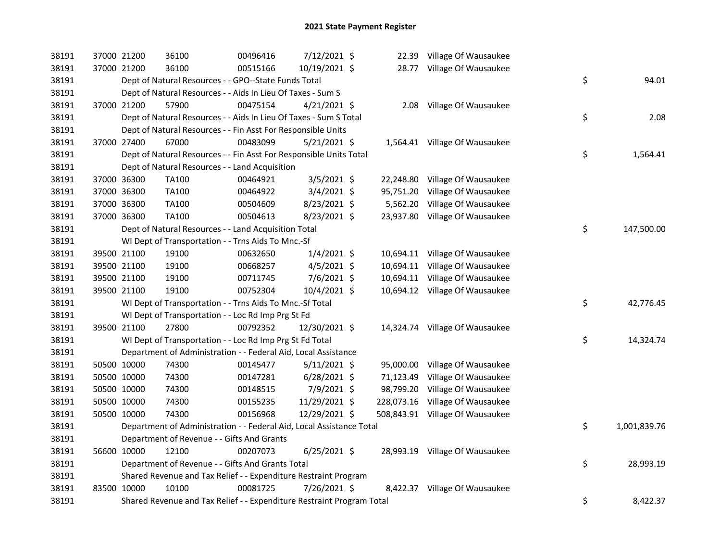| 38191 | 37000 21200 | 36100                                                                 | 00496416 | 7/12/2021 \$   |  | 22.39 Village Of Wausaukee      |    |              |
|-------|-------------|-----------------------------------------------------------------------|----------|----------------|--|---------------------------------|----|--------------|
| 38191 | 37000 21200 | 36100                                                                 | 00515166 | 10/19/2021 \$  |  | 28.77 Village Of Wausaukee      |    |              |
| 38191 |             | Dept of Natural Resources - - GPO--State Funds Total                  |          |                |  |                                 | \$ | 94.01        |
| 38191 |             | Dept of Natural Resources - - Aids In Lieu Of Taxes - Sum S           |          |                |  |                                 |    |              |
| 38191 | 37000 21200 | 57900                                                                 | 00475154 | $4/21/2021$ \$ |  | 2.08 Village Of Wausaukee       |    |              |
| 38191 |             | Dept of Natural Resources - - Aids In Lieu Of Taxes - Sum S Total     |          |                |  |                                 | \$ | 2.08         |
| 38191 |             | Dept of Natural Resources - - Fin Asst For Responsible Units          |          |                |  |                                 |    |              |
| 38191 | 37000 27400 | 67000                                                                 | 00483099 | $5/21/2021$ \$ |  | 1,564.41 Village Of Wausaukee   |    |              |
| 38191 |             | Dept of Natural Resources - - Fin Asst For Responsible Units Total    |          |                |  |                                 | \$ | 1,564.41     |
| 38191 |             | Dept of Natural Resources - - Land Acquisition                        |          |                |  |                                 |    |              |
| 38191 | 37000 36300 | TA100                                                                 | 00464921 | $3/5/2021$ \$  |  | 22,248.80 Village Of Wausaukee  |    |              |
| 38191 | 37000 36300 | <b>TA100</b>                                                          | 00464922 | 3/4/2021 \$    |  | 95,751.20 Village Of Wausaukee  |    |              |
| 38191 | 37000 36300 | TA100                                                                 | 00504609 | 8/23/2021 \$   |  | 5,562.20 Village Of Wausaukee   |    |              |
| 38191 | 37000 36300 | <b>TA100</b>                                                          | 00504613 | 8/23/2021 \$   |  | 23,937.80 Village Of Wausaukee  |    |              |
| 38191 |             | Dept of Natural Resources - - Land Acquisition Total                  |          |                |  |                                 | \$ | 147,500.00   |
| 38191 |             | WI Dept of Transportation - - Trns Aids To Mnc.-Sf                    |          |                |  |                                 |    |              |
| 38191 | 39500 21100 | 19100                                                                 | 00632650 | $1/4/2021$ \$  |  | 10,694.11 Village Of Wausaukee  |    |              |
| 38191 | 39500 21100 | 19100                                                                 | 00668257 | $4/5/2021$ \$  |  | 10,694.11 Village Of Wausaukee  |    |              |
| 38191 | 39500 21100 | 19100                                                                 | 00711745 | 7/6/2021 \$    |  | 10,694.11 Village Of Wausaukee  |    |              |
| 38191 | 39500 21100 | 19100                                                                 | 00752304 | 10/4/2021 \$   |  | 10,694.12 Village Of Wausaukee  |    |              |
| 38191 |             | WI Dept of Transportation - - Trns Aids To Mnc.-Sf Total              |          |                |  |                                 | \$ | 42,776.45    |
| 38191 |             | WI Dept of Transportation - - Loc Rd Imp Prg St Fd                    |          |                |  |                                 |    |              |
| 38191 | 39500 21100 | 27800                                                                 | 00792352 | 12/30/2021 \$  |  | 14,324.74 Village Of Wausaukee  |    |              |
| 38191 |             | WI Dept of Transportation - - Loc Rd Imp Prg St Fd Total              |          |                |  |                                 | \$ | 14,324.74    |
| 38191 |             | Department of Administration - - Federal Aid, Local Assistance        |          |                |  |                                 |    |              |
| 38191 | 50500 10000 | 74300                                                                 | 00145477 | $5/11/2021$ \$ |  | 95,000.00 Village Of Wausaukee  |    |              |
| 38191 | 50500 10000 | 74300                                                                 | 00147281 | $6/28/2021$ \$ |  | 71,123.49 Village Of Wausaukee  |    |              |
| 38191 | 50500 10000 | 74300                                                                 | 00148515 | 7/9/2021 \$    |  | 98,799.20 Village Of Wausaukee  |    |              |
| 38191 | 50500 10000 | 74300                                                                 | 00155235 | 11/29/2021 \$  |  | 228,073.16 Village Of Wausaukee |    |              |
| 38191 | 50500 10000 | 74300                                                                 | 00156968 | 12/29/2021 \$  |  | 508,843.91 Village Of Wausaukee |    |              |
| 38191 |             | Department of Administration - - Federal Aid, Local Assistance Total  |          |                |  |                                 | \$ | 1,001,839.76 |
| 38191 |             | Department of Revenue - - Gifts And Grants                            |          |                |  |                                 |    |              |
| 38191 | 56600 10000 | 12100                                                                 | 00207073 | $6/25/2021$ \$ |  | 28,993.19 Village Of Wausaukee  |    |              |
| 38191 |             | Department of Revenue - - Gifts And Grants Total                      |          |                |  |                                 | \$ | 28,993.19    |
| 38191 |             | Shared Revenue and Tax Relief - - Expenditure Restraint Program       |          |                |  |                                 |    |              |
| 38191 | 83500 10000 | 10100                                                                 | 00081725 | 7/26/2021 \$   |  | 8,422.37 Village Of Wausaukee   |    |              |
| 38191 |             | Shared Revenue and Tax Relief - - Expenditure Restraint Program Total |          |                |  |                                 | \$ | 8,422.37     |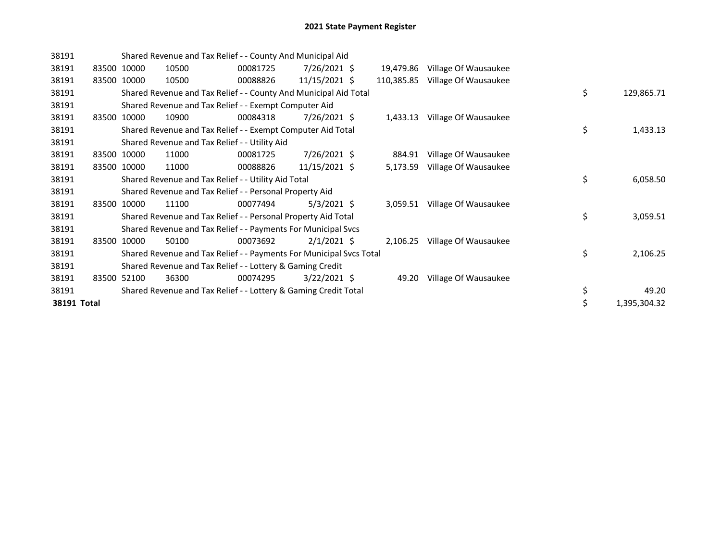| 38191       |       |             |       | Shared Revenue and Tax Relief - - County And Municipal Aid          |                 |            |                      |    |              |
|-------------|-------|-------------|-------|---------------------------------------------------------------------|-----------------|------------|----------------------|----|--------------|
| 38191       |       | 83500 10000 | 10500 | 00081725                                                            | 7/26/2021 \$    | 19,479.86  | Village Of Wausaukee |    |              |
| 38191       |       | 83500 10000 | 10500 | 00088826                                                            | 11/15/2021 \$   | 110,385.85 | Village Of Wausaukee |    |              |
| 38191       |       |             |       | Shared Revenue and Tax Relief - - County And Municipal Aid Total    |                 |            |                      | \$ | 129,865.71   |
| 38191       |       |             |       | Shared Revenue and Tax Relief - - Exempt Computer Aid               |                 |            |                      |    |              |
| 38191       | 83500 | 10000       | 10900 | 00084318                                                            | 7/26/2021 \$    | 1,433.13   | Village Of Wausaukee |    |              |
| 38191       |       |             |       | Shared Revenue and Tax Relief - - Exempt Computer Aid Total         |                 |            |                      | \$ | 1,433.13     |
| 38191       |       |             |       | Shared Revenue and Tax Relief - - Utility Aid                       |                 |            |                      |    |              |
| 38191       |       | 83500 10000 | 11000 | 00081725                                                            | 7/26/2021 \$    | 884.91     | Village Of Wausaukee |    |              |
| 38191       |       | 83500 10000 | 11000 | 00088826                                                            | $11/15/2021$ \$ | 5,173.59   | Village Of Wausaukee |    |              |
| 38191       |       |             |       | Shared Revenue and Tax Relief - - Utility Aid Total                 |                 |            |                      | \$ | 6,058.50     |
| 38191       |       |             |       | Shared Revenue and Tax Relief - - Personal Property Aid             |                 |            |                      |    |              |
| 38191       | 83500 | 10000       | 11100 | 00077494                                                            | $5/3/2021$ \$   | 3,059.51   | Village Of Wausaukee |    |              |
| 38191       |       |             |       | Shared Revenue and Tax Relief - - Personal Property Aid Total       |                 |            |                      | \$ | 3,059.51     |
| 38191       |       |             |       | Shared Revenue and Tax Relief - - Payments For Municipal Svcs       |                 |            |                      |    |              |
| 38191       | 83500 | 10000       | 50100 | 00073692                                                            | $2/1/2021$ \$   | 2,106.25   | Village Of Wausaukee |    |              |
| 38191       |       |             |       | Shared Revenue and Tax Relief - - Payments For Municipal Svcs Total |                 |            |                      | \$ | 2,106.25     |
| 38191       |       |             |       | Shared Revenue and Tax Relief - - Lottery & Gaming Credit           |                 |            |                      |    |              |
| 38191       |       | 83500 52100 | 36300 | 00074295                                                            | $3/22/2021$ \$  | 49.20      | Village Of Wausaukee |    |              |
| 38191       |       |             |       | Shared Revenue and Tax Relief - - Lottery & Gaming Credit Total     |                 |            |                      | \$ | 49.20        |
| 38191 Total |       |             |       |                                                                     |                 |            |                      | \$ | 1,395,304.32 |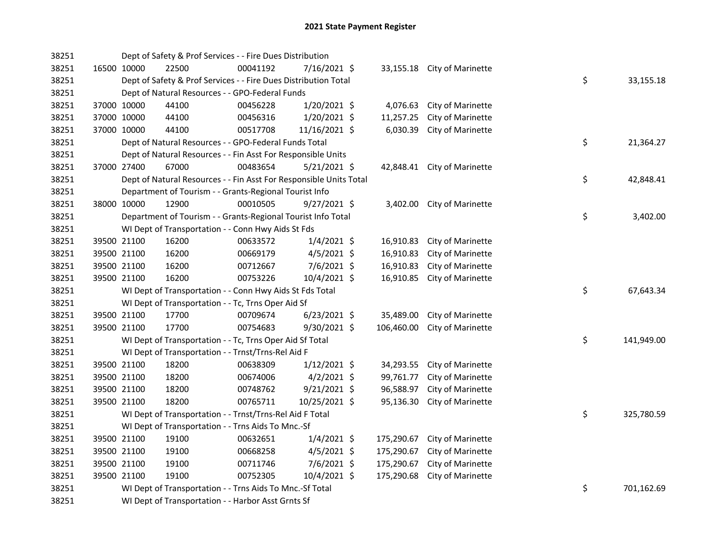| 38251 |             | Dept of Safety & Prof Services - - Fire Dues Distribution          |          |                |            |                             |    |            |
|-------|-------------|--------------------------------------------------------------------|----------|----------------|------------|-----------------------------|----|------------|
| 38251 | 16500 10000 | 22500                                                              | 00041192 | 7/16/2021 \$   |            | 33,155.18 City of Marinette |    |            |
| 38251 |             | Dept of Safety & Prof Services - - Fire Dues Distribution Total    |          |                |            |                             | \$ | 33,155.18  |
| 38251 |             | Dept of Natural Resources - - GPO-Federal Funds                    |          |                |            |                             |    |            |
| 38251 | 37000 10000 | 44100                                                              | 00456228 | $1/20/2021$ \$ | 4,076.63   | City of Marinette           |    |            |
| 38251 | 37000 10000 | 44100                                                              | 00456316 | $1/20/2021$ \$ | 11,257.25  | City of Marinette           |    |            |
| 38251 | 37000 10000 | 44100                                                              | 00517708 | 11/16/2021 \$  | 6,030.39   | City of Marinette           |    |            |
| 38251 |             | Dept of Natural Resources - - GPO-Federal Funds Total              |          |                |            |                             | \$ | 21,364.27  |
| 38251 |             | Dept of Natural Resources - - Fin Asst For Responsible Units       |          |                |            |                             |    |            |
| 38251 | 37000 27400 | 67000                                                              | 00483654 | $5/21/2021$ \$ |            | 42,848.41 City of Marinette |    |            |
| 38251 |             | Dept of Natural Resources - - Fin Asst For Responsible Units Total |          |                |            |                             | \$ | 42,848.41  |
| 38251 |             | Department of Tourism - - Grants-Regional Tourist Info             |          |                |            |                             |    |            |
| 38251 | 38000 10000 | 12900                                                              | 00010505 | $9/27/2021$ \$ |            | 3,402.00 City of Marinette  |    |            |
| 38251 |             | Department of Tourism - - Grants-Regional Tourist Info Total       |          |                |            |                             | \$ | 3,402.00   |
| 38251 |             | WI Dept of Transportation - - Conn Hwy Aids St Fds                 |          |                |            |                             |    |            |
| 38251 | 39500 21100 | 16200                                                              | 00633572 | $1/4/2021$ \$  | 16,910.83  | City of Marinette           |    |            |
| 38251 | 39500 21100 | 16200                                                              | 00669179 | $4/5/2021$ \$  | 16,910.83  | City of Marinette           |    |            |
| 38251 | 39500 21100 | 16200                                                              | 00712667 | 7/6/2021 \$    | 16,910.83  | City of Marinette           |    |            |
| 38251 | 39500 21100 | 16200                                                              | 00753226 | 10/4/2021 \$   | 16,910.85  | City of Marinette           |    |            |
| 38251 |             | WI Dept of Transportation - - Conn Hwy Aids St Fds Total           |          |                |            |                             | \$ | 67,643.34  |
| 38251 |             | WI Dept of Transportation - - Tc, Trns Oper Aid Sf                 |          |                |            |                             |    |            |
| 38251 | 39500 21100 | 17700                                                              | 00709674 | $6/23/2021$ \$ | 35,489.00  | City of Marinette           |    |            |
| 38251 | 39500 21100 | 17700                                                              | 00754683 | 9/30/2021 \$   | 106,460.00 | City of Marinette           |    |            |
| 38251 |             | WI Dept of Transportation - - Tc, Trns Oper Aid Sf Total           |          |                |            |                             | \$ | 141,949.00 |
| 38251 |             | WI Dept of Transportation - - Trnst/Trns-Rel Aid F                 |          |                |            |                             |    |            |
| 38251 | 39500 21100 | 18200                                                              | 00638309 | $1/12/2021$ \$ | 34,293.55  | City of Marinette           |    |            |
| 38251 | 39500 21100 | 18200                                                              | 00674006 | $4/2/2021$ \$  | 99,761.77  | City of Marinette           |    |            |
| 38251 | 39500 21100 | 18200                                                              | 00748762 | $9/21/2021$ \$ | 96,588.97  | City of Marinette           |    |            |
| 38251 | 39500 21100 | 18200                                                              | 00765711 | 10/25/2021 \$  | 95,136.30  | City of Marinette           |    |            |
| 38251 |             | WI Dept of Transportation - - Trnst/Trns-Rel Aid F Total           |          |                |            |                             | \$ | 325,780.59 |
| 38251 |             | WI Dept of Transportation - - Trns Aids To Mnc.-Sf                 |          |                |            |                             |    |            |
| 38251 | 39500 21100 | 19100                                                              | 00632651 | $1/4/2021$ \$  | 175,290.67 | City of Marinette           |    |            |
| 38251 | 39500 21100 | 19100                                                              | 00668258 | $4/5/2021$ \$  | 175,290.67 | City of Marinette           |    |            |
| 38251 | 39500 21100 | 19100                                                              | 00711746 | 7/6/2021 \$    | 175,290.67 | City of Marinette           |    |            |
| 38251 | 39500 21100 | 19100                                                              | 00752305 | 10/4/2021 \$   | 175,290.68 | City of Marinette           |    |            |
| 38251 |             | WI Dept of Transportation - - Trns Aids To Mnc.-Sf Total           |          |                |            |                             | \$ | 701,162.69 |
| 38251 |             | WI Dept of Transportation - - Harbor Asst Grnts Sf                 |          |                |            |                             |    |            |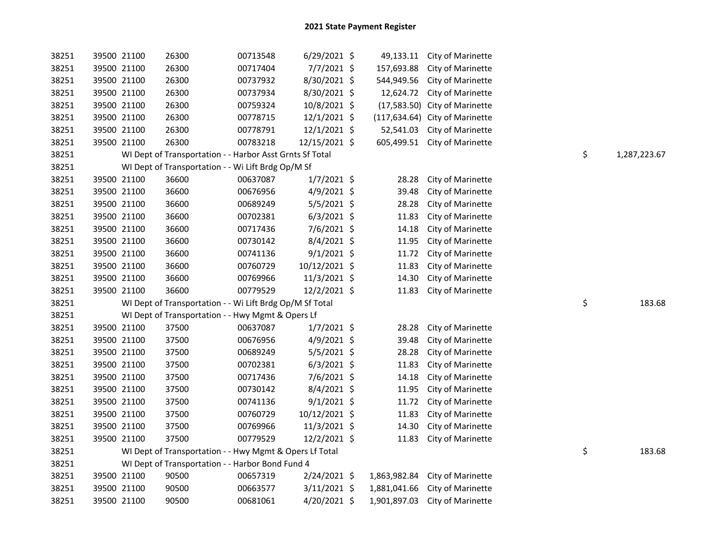| 38251 |             | 39500 21100 | 26300                                                    | 00713548 | $6/29/2021$ \$ |              | 49,133.11 City of Marinette    |    |              |
|-------|-------------|-------------|----------------------------------------------------------|----------|----------------|--------------|--------------------------------|----|--------------|
| 38251 | 39500 21100 |             | 26300                                                    | 00717404 | 7/7/2021 \$    | 157,693.88   | City of Marinette              |    |              |
| 38251 | 39500 21100 |             | 26300                                                    | 00737932 | 8/30/2021 \$   | 544,949.56   | City of Marinette              |    |              |
| 38251 | 39500 21100 |             | 26300                                                    | 00737934 | 8/30/2021 \$   |              | 12,624.72 City of Marinette    |    |              |
| 38251 | 39500 21100 |             | 26300                                                    | 00759324 | 10/8/2021 \$   |              | (17,583.50) City of Marinette  |    |              |
| 38251 | 39500 21100 |             | 26300                                                    | 00778715 | 12/1/2021 \$   |              | (117,634.64) City of Marinette |    |              |
| 38251 | 39500 21100 |             | 26300                                                    | 00778791 | 12/1/2021 \$   | 52,541.03    | City of Marinette              |    |              |
| 38251 |             | 39500 21100 | 26300                                                    | 00783218 | 12/15/2021 \$  |              | 605,499.51 City of Marinette   |    |              |
| 38251 |             |             | WI Dept of Transportation - - Harbor Asst Grnts Sf Total |          |                |              |                                | \$ | 1,287,223.67 |
| 38251 |             |             | WI Dept of Transportation - - Wi Lift Brdg Op/M Sf       |          |                |              |                                |    |              |
| 38251 | 39500 21100 |             | 36600                                                    | 00637087 | $1/7/2021$ \$  | 28.28        | City of Marinette              |    |              |
| 38251 |             | 39500 21100 | 36600                                                    | 00676956 | 4/9/2021 \$    | 39.48        | City of Marinette              |    |              |
| 38251 | 39500 21100 |             | 36600                                                    | 00689249 | 5/5/2021 \$    | 28.28        | City of Marinette              |    |              |
| 38251 |             | 39500 21100 | 36600                                                    | 00702381 | $6/3/2021$ \$  | 11.83        | City of Marinette              |    |              |
| 38251 |             | 39500 21100 | 36600                                                    | 00717436 | 7/6/2021 \$    | 14.18        | City of Marinette              |    |              |
| 38251 | 39500 21100 |             | 36600                                                    | 00730142 | 8/4/2021 \$    | 11.95        | City of Marinette              |    |              |
| 38251 | 39500 21100 |             | 36600                                                    | 00741136 | $9/1/2021$ \$  | 11.72        | City of Marinette              |    |              |
| 38251 | 39500 21100 |             | 36600                                                    | 00760729 | 10/12/2021 \$  | 11.83        | City of Marinette              |    |              |
| 38251 | 39500 21100 |             | 36600                                                    | 00769966 | 11/3/2021 \$   | 14.30        | City of Marinette              |    |              |
| 38251 |             | 39500 21100 | 36600                                                    | 00779529 | 12/2/2021 \$   | 11.83        | City of Marinette              |    |              |
| 38251 |             |             | WI Dept of Transportation - - Wi Lift Brdg Op/M Sf Total |          |                |              |                                | \$ | 183.68       |
| 38251 |             |             | WI Dept of Transportation - - Hwy Mgmt & Opers Lf        |          |                |              |                                |    |              |
| 38251 | 39500 21100 |             | 37500                                                    | 00637087 | $1/7/2021$ \$  | 28.28        | City of Marinette              |    |              |
| 38251 | 39500 21100 |             | 37500                                                    | 00676956 | 4/9/2021 \$    | 39.48        | City of Marinette              |    |              |
| 38251 | 39500 21100 |             | 37500                                                    | 00689249 | 5/5/2021 \$    | 28.28        | City of Marinette              |    |              |
| 38251 | 39500 21100 |             | 37500                                                    | 00702381 | $6/3/2021$ \$  | 11.83        | City of Marinette              |    |              |
| 38251 | 39500 21100 |             | 37500                                                    | 00717436 | 7/6/2021 \$    | 14.18        | City of Marinette              |    |              |
| 38251 | 39500 21100 |             | 37500                                                    | 00730142 | 8/4/2021 \$    | 11.95        | City of Marinette              |    |              |
| 38251 | 39500 21100 |             | 37500                                                    | 00741136 | $9/1/2021$ \$  | 11.72        | City of Marinette              |    |              |
| 38251 | 39500 21100 |             | 37500                                                    | 00760729 | 10/12/2021 \$  | 11.83        | City of Marinette              |    |              |
| 38251 | 39500 21100 |             | 37500                                                    | 00769966 | 11/3/2021 \$   | 14.30        | City of Marinette              |    |              |
| 38251 | 39500 21100 |             | 37500                                                    | 00779529 | 12/2/2021 \$   | 11.83        | City of Marinette              |    |              |
| 38251 |             |             | WI Dept of Transportation - - Hwy Mgmt & Opers Lf Total  |          |                |              |                                | \$ | 183.68       |
| 38251 |             |             | WI Dept of Transportation - - Harbor Bond Fund 4         |          |                |              |                                |    |              |
| 38251 | 39500 21100 |             | 90500                                                    | 00657319 | 2/24/2021 \$   | 1,863,982.84 | City of Marinette              |    |              |
| 38251 |             | 39500 21100 | 90500                                                    | 00663577 | 3/11/2021 \$   | 1,881,041.66 | City of Marinette              |    |              |
| 38251 | 39500 21100 |             | 90500                                                    | 00681061 | 4/20/2021 \$   | 1,901,897.03 | City of Marinette              |    |              |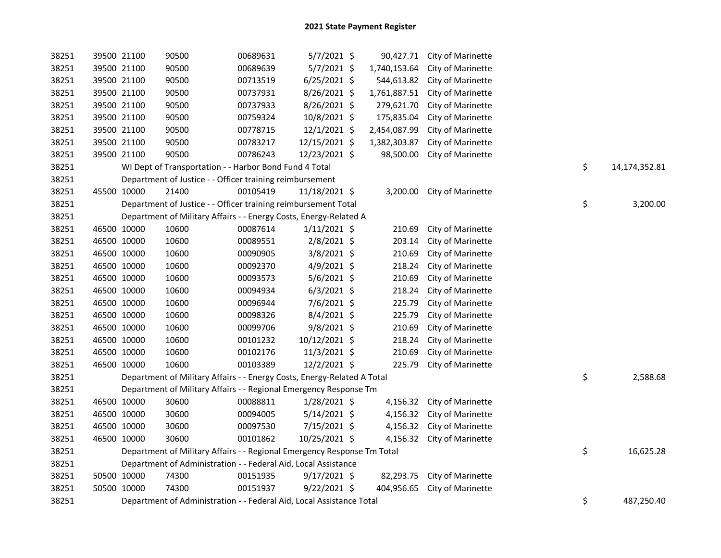| 38251 | 39500 21100 | 90500                                                                   | 00689631 | 5/7/2021 \$    | 90,427.71    | City of Marinette            |    |               |
|-------|-------------|-------------------------------------------------------------------------|----------|----------------|--------------|------------------------------|----|---------------|
| 38251 | 39500 21100 | 90500                                                                   | 00689639 | 5/7/2021 \$    | 1,740,153.64 | City of Marinette            |    |               |
| 38251 | 39500 21100 | 90500                                                                   | 00713519 | 6/25/2021 \$   | 544,613.82   | City of Marinette            |    |               |
| 38251 | 39500 21100 | 90500                                                                   | 00737931 | 8/26/2021 \$   | 1,761,887.51 | City of Marinette            |    |               |
| 38251 | 39500 21100 | 90500                                                                   | 00737933 | 8/26/2021 \$   | 279,621.70   | City of Marinette            |    |               |
| 38251 | 39500 21100 | 90500                                                                   | 00759324 | 10/8/2021 \$   | 175,835.04   | City of Marinette            |    |               |
| 38251 | 39500 21100 | 90500                                                                   | 00778715 | $12/1/2021$ \$ | 2,454,087.99 | City of Marinette            |    |               |
| 38251 | 39500 21100 | 90500                                                                   | 00783217 | 12/15/2021 \$  | 1,382,303.87 | City of Marinette            |    |               |
| 38251 | 39500 21100 | 90500                                                                   | 00786243 | 12/23/2021 \$  | 98,500.00    | City of Marinette            |    |               |
| 38251 |             | WI Dept of Transportation - - Harbor Bond Fund 4 Total                  |          |                |              |                              | \$ | 14,174,352.81 |
| 38251 |             | Department of Justice - - Officer training reimbursement                |          |                |              |                              |    |               |
| 38251 | 45500 10000 | 21400                                                                   | 00105419 | 11/18/2021 \$  |              | 3,200.00 City of Marinette   |    |               |
| 38251 |             | Department of Justice - - Officer training reimbursement Total          |          |                |              |                              | \$ | 3,200.00      |
| 38251 |             | Department of Military Affairs - - Energy Costs, Energy-Related A       |          |                |              |                              |    |               |
| 38251 | 46500 10000 | 10600                                                                   | 00087614 | $1/11/2021$ \$ | 210.69       | City of Marinette            |    |               |
| 38251 | 46500 10000 | 10600                                                                   | 00089551 | 2/8/2021 \$    | 203.14       | City of Marinette            |    |               |
| 38251 | 46500 10000 | 10600                                                                   | 00090905 | 3/8/2021 \$    | 210.69       | City of Marinette            |    |               |
| 38251 | 46500 10000 | 10600                                                                   | 00092370 | 4/9/2021 \$    | 218.24       | City of Marinette            |    |               |
| 38251 | 46500 10000 | 10600                                                                   | 00093573 | 5/6/2021 \$    | 210.69       | City of Marinette            |    |               |
| 38251 | 46500 10000 | 10600                                                                   | 00094934 | $6/3/2021$ \$  | 218.24       | City of Marinette            |    |               |
| 38251 | 46500 10000 | 10600                                                                   | 00096944 | 7/6/2021 \$    | 225.79       | City of Marinette            |    |               |
| 38251 | 46500 10000 | 10600                                                                   | 00098326 | $8/4/2021$ \$  | 225.79       | City of Marinette            |    |               |
| 38251 | 46500 10000 | 10600                                                                   | 00099706 | 9/8/2021 \$    | 210.69       | City of Marinette            |    |               |
| 38251 | 46500 10000 | 10600                                                                   | 00101232 | 10/12/2021 \$  | 218.24       | City of Marinette            |    |               |
| 38251 | 46500 10000 | 10600                                                                   | 00102176 | 11/3/2021 \$   | 210.69       | City of Marinette            |    |               |
| 38251 | 46500 10000 | 10600                                                                   | 00103389 | 12/2/2021 \$   | 225.79       | City of Marinette            |    |               |
| 38251 |             | Department of Military Affairs - - Energy Costs, Energy-Related A Total |          |                |              |                              | \$ | 2,588.68      |
| 38251 |             | Department of Military Affairs - - Regional Emergency Response Tm       |          |                |              |                              |    |               |
| 38251 | 46500 10000 | 30600                                                                   | 00088811 | 1/28/2021 \$   |              | 4,156.32 City of Marinette   |    |               |
| 38251 | 46500 10000 | 30600                                                                   | 00094005 | $5/14/2021$ \$ |              | 4,156.32 City of Marinette   |    |               |
| 38251 | 46500 10000 | 30600                                                                   | 00097530 | 7/15/2021 \$   |              | 4,156.32 City of Marinette   |    |               |
| 38251 | 46500 10000 | 30600                                                                   | 00101862 | 10/25/2021 \$  |              | 4,156.32 City of Marinette   |    |               |
| 38251 |             | Department of Military Affairs - - Regional Emergency Response Tm Total |          |                |              |                              | \$ | 16,625.28     |
| 38251 |             | Department of Administration - - Federal Aid, Local Assistance          |          |                |              |                              |    |               |
| 38251 | 50500 10000 | 74300                                                                   | 00151935 | 9/17/2021 \$   |              | 82,293.75 City of Marinette  |    |               |
| 38251 | 50500 10000 | 74300                                                                   | 00151937 | $9/22/2021$ \$ |              | 404,956.65 City of Marinette |    |               |
| 38251 |             | Department of Administration - - Federal Aid, Local Assistance Total    |          |                |              |                              | \$ | 487,250.40    |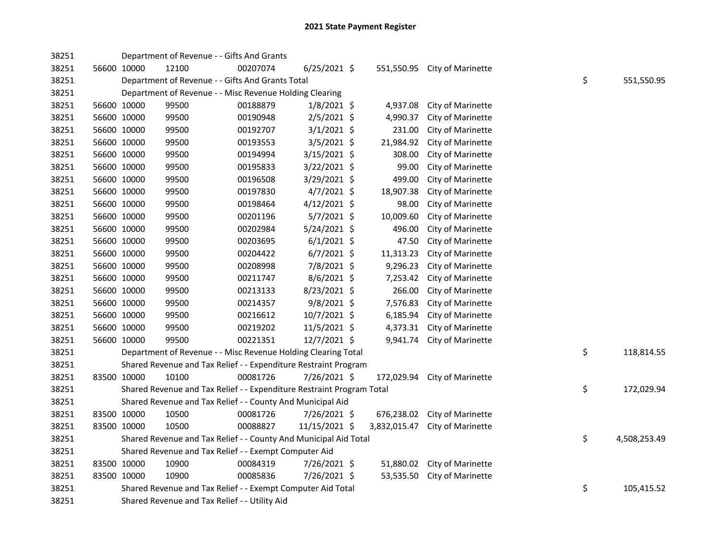| 38251 |             | Department of Revenue - - Gifts And Grants                            |          |                |              |                   |    |              |
|-------|-------------|-----------------------------------------------------------------------|----------|----------------|--------------|-------------------|----|--------------|
| 38251 | 56600 10000 | 12100                                                                 | 00207074 | $6/25/2021$ \$ | 551,550.95   | City of Marinette |    |              |
| 38251 |             | Department of Revenue - - Gifts And Grants Total                      |          |                |              |                   | \$ | 551,550.95   |
| 38251 |             | Department of Revenue - - Misc Revenue Holding Clearing               |          |                |              |                   |    |              |
| 38251 | 56600 10000 | 99500                                                                 | 00188879 | $1/8/2021$ \$  | 4,937.08     | City of Marinette |    |              |
| 38251 | 56600 10000 | 99500                                                                 | 00190948 | $2/5/2021$ \$  | 4,990.37     | City of Marinette |    |              |
| 38251 | 56600 10000 | 99500                                                                 | 00192707 | $3/1/2021$ \$  | 231.00       | City of Marinette |    |              |
| 38251 | 56600 10000 | 99500                                                                 | 00193553 | $3/5/2021$ \$  | 21,984.92    | City of Marinette |    |              |
| 38251 | 56600 10000 | 99500                                                                 | 00194994 | 3/15/2021 \$   | 308.00       | City of Marinette |    |              |
| 38251 | 56600 10000 | 99500                                                                 | 00195833 | 3/22/2021 \$   | 99.00        | City of Marinette |    |              |
| 38251 | 56600 10000 | 99500                                                                 | 00196508 | $3/29/2021$ \$ | 499.00       | City of Marinette |    |              |
| 38251 | 56600 10000 | 99500                                                                 | 00197830 | $4/7/2021$ \$  | 18,907.38    | City of Marinette |    |              |
| 38251 | 56600 10000 | 99500                                                                 | 00198464 | $4/12/2021$ \$ | 98.00        | City of Marinette |    |              |
| 38251 | 56600 10000 | 99500                                                                 | 00201196 | $5/7/2021$ \$  | 10,009.60    | City of Marinette |    |              |
| 38251 | 56600 10000 | 99500                                                                 | 00202984 | 5/24/2021 \$   | 496.00       | City of Marinette |    |              |
| 38251 | 56600 10000 | 99500                                                                 | 00203695 | $6/1/2021$ \$  | 47.50        | City of Marinette |    |              |
| 38251 | 56600 10000 | 99500                                                                 | 00204422 | $6/7/2021$ \$  | 11,313.23    | City of Marinette |    |              |
| 38251 | 56600 10000 | 99500                                                                 | 00208998 | 7/8/2021 \$    | 9,296.23     | City of Marinette |    |              |
| 38251 | 56600 10000 | 99500                                                                 | 00211747 | 8/6/2021 \$    | 7,253.42     | City of Marinette |    |              |
| 38251 | 56600 10000 | 99500                                                                 | 00213133 | 8/23/2021 \$   | 266.00       | City of Marinette |    |              |
| 38251 | 56600 10000 | 99500                                                                 | 00214357 | $9/8/2021$ \$  | 7,576.83     | City of Marinette |    |              |
| 38251 | 56600 10000 | 99500                                                                 | 00216612 | 10/7/2021 \$   | 6,185.94     | City of Marinette |    |              |
| 38251 | 56600 10000 | 99500                                                                 | 00219202 | 11/5/2021 \$   | 4,373.31     | City of Marinette |    |              |
| 38251 | 56600 10000 | 99500                                                                 | 00221351 | 12/7/2021 \$   | 9,941.74     | City of Marinette |    |              |
| 38251 |             | Department of Revenue - - Misc Revenue Holding Clearing Total         |          |                |              |                   | \$ | 118,814.55   |
| 38251 |             | Shared Revenue and Tax Relief - - Expenditure Restraint Program       |          |                |              |                   |    |              |
| 38251 | 83500 10000 | 10100                                                                 | 00081726 | 7/26/2021 \$   | 172,029.94   | City of Marinette |    |              |
| 38251 |             | Shared Revenue and Tax Relief - - Expenditure Restraint Program Total |          |                |              |                   | \$ | 172,029.94   |
| 38251 |             | Shared Revenue and Tax Relief - - County And Municipal Aid            |          |                |              |                   |    |              |
| 38251 | 83500 10000 | 10500                                                                 | 00081726 | 7/26/2021 \$   | 676,238.02   | City of Marinette |    |              |
| 38251 | 83500 10000 | 10500                                                                 | 00088827 | 11/15/2021 \$  | 3,832,015.47 | City of Marinette |    |              |
| 38251 |             | Shared Revenue and Tax Relief - - County And Municipal Aid Total      |          |                |              |                   | \$ | 4,508,253.49 |
| 38251 |             | Shared Revenue and Tax Relief - - Exempt Computer Aid                 |          |                |              |                   |    |              |
| 38251 | 83500 10000 | 10900                                                                 | 00084319 | 7/26/2021 \$   | 51,880.02    | City of Marinette |    |              |
| 38251 | 83500 10000 | 10900                                                                 | 00085836 | 7/26/2021 \$   | 53,535.50    | City of Marinette |    |              |
| 38251 |             | Shared Revenue and Tax Relief - - Exempt Computer Aid Total           |          |                |              |                   | \$ | 105,415.52   |
| 38251 |             | Shared Revenue and Tax Relief - - Utility Aid                         |          |                |              |                   |    |              |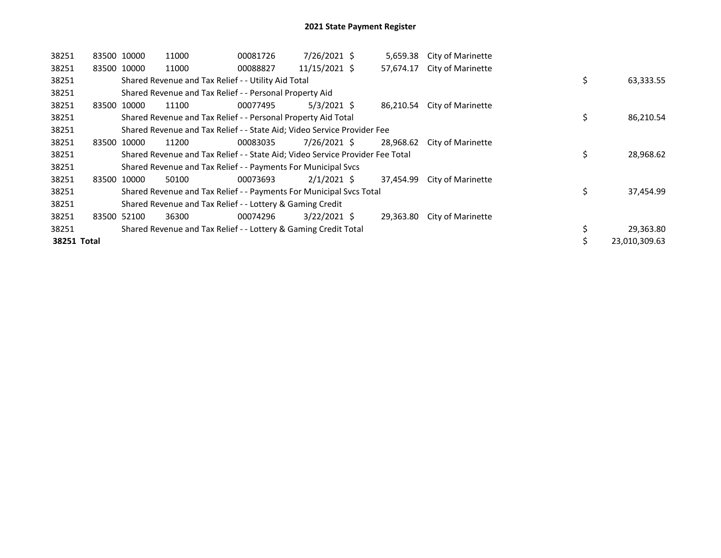| 38251       | 83500 10000 | 11000                                                                         | 00081726 | 7/26/2021 \$   | 5,659.38  | City of Marinette        |    |               |
|-------------|-------------|-------------------------------------------------------------------------------|----------|----------------|-----------|--------------------------|----|---------------|
| 38251       | 83500 10000 | 11000                                                                         | 00088827 | 11/15/2021 \$  | 57,674.17 | <b>City of Marinette</b> |    |               |
| 38251       |             | Shared Revenue and Tax Relief - - Utility Aid Total                           |          |                |           |                          | \$ | 63,333.55     |
| 38251       |             | Shared Revenue and Tax Relief - - Personal Property Aid                       |          |                |           |                          |    |               |
| 38251       | 83500 10000 | 11100                                                                         | 00077495 | $5/3/2021$ \$  | 86,210.54 | <b>City of Marinette</b> |    |               |
| 38251       |             | Shared Revenue and Tax Relief - - Personal Property Aid Total                 |          |                |           |                          | \$ | 86,210.54     |
| 38251       |             | Shared Revenue and Tax Relief - - State Aid; Video Service Provider Fee       |          |                |           |                          |    |               |
| 38251       | 83500 10000 | 11200                                                                         | 00083035 | 7/26/2021 \$   | 28,968.62 | City of Marinette        |    |               |
| 38251       |             | Shared Revenue and Tax Relief - - State Aid; Video Service Provider Fee Total |          |                |           |                          | \$ | 28,968.62     |
| 38251       |             | Shared Revenue and Tax Relief - - Payments For Municipal Svcs                 |          |                |           |                          |    |               |
| 38251       | 83500 10000 | 50100                                                                         | 00073693 | $2/1/2021$ \$  | 37,454.99 | City of Marinette        |    |               |
| 38251       |             | Shared Revenue and Tax Relief - - Payments For Municipal Svcs Total           |          |                |           |                          | \$ | 37,454.99     |
| 38251       |             | Shared Revenue and Tax Relief - - Lottery & Gaming Credit                     |          |                |           |                          |    |               |
| 38251       | 83500 52100 | 36300                                                                         | 00074296 | $3/22/2021$ \$ | 29,363.80 | City of Marinette        |    |               |
| 38251       |             | Shared Revenue and Tax Relief - - Lottery & Gaming Credit Total               |          |                |           |                          |    | 29,363.80     |
| 38251 Total |             |                                                                               |          |                |           |                          | Ś  | 23,010,309.63 |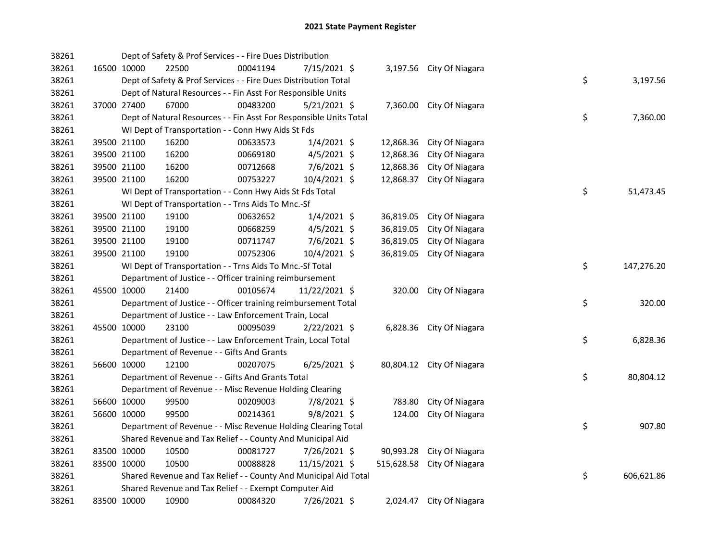| 38261 |             |                                                          | Dept of Safety & Prof Services - - Fire Dues Distribution          |          |                |  |           |                            |  |                  |
|-------|-------------|----------------------------------------------------------|--------------------------------------------------------------------|----------|----------------|--|-----------|----------------------------|--|------------------|
| 38261 |             | 16500 10000                                              | 22500                                                              | 00041194 | 7/15/2021 \$   |  |           | 3,197.56 City Of Niagara   |  |                  |
| 38261 |             |                                                          | Dept of Safety & Prof Services - - Fire Dues Distribution Total    |          |                |  |           |                            |  | \$<br>3,197.56   |
| 38261 |             |                                                          | Dept of Natural Resources - - Fin Asst For Responsible Units       |          |                |  |           |                            |  |                  |
| 38261 |             | 37000 27400                                              | 67000                                                              | 00483200 | $5/21/2021$ \$ |  |           | 7,360.00 City Of Niagara   |  |                  |
| 38261 |             |                                                          | Dept of Natural Resources - - Fin Asst For Responsible Units Total |          |                |  |           |                            |  | \$<br>7,360.00   |
| 38261 |             |                                                          | WI Dept of Transportation - - Conn Hwy Aids St Fds                 |          |                |  |           |                            |  |                  |
| 38261 |             | 39500 21100                                              | 16200                                                              | 00633573 | $1/4/2021$ \$  |  | 12,868.36 | City Of Niagara            |  |                  |
| 38261 |             | 39500 21100                                              | 16200                                                              | 00669180 | $4/5/2021$ \$  |  | 12,868.36 | City Of Niagara            |  |                  |
| 38261 |             | 39500 21100                                              | 16200                                                              | 00712668 | 7/6/2021 \$    |  | 12,868.36 | City Of Niagara            |  |                  |
| 38261 |             | 39500 21100                                              | 16200                                                              | 00753227 | 10/4/2021 \$   |  | 12,868.37 | City Of Niagara            |  |                  |
| 38261 |             |                                                          | WI Dept of Transportation - - Conn Hwy Aids St Fds Total           |          |                |  |           |                            |  | \$<br>51,473.45  |
| 38261 |             |                                                          | WI Dept of Transportation - - Trns Aids To Mnc.-Sf                 |          |                |  |           |                            |  |                  |
| 38261 |             | 39500 21100                                              | 19100                                                              | 00632652 | $1/4/2021$ \$  |  | 36,819.05 | City Of Niagara            |  |                  |
| 38261 |             | 39500 21100                                              | 19100                                                              | 00668259 | $4/5/2021$ \$  |  | 36,819.05 | City Of Niagara            |  |                  |
| 38261 |             | 39500 21100                                              | 19100                                                              | 00711747 | 7/6/2021 \$    |  | 36,819.05 | City Of Niagara            |  |                  |
| 38261 |             | 39500 21100                                              | 19100                                                              | 00752306 | 10/4/2021 \$   |  | 36,819.05 | City Of Niagara            |  |                  |
| 38261 |             | WI Dept of Transportation - - Trns Aids To Mnc.-Sf Total |                                                                    |          |                |  |           |                            |  | \$<br>147,276.20 |
| 38261 |             |                                                          | Department of Justice - - Officer training reimbursement           |          |                |  |           |                            |  |                  |
| 38261 |             | 45500 10000                                              | 21400                                                              | 00105674 | 11/22/2021 \$  |  | 320.00    | City Of Niagara            |  |                  |
| 38261 |             |                                                          | Department of Justice - - Officer training reimbursement Total     |          |                |  |           |                            |  | \$<br>320.00     |
| 38261 |             |                                                          | Department of Justice - - Law Enforcement Train, Local             |          |                |  |           |                            |  |                  |
| 38261 | 45500 10000 |                                                          | 23100                                                              | 00095039 | $2/22/2021$ \$ |  |           | 6,828.36 City Of Niagara   |  |                  |
| 38261 |             |                                                          | Department of Justice - - Law Enforcement Train, Local Total       |          |                |  |           |                            |  | \$<br>6,828.36   |
| 38261 |             |                                                          | Department of Revenue - - Gifts And Grants                         |          |                |  |           |                            |  |                  |
| 38261 |             | 56600 10000                                              | 12100                                                              | 00207075 | $6/25/2021$ \$ |  |           | 80,804.12 City Of Niagara  |  |                  |
| 38261 |             |                                                          | Department of Revenue - - Gifts And Grants Total                   |          |                |  |           |                            |  | \$<br>80,804.12  |
| 38261 |             |                                                          | Department of Revenue - - Misc Revenue Holding Clearing            |          |                |  |           |                            |  |                  |
| 38261 |             | 56600 10000                                              | 99500                                                              | 00209003 | 7/8/2021 \$    |  | 783.80    | City Of Niagara            |  |                  |
| 38261 |             | 56600 10000                                              | 99500                                                              | 00214361 | $9/8/2021$ \$  |  | 124.00    | City Of Niagara            |  |                  |
| 38261 |             |                                                          | Department of Revenue - - Misc Revenue Holding Clearing Total      |          |                |  |           |                            |  | \$<br>907.80     |
| 38261 |             |                                                          | Shared Revenue and Tax Relief - - County And Municipal Aid         |          |                |  |           |                            |  |                  |
| 38261 |             | 83500 10000                                              | 10500                                                              | 00081727 | 7/26/2021 \$   |  |           | 90,993.28 City Of Niagara  |  |                  |
| 38261 |             | 83500 10000                                              | 10500                                                              | 00088828 | 11/15/2021 \$  |  |           | 515,628.58 City Of Niagara |  |                  |
| 38261 |             |                                                          | Shared Revenue and Tax Relief - - County And Municipal Aid Total   |          |                |  |           |                            |  | \$<br>606,621.86 |
| 38261 |             |                                                          | Shared Revenue and Tax Relief - - Exempt Computer Aid              |          |                |  |           |                            |  |                  |
| 38261 |             | 83500 10000                                              | 10900                                                              | 00084320 | 7/26/2021 \$   |  |           | 2,024.47 City Of Niagara   |  |                  |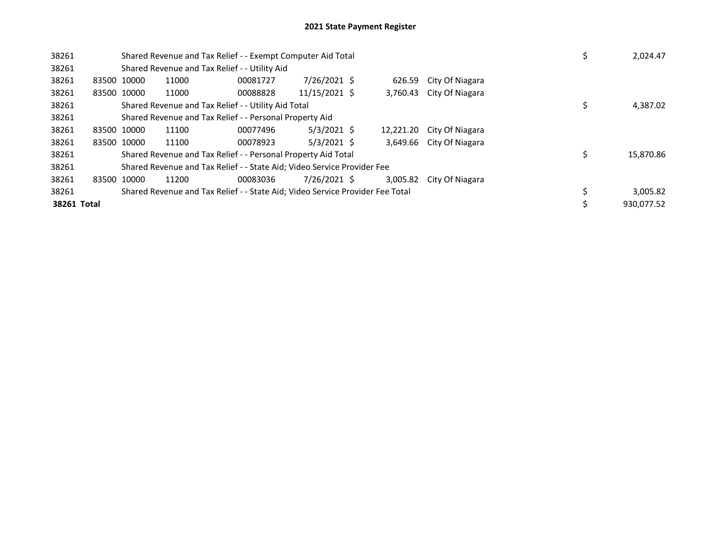| 38261       |             | Shared Revenue and Tax Relief - - Exempt Computer Aid Total                   |          | 2,024.47      |           |                 |  |            |
|-------------|-------------|-------------------------------------------------------------------------------|----------|---------------|-----------|-----------------|--|------------|
| 38261       |             | Shared Revenue and Tax Relief - - Utility Aid                                 |          |               |           |                 |  |            |
| 38261       | 83500 10000 | 11000                                                                         | 00081727 | 7/26/2021 \$  | 626.59    | City Of Niagara |  |            |
| 38261       | 83500 10000 | 11000                                                                         | 00088828 | 11/15/2021 \$ | 3,760.43  | City Of Niagara |  |            |
| 38261       |             | Shared Revenue and Tax Relief - - Utility Aid Total                           |          | 4,387.02      |           |                 |  |            |
| 38261       |             | Shared Revenue and Tax Relief - - Personal Property Aid                       |          |               |           |                 |  |            |
| 38261       | 83500 10000 | 11100                                                                         | 00077496 | $5/3/2021$ \$ | 12,221.20 | City Of Niagara |  |            |
| 38261       | 83500 10000 | 11100                                                                         | 00078923 | $5/3/2021$ \$ | 3.649.66  | City Of Niagara |  |            |
| 38261       |             | Shared Revenue and Tax Relief - - Personal Property Aid Total                 |          |               |           |                 |  | 15,870.86  |
| 38261       |             | Shared Revenue and Tax Relief - - State Aid; Video Service Provider Fee       |          |               |           |                 |  |            |
| 38261       | 83500 10000 | 11200                                                                         | 00083036 | 7/26/2021 \$  | 3.005.82  | City Of Niagara |  |            |
| 38261       |             | Shared Revenue and Tax Relief - - State Aid; Video Service Provider Fee Total |          |               |           |                 |  | 3,005.82   |
| 38261 Total |             |                                                                               |          |               |           |                 |  | 930.077.52 |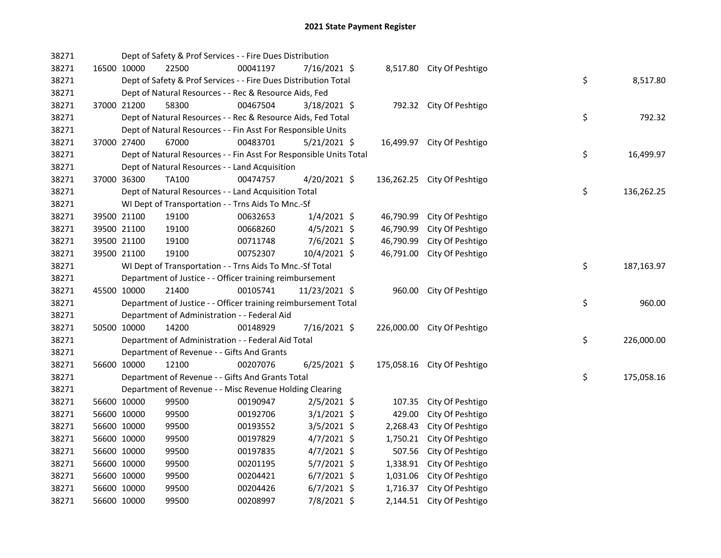| 38271 |             |                                                          | Dept of Safety & Prof Services - - Fire Dues Distribution          |          |                |  |           |                             |  |                  |
|-------|-------------|----------------------------------------------------------|--------------------------------------------------------------------|----------|----------------|--|-----------|-----------------------------|--|------------------|
| 38271 |             | 16500 10000                                              | 22500                                                              | 00041197 | 7/16/2021 \$   |  |           | 8,517.80 City Of Peshtigo   |  |                  |
| 38271 |             |                                                          | Dept of Safety & Prof Services - - Fire Dues Distribution Total    |          |                |  |           |                             |  | \$<br>8,517.80   |
| 38271 |             |                                                          | Dept of Natural Resources - - Rec & Resource Aids, Fed             |          |                |  |           |                             |  |                  |
| 38271 |             | 37000 21200                                              | 58300                                                              | 00467504 | 3/18/2021 \$   |  |           | 792.32 City Of Peshtigo     |  |                  |
| 38271 |             |                                                          | Dept of Natural Resources - - Rec & Resource Aids, Fed Total       |          |                |  |           |                             |  | \$<br>792.32     |
| 38271 |             |                                                          | Dept of Natural Resources - - Fin Asst For Responsible Units       |          |                |  |           |                             |  |                  |
| 38271 | 37000 27400 |                                                          | 67000                                                              | 00483701 | $5/21/2021$ \$ |  |           | 16,499.97 City Of Peshtigo  |  |                  |
| 38271 |             |                                                          | Dept of Natural Resources - - Fin Asst For Responsible Units Total |          |                |  |           |                             |  | \$<br>16,499.97  |
| 38271 |             |                                                          | Dept of Natural Resources - - Land Acquisition                     |          |                |  |           |                             |  |                  |
| 38271 | 37000 36300 |                                                          | TA100                                                              | 00474757 | $4/20/2021$ \$ |  |           | 136,262.25 City Of Peshtigo |  |                  |
| 38271 |             |                                                          | Dept of Natural Resources - - Land Acquisition Total               |          |                |  |           |                             |  | \$<br>136,262.25 |
| 38271 |             |                                                          | WI Dept of Transportation - - Trns Aids To Mnc.-Sf                 |          |                |  |           |                             |  |                  |
| 38271 |             | 39500 21100                                              | 19100                                                              | 00632653 | $1/4/2021$ \$  |  | 46,790.99 | City Of Peshtigo            |  |                  |
| 38271 |             | 39500 21100                                              | 19100                                                              | 00668260 | $4/5/2021$ \$  |  | 46,790.99 | City Of Peshtigo            |  |                  |
| 38271 |             | 39500 21100                                              | 19100                                                              | 00711748 | 7/6/2021 \$    |  | 46,790.99 | City Of Peshtigo            |  |                  |
| 38271 |             | 39500 21100                                              | 19100                                                              | 00752307 | 10/4/2021 \$   |  | 46,791.00 | City Of Peshtigo            |  |                  |
| 38271 |             | WI Dept of Transportation - - Trns Aids To Mnc.-Sf Total |                                                                    |          |                |  |           |                             |  | \$<br>187,163.97 |
| 38271 |             |                                                          | Department of Justice - - Officer training reimbursement           |          |                |  |           |                             |  |                  |
| 38271 |             | 45500 10000                                              | 21400                                                              | 00105741 | 11/23/2021 \$  |  |           | 960.00 City Of Peshtigo     |  |                  |
| 38271 |             |                                                          | Department of Justice - - Officer training reimbursement Total     |          |                |  |           |                             |  | \$<br>960.00     |
| 38271 |             |                                                          | Department of Administration - - Federal Aid                       |          |                |  |           |                             |  |                  |
| 38271 |             | 50500 10000                                              | 14200                                                              | 00148929 | 7/16/2021 \$   |  |           | 226,000.00 City Of Peshtigo |  |                  |
| 38271 |             |                                                          | Department of Administration - - Federal Aid Total                 |          |                |  |           |                             |  | \$<br>226,000.00 |
| 38271 |             |                                                          | Department of Revenue - - Gifts And Grants                         |          |                |  |           |                             |  |                  |
| 38271 |             | 56600 10000                                              | 12100                                                              | 00207076 | $6/25/2021$ \$ |  |           | 175,058.16 City Of Peshtigo |  |                  |
| 38271 |             |                                                          | Department of Revenue - - Gifts And Grants Total                   |          |                |  |           |                             |  | \$<br>175,058.16 |
| 38271 |             |                                                          | Department of Revenue - - Misc Revenue Holding Clearing            |          |                |  |           |                             |  |                  |
| 38271 |             | 56600 10000                                              | 99500                                                              | 00190947 | $2/5/2021$ \$  |  | 107.35    | City Of Peshtigo            |  |                  |
| 38271 |             | 56600 10000                                              | 99500                                                              | 00192706 | $3/1/2021$ \$  |  | 429.00    | City Of Peshtigo            |  |                  |
| 38271 |             | 56600 10000                                              | 99500                                                              | 00193552 | 3/5/2021 \$    |  | 2,268.43  | City Of Peshtigo            |  |                  |
| 38271 |             | 56600 10000                                              | 99500                                                              | 00197829 | $4/7/2021$ \$  |  | 1,750.21  | City Of Peshtigo            |  |                  |
| 38271 | 56600 10000 |                                                          | 99500                                                              | 00197835 | $4/7/2021$ \$  |  |           | 507.56 City Of Peshtigo     |  |                  |
| 38271 | 56600 10000 |                                                          | 99500                                                              | 00201195 | 5/7/2021 \$    |  |           | 1,338.91 City Of Peshtigo   |  |                  |
| 38271 | 56600 10000 |                                                          | 99500                                                              | 00204421 | $6/7/2021$ \$  |  | 1,031.06  | City Of Peshtigo            |  |                  |
| 38271 | 56600 10000 |                                                          | 99500                                                              | 00204426 | $6/7/2021$ \$  |  |           | 1,716.37 City Of Peshtigo   |  |                  |
| 38271 | 56600 10000 |                                                          | 99500                                                              | 00208997 | 7/8/2021 \$    |  |           | 2,144.51 City Of Peshtigo   |  |                  |